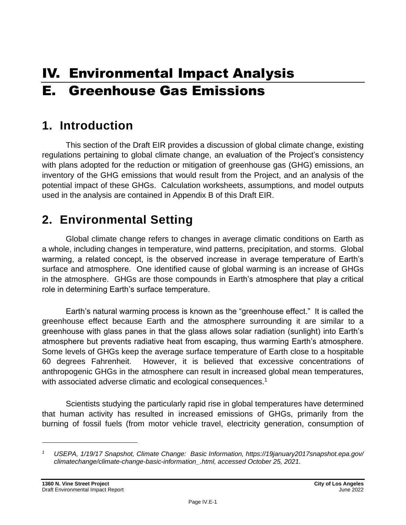# IV. Environmental Impact Analysis E. Greenhouse Gas Emissions

# **1. Introduction**

This section of the Draft EIR provides a discussion of global climate change, existing regulations pertaining to global climate change, an evaluation of the Project's consistency with plans adopted for the reduction or mitigation of greenhouse gas (GHG) emissions, an inventory of the GHG emissions that would result from the Project, and an analysis of the potential impact of these GHGs. Calculation worksheets, assumptions, and model outputs used in the analysis are contained in Appendix B of this Draft EIR.

# **2. Environmental Setting**

Global climate change refers to changes in average climatic conditions on Earth as a whole, including changes in temperature, wind patterns, precipitation, and storms. Global warming, a related concept, is the observed increase in average temperature of Earth's surface and atmosphere. One identified cause of global warming is an increase of GHGs in the atmosphere. GHGs are those compounds in Earth's atmosphere that play a critical role in determining Earth's surface temperature.

Earth's natural warming process is known as the "greenhouse effect." It is called the greenhouse effect because Earth and the atmosphere surrounding it are similar to a greenhouse with glass panes in that the glass allows solar radiation (sunlight) into Earth's atmosphere but prevents radiative heat from escaping, thus warming Earth's atmosphere. Some levels of GHGs keep the average surface temperature of Earth close to a hospitable 60 degrees Fahrenheit. However, it is believed that excessive concentrations of anthropogenic GHGs in the atmosphere can result in increased global mean temperatures, with associated adverse climatic and ecological consequences.<sup>1</sup>

Scientists studying the particularly rapid rise in global temperatures have determined that human activity has resulted in increased emissions of GHGs, primarily from the burning of fossil fuels (from motor vehicle travel, electricity generation, consumption of

*<sup>1</sup> USEPA, 1/19/17 Snapshot, Climate Change: Basic Information, https://19january2017snapshot.epa.gov/ climatechange/climate-change-basic-information\_.html, accessed October 25, 2021.*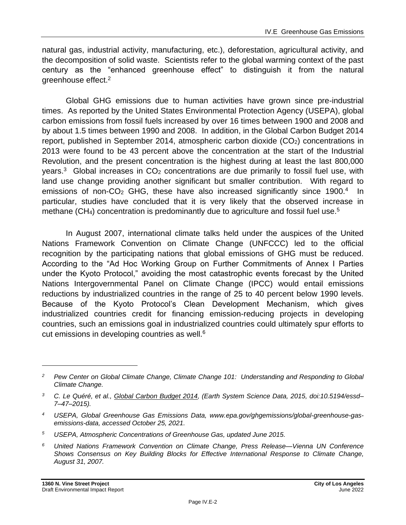natural gas, industrial activity, manufacturing, etc.), deforestation, agricultural activity, and the decomposition of solid waste. Scientists refer to the global warming context of the past century as the "enhanced greenhouse effect" to distinguish it from the natural greenhouse effect.<sup>2</sup>

Global GHG emissions due to human activities have grown since pre-industrial times. As reported by the United States Environmental Protection Agency (USEPA), global carbon emissions from fossil fuels increased by over 16 times between 1900 and 2008 and by about 1.5 times between 1990 and 2008. In addition, in the Global Carbon Budget 2014 report, published in September 2014, atmospheric carbon dioxide  $(CO<sub>2</sub>)$  concentrations in 2013 were found to be 43 percent above the concentration at the start of the Industrial Revolution, and the present concentration is the highest during at least the last 800,000 years.<sup>3</sup> Global increases in  $CO<sub>2</sub>$  concentrations are due primarily to fossil fuel use, with land use change providing another significant but smaller contribution. With regard to emissions of non-CO<sub>2</sub> GHG, these have also increased significantly since 1900.<sup>4</sup> In particular, studies have concluded that it is very likely that the observed increase in methane  $(CH<sub>4</sub>)$  concentration is predominantly due to agriculture and fossil fuel use.<sup>5</sup>

In August 2007, international climate talks held under the auspices of the United Nations Framework Convention on Climate Change (UNFCCC) led to the official recognition by the participating nations that global emissions of GHG must be reduced. According to the "Ad Hoc Working Group on Further Commitments of Annex I Parties under the Kyoto Protocol," avoiding the most catastrophic events forecast by the United Nations Intergovernmental Panel on Climate Change (IPCC) would entail emissions reductions by industrialized countries in the range of 25 to 40 percent below 1990 levels. Because of the Kyoto Protocol's Clean Development Mechanism, which gives industrialized countries credit for financing emission-reducing projects in developing countries, such an emissions goal in industrialized countries could ultimately spur efforts to cut emissions in developing countries as well.<sup>6</sup>

*<sup>2</sup> Pew Center on Global Climate Change, Climate Change 101: Understanding and Responding to Global Climate Change.*

*<sup>3</sup> C. Le Quéré, et al., Global Carbon Budget 2014, (Earth System Science Data, 2015, doi:10.5194/essd– 7–47–2015).*

*<sup>4</sup> USEPA, Global Greenhouse Gas Emissions Data, www.epa.gov/ghgemissions/global-greenhouse-gasemissions-data, accessed October 25, 2021.*

*<sup>5</sup> USEPA, Atmospheric Concentrations of Greenhouse Gas, updated June 2015.*

*<sup>6</sup> United Nations Framework Convention on Climate Change, Press Release—Vienna UN Conference Shows Consensus on Key Building Blocks for Effective International Response to Climate Change, August 31, 2007.*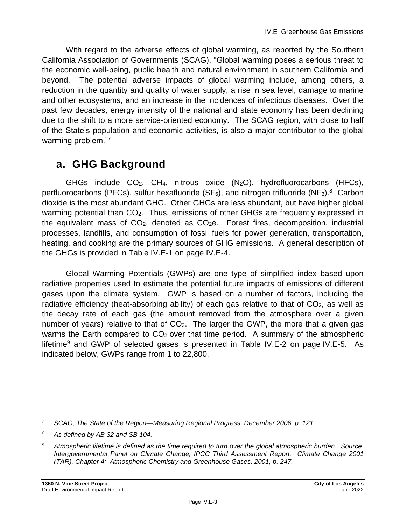With regard to the adverse effects of global warming, as reported by the Southern California Association of Governments (SCAG), "Global warming poses a serious threat to the economic well-being, public health and natural environment in southern California and beyond. The potential adverse impacts of global warming include, among others, a reduction in the quantity and quality of water supply, a rise in sea level, damage to marine and other ecosystems, and an increase in the incidences of infectious diseases. Over the past few decades, energy intensity of the national and state economy has been declining due to the shift to a more service-oriented economy. The SCAG region, with close to half of the State's population and economic activities, is also a major contributor to the global warming problem."<sup>7</sup>

## **a. GHG Background**

GHGs include  $CO<sub>2</sub>$ , CH<sub>4</sub>, nitrous oxide  $(N<sub>2</sub>O)$ , hydrofluorocarbons (HFCs), perfluorocarbons (PFCs), sulfur hexafluoride (SF<sub>6</sub>), and nitrogen trifluoride (NF<sub>3</sub>).<sup>8</sup> Carbon dioxide is the most abundant GHG. Other GHGs are less abundant, but have higher global warming potential than CO<sub>2</sub>. Thus, emissions of other GHGs are frequently expressed in the equivalent mass of  $CO<sub>2</sub>$ , denoted as  $CO<sub>2</sub>e$ . Forest fires, decomposition, industrial processes, landfills, and consumption of fossil fuels for power generation, transportation, heating, and cooking are the primary sources of GHG emissions. A general description of the GHGs is provided in Table IV.E-1 on page IV.E-4.

Global Warming Potentials (GWPs) are one type of simplified index based upon radiative properties used to estimate the potential future impacts of emissions of different gases upon the climate system. GWP is based on a number of factors, including the radiative efficiency (heat-absorbing ability) of each gas relative to that of  $CO<sub>2</sub>$ , as well as the decay rate of each gas (the amount removed from the atmosphere over a given number of years) relative to that of  $CO<sub>2</sub>$ . The larger the GWP, the more that a given gas warms the Earth compared to CO<sub>2</sub> over that time period. A summary of the atmospheric lifetime<sup>9</sup> and GWP of selected gases is presented in Table IV.E-2 on page IV.E-5. As indicated below, GWPs range from 1 to 22,800.

*<sup>7</sup> SCAG, The State of the Region—Measuring Regional Progress, December 2006, p. 121.*

*<sup>8</sup> As defined by AB 32 and SB 104.*

*<sup>9</sup> Atmospheric lifetime is defined as the time required to turn over the global atmospheric burden. Source: Intergovernmental Panel on Climate Change, IPCC Third Assessment Report: Climate Change 2001 (TAR), Chapter 4: Atmospheric Chemistry and Greenhouse Gases, 2001, p. 247.*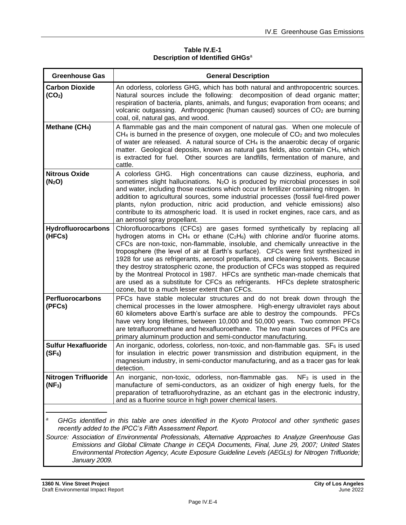#### **Table IV.E-1 Description of Identified GHGs**<sup>a</sup>

| <b>Greenhouse Gas</b>                                                                                                                                                                                                                                                                                                                                                | <b>General Description</b>                                                                                                                                                                                                                                                                                                                                                                                                                                                                                                                                                                                                                                                                                                                  |  |  |  |  |
|----------------------------------------------------------------------------------------------------------------------------------------------------------------------------------------------------------------------------------------------------------------------------------------------------------------------------------------------------------------------|---------------------------------------------------------------------------------------------------------------------------------------------------------------------------------------------------------------------------------------------------------------------------------------------------------------------------------------------------------------------------------------------------------------------------------------------------------------------------------------------------------------------------------------------------------------------------------------------------------------------------------------------------------------------------------------------------------------------------------------------|--|--|--|--|
| <b>Carbon Dioxide</b><br>(CO <sub>2</sub> )                                                                                                                                                                                                                                                                                                                          | An odorless, colorless GHG, which has both natural and anthropocentric sources.<br>Natural sources include the following: decomposition of dead organic matter;<br>respiration of bacteria, plants, animals, and fungus; evaporation from oceans; and<br>volcanic outgassing. Anthropogenic (human caused) sources of CO <sub>2</sub> are burning<br>coal, oil, natural gas, and wood.                                                                                                                                                                                                                                                                                                                                                      |  |  |  |  |
| Methane (CH <sub>4</sub> )                                                                                                                                                                                                                                                                                                                                           | A flammable gas and the main component of natural gas. When one molecule of<br>$CH4$ is burned in the presence of oxygen, one molecule of $CO2$ and two molecules<br>of water are released. A natural source of CH <sub>4</sub> is the anaerobic decay of organic<br>matter. Geological deposits, known as natural gas fields, also contain CH4, which<br>is extracted for fuel. Other sources are landfills, fermentation of manure, and<br>cattle.                                                                                                                                                                                                                                                                                        |  |  |  |  |
| <b>Nitrous Oxide</b><br>(N <sub>2</sub> O)                                                                                                                                                                                                                                                                                                                           | A colorless GHG. High concentrations can cause dizziness, euphoria, and<br>sometimes slight hallucinations. N <sub>2</sub> O is produced by microbial processes in soil<br>and water, including those reactions which occur in fertilizer containing nitrogen. In<br>addition to agricultural sources, some industrial processes (fossil fuel-fired power<br>plants, nylon production, nitric acid production, and vehicle emissions) also<br>contribute to its atmospheric load. It is used in rocket engines, race cars, and as<br>an aerosol spray propellant.                                                                                                                                                                           |  |  |  |  |
| <b>Hydrofluorocarbons</b><br>(HFCs)                                                                                                                                                                                                                                                                                                                                  | Chlorofluorocarbons (CFCs) are gases formed synthetically by replacing all<br>hydrogen atoms in CH <sub>4</sub> or ethane $(C_2H_6)$ with chlorine and/or fluorine atoms.<br>CFCs are non-toxic, non-flammable, insoluble, and chemically unreactive in the<br>troposphere (the level of air at Earth's surface). CFCs were first synthesized in<br>1928 for use as refrigerants, aerosol propellants, and cleaning solvents. Because<br>they destroy stratospheric ozone, the production of CFCs was stopped as required<br>by the Montreal Protocol in 1987. HFCs are synthetic man-made chemicals that<br>are used as a substitute for CFCs as refrigerants. HFCs deplete stratospheric<br>ozone, but to a much lesser extent than CFCs. |  |  |  |  |
| <b>Perfluorocarbons</b><br>(PFCs)                                                                                                                                                                                                                                                                                                                                    | PFCs have stable molecular structures and do not break down through the<br>chemical processes in the lower atmosphere. High-energy ultraviolet rays about<br>60 kilometers above Earth's surface are able to destroy the compounds. PFCs<br>have very long lifetimes, between 10,000 and 50,000 years. Two common PFCs<br>are tetrafluoromethane and hexafluoroethane. The two main sources of PFCs are<br>primary aluminum production and semi-conductor manufacturing.                                                                                                                                                                                                                                                                    |  |  |  |  |
| <b>Sulfur Hexafluoride</b><br>$(SF_6)$                                                                                                                                                                                                                                                                                                                               | An inorganic, odorless, colorless, non-toxic, and non-flammable gas. SF <sub>6</sub> is used<br>for insulation in electric power transmission and distribution equipment, in the<br>magnesium industry, in semi-conductor manufacturing, and as a tracer gas for leak<br>detection.                                                                                                                                                                                                                                                                                                                                                                                                                                                         |  |  |  |  |
| <b>Nitrogen Trifluoride</b><br>$(NF_3)$                                                                                                                                                                                                                                                                                                                              | An inorganic, non-toxic, odorless, non-flammable gas. $NF_3$ is used in the<br>manufacture of semi-conductors, as an oxidizer of high energy fuels, for the<br>preparation of tetrafluorohydrazine, as an etchant gas in the electronic industry,<br>and as a fluorine source in high power chemical lasers.                                                                                                                                                                                                                                                                                                                                                                                                                                |  |  |  |  |
| а<br>GHGs identified in this table are ones identified in the Kyoto Protocol and other synthetic gases<br>recently added to the IPCC's Fifth Assessment Report.<br>Source: Association of Environmental Professionals, Alternative Approaches to Analyze Greenhouse Gas<br>Emissions and Global Climate Change in CEOA Documents, Final June 29, 2007; United States |                                                                                                                                                                                                                                                                                                                                                                                                                                                                                                                                                                                                                                                                                                                                             |  |  |  |  |

*Emissions and Global Climate Change in CEQA Documents, Final, June 29, 2007; United States Environmental Protection Agency, Acute Exposure Guideline Levels (AEGLs) for Nitrogen Trifluoride; January 2009.*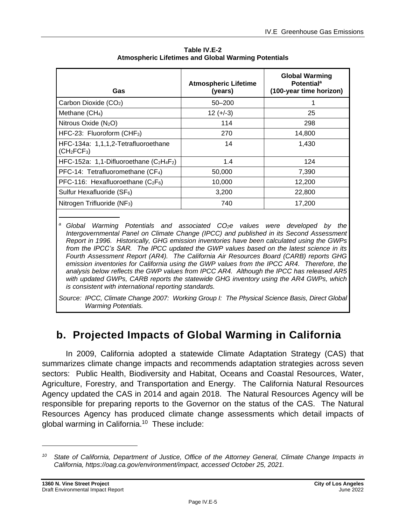| Gas                                                                        | <b>Atmospheric Lifetime</b><br>(years) | <b>Global Warming</b><br><b>Potential<sup>a</sup></b><br>(100-year time horizon) |
|----------------------------------------------------------------------------|----------------------------------------|----------------------------------------------------------------------------------|
| Carbon Dioxide (CO <sub>2</sub> )                                          | $50 - 200$                             |                                                                                  |
| Methane $(CH_4)$                                                           | $12 (+-3)$                             | 25                                                                               |
| Nitrous Oxide (N <sub>2</sub> O)                                           | 114                                    | 298                                                                              |
| HFC-23: Fluoroform (CHF <sub>3</sub> )                                     | 270                                    | 14,800                                                                           |
| HFC-134a: 1,1,1,2-Tetrafluoroethane<br>(CH <sub>2</sub> FCF <sub>3</sub> ) | 14                                     | 1,430                                                                            |
| HFC-152a: 1,1-Difluoroethane $(C_2H_4F_2)$                                 | 1.4                                    | 124                                                                              |
| PFC-14: Tetrafluoromethane $(CF_4)$                                        | 50,000                                 | 7,390                                                                            |
| PFC-116: Hexafluoroethane $(C_2F_6)$                                       | 10,000                                 | 12,200                                                                           |
| Sulfur Hexafluoride (SF <sub>6</sub> )                                     | 3,200                                  | 22,800                                                                           |
| Nitrogen Trifluoride (NF <sub>3</sub> )                                    | 740                                    | 17,200                                                                           |

**Table IV.E-2 Atmospheric Lifetimes and Global Warming Potentials**

*<sup>a</sup> Global Warming Potentials and associated CO2e values were developed by the Intergovernmental Panel on Climate Change (IPCC) and published in its Second Assessment Report in 1996. Historically, GHG emission inventories have been calculated using the GWPs from the IPCC's SAR. The IPCC updated the GWP values based on the latest science in its Fourth Assessment Report (AR4). The California Air Resources Board (CARB) reports GHG emission inventories for California using the GWP values from the IPCC AR4. Therefore, the analysis below reflects the GWP values from IPCC AR4. Although the IPCC has released AR5 with updated GWPs, CARB reports the statewide GHG inventory using the AR4 GWPs, which is consistent with international reporting standards.*

*Source: IPCC, Climate Change 2007: Working Group I: The Physical Science Basis, Direct Global Warming Potentials.*

## **b. Projected Impacts of Global Warming in California**

In 2009, California adopted a statewide Climate Adaptation Strategy (CAS) that summarizes climate change impacts and recommends adaptation strategies across seven sectors: Public Health, Biodiversity and Habitat, Oceans and Coastal Resources, Water, Agriculture, Forestry, and Transportation and Energy. The California Natural Resources Agency updated the CAS in 2014 and again 2018. The Natural Resources Agency will be responsible for preparing reports to the Governor on the status of the CAS. The Natural Resources Agency has produced climate change assessments which detail impacts of global warming in California.<sup>10</sup> These include:

*<sup>10</sup> State of California, Department of Justice, Office of the Attorney General, Climate Change Impacts in California, https://oag.ca.gov/environment/impact, accessed October 25, 2021.*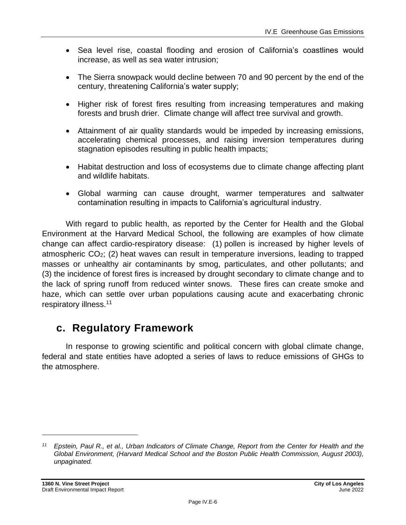- Sea level rise, coastal flooding and erosion of California's coastlines would increase, as well as sea water intrusion;
- The Sierra snowpack would decline between 70 and 90 percent by the end of the century, threatening California's water supply;
- Higher risk of forest fires resulting from increasing temperatures and making forests and brush drier. Climate change will affect tree survival and growth.
- Attainment of air quality standards would be impeded by increasing emissions, accelerating chemical processes, and raising inversion temperatures during stagnation episodes resulting in public health impacts;
- Habitat destruction and loss of ecosystems due to climate change affecting plant and wildlife habitats.
- Global warming can cause drought, warmer temperatures and saltwater contamination resulting in impacts to California's agricultural industry.

With regard to public health, as reported by the Center for Health and the Global Environment at the Harvard Medical School, the following are examples of how climate change can affect cardio-respiratory disease: (1) pollen is increased by higher levels of atmospheric CO2; (2) heat waves can result in temperature inversions, leading to trapped masses or unhealthy air contaminants by smog, particulates, and other pollutants; and (3) the incidence of forest fires is increased by drought secondary to climate change and to the lack of spring runoff from reduced winter snows. These fires can create smoke and haze, which can settle over urban populations causing acute and exacerbating chronic respiratory illness.<sup>11</sup>

## **c. Regulatory Framework**

In response to growing scientific and political concern with global climate change, federal and state entities have adopted a series of laws to reduce emissions of GHGs to the atmosphere.

*<sup>11</sup> Epstein, Paul R., et al., Urban Indicators of Climate Change, Report from the Center for Health and the Global Environment, (Harvard Medical School and the Boston Public Health Commission, August 2003), unpaginated.*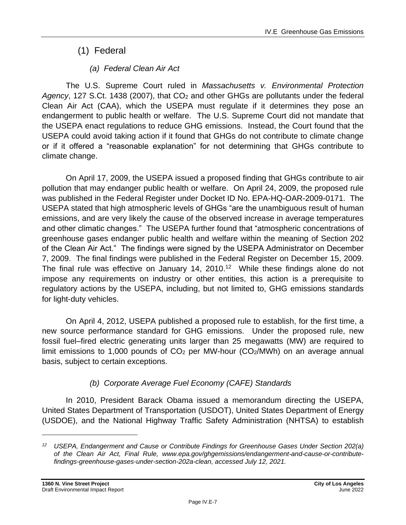## (1) Federal

## *(a) Federal Clean Air Act*

The U.S. Supreme Court ruled in *Massachusetts v. Environmental Protection*  Agency, 127 S.Ct. 1438 (2007), that CO<sub>2</sub> and other GHGs are pollutants under the federal Clean Air Act (CAA), which the USEPA must regulate if it determines they pose an endangerment to public health or welfare. The U.S. Supreme Court did not mandate that the USEPA enact regulations to reduce GHG emissions. Instead, the Court found that the USEPA could avoid taking action if it found that GHGs do not contribute to climate change or if it offered a "reasonable explanation" for not determining that GHGs contribute to climate change.

On April 17, 2009, the USEPA issued a proposed finding that GHGs contribute to air pollution that may endanger public health or welfare. On April 24, 2009, the proposed rule was published in the Federal Register under Docket ID No. EPA-HQ-OAR-2009-0171. The USEPA stated that high atmospheric levels of GHGs "are the unambiguous result of human emissions, and are very likely the cause of the observed increase in average temperatures and other climatic changes." The USEPA further found that "atmospheric concentrations of greenhouse gases endanger public health and welfare within the meaning of Section 202 of the Clean Air Act." The findings were signed by the USEPA Administrator on December 7, 2009. The final findings were published in the Federal Register on December 15, 2009. The final rule was effective on January 14,  $2010$ .<sup>12</sup> While these findings alone do not impose any requirements on industry or other entities, this action is a prerequisite to regulatory actions by the USEPA, including, but not limited to, GHG emissions standards for light‐duty vehicles.

On April 4, 2012, USEPA published a proposed rule to establish, for the first time, a new source performance standard for GHG emissions. Under the proposed rule, new fossil fuel–fired electric generating units larger than 25 megawatts (MW) are required to limit emissions to 1,000 pounds of  $CO<sub>2</sub>$  per MW-hour ( $CO<sub>2</sub>/MWh$ ) on an average annual basis, subject to certain exceptions.

## *(b) Corporate Average Fuel Economy (CAFE) Standards*

In 2010, President Barack Obama issued a memorandum directing the USEPA, United States Department of Transportation (USDOT), United States Department of Energy (USDOE), and the National Highway Traffic Safety Administration (NHTSA) to establish

*<sup>12</sup> USEPA, Endangerment and Cause or Contribute Findings for Greenhouse Gases Under Section 202(a) of the Clean Air Act, Final Rule, www.epa.gov/ghgemissions/endangerment-and-cause-or-contributefindings-greenhouse-gases-under-section-202a-clean, accessed July 12, 2021.*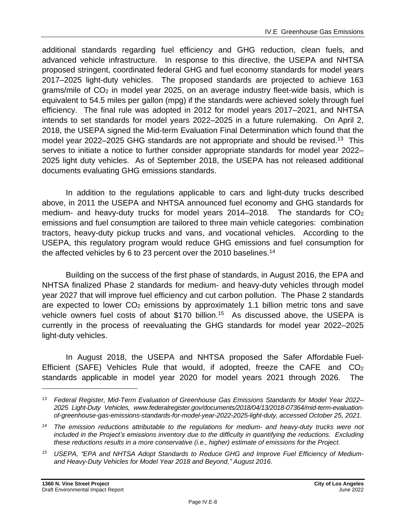additional standards regarding fuel efficiency and GHG reduction, clean fuels, and advanced vehicle infrastructure. In response to this directive, the USEPA and NHTSA proposed stringent, coordinated federal GHG and fuel economy standards for model years 2017–2025 light-duty vehicles. The proposed standards are projected to achieve 163 grams/mile of CO<sup>2</sup> in model year 2025, on an average industry fleet-wide basis, which is equivalent to 54.5 miles per gallon (mpg) if the standards were achieved solely through fuel efficiency. The final rule was adopted in 2012 for model years 2017–2021, and NHTSA intends to set standards for model years 2022–2025 in a future rulemaking. On April 2, 2018, the USEPA signed the Mid-term Evaluation Final Determination which found that the model year 2022–2025 GHG standards are not appropriate and should be revised.<sup>13</sup> This serves to initiate a notice to further consider appropriate standards for model year 2022– 2025 light duty vehicles. As of September 2018, the USEPA has not released additional documents evaluating GHG emissions standards.

In addition to the regulations applicable to cars and light-duty trucks described above, in 2011 the USEPA and NHTSA announced fuel economy and GHG standards for medium- and heavy-duty trucks for model years  $2014-2018$ . The standards for  $CO<sub>2</sub>$ emissions and fuel consumption are tailored to three main vehicle categories: combination tractors, heavy-duty pickup trucks and vans, and vocational vehicles. According to the USEPA, this regulatory program would reduce GHG emissions and fuel consumption for the affected vehicles by 6 to 23 percent over the 2010 baselines.<sup>14</sup>

Building on the success of the first phase of standards, in August 2016, the EPA and NHTSA finalized Phase 2 standards for medium- and heavy-duty vehicles through model year 2027 that will improve fuel efficiency and cut carbon pollution. The Phase 2 standards are expected to lower  $CO<sub>2</sub>$  emissions by approximately 1.1 billion metric tons and save vehicle owners fuel costs of about \$170 billion.<sup>15</sup> As discussed above, the USEPA is currently in the process of reevaluating the GHG standards for model year 2022–2025 light-duty vehicles.

In August 2018, the USEPA and NHTSA proposed the Safer Affordable Fuel-Efficient (SAFE) Vehicles Rule that would, if adopted, freeze the CAFE and CO<sub>2</sub> standards applicable in model year 2020 for model years 2021 through 2026. The

*<sup>13</sup> Federal Register, Mid-Term Evaluation of Greenhouse Gas Emissions Standards for Model Year 2022– 2025 Light-Duty Vehicles, www.federalregister.gov/documents/2018/04/13/2018-07364/mid-term-evaluationof-greenhouse-gas-emissions-standards-for-model-year-2022-2025-light-duty, accessed October 25, 2021.*

*<sup>14</sup> The emission reductions attributable to the regulations for medium- and heavy-duty trucks were not included in the Project's emissions inventory due to the difficulty in quantifying the reductions. Excluding these reductions results in a more conservative (i.e., higher) estimate of emissions for the Project.*

*<sup>15</sup> USEPA, "EPA and NHTSA Adopt Standards to Reduce GHG and Improve Fuel Efficiency of Mediumand Heavy-Duty Vehicles for Model Year 2018 and Beyond," August 2016.*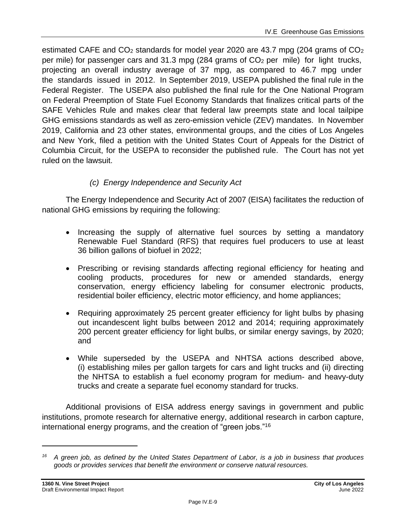estimated CAFE and  $CO<sub>2</sub>$  standards for model year 2020 are 43.7 mpg (204 grams of  $CO<sub>2</sub>$ ) per mile) for passenger cars and 31.3 mpg (284 grams of  $CO<sub>2</sub>$  per mile) for light trucks, projecting an overall industry average of 37 mpg, as compared to 46.7 mpg under the standards issued in 2012. In September 2019, USEPA published the final rule in the Federal Register. The USEPA also published the final rule for the One National Program on Federal Preemption of State Fuel Economy Standards that finalizes critical parts of the SAFE Vehicles Rule and makes clear that federal law preempts state and local tailpipe GHG emissions standards as well as zero-emission vehicle (ZEV) mandates. In November 2019, California and 23 other states, environmental groups, and the cities of Los Angeles and New York, filed a petition with the United States Court of Appeals for the District of Columbia Circuit, for the USEPA to reconsider the published rule. The Court has not yet ruled on the lawsuit.

#### *(c) Energy Independence and Security Act*

The Energy Independence and Security Act of 2007 (EISA) facilitates the reduction of national GHG emissions by requiring the following:

- Increasing the supply of alternative fuel sources by setting a mandatory Renewable Fuel Standard (RFS) that requires fuel producers to use at least 36 billion gallons of biofuel in 2022;
- Prescribing or revising standards affecting regional efficiency for heating and cooling products, procedures for new or amended standards, energy conservation, energy efficiency labeling for consumer electronic products, residential boiler efficiency, electric motor efficiency, and home appliances;
- Requiring approximately 25 percent greater efficiency for light bulbs by phasing out incandescent light bulbs between 2012 and 2014; requiring approximately 200 percent greater efficiency for light bulbs, or similar energy savings, by 2020; and
- While superseded by the USEPA and NHTSA actions described above, (i) establishing miles per gallon targets for cars and light trucks and (ii) directing the NHTSA to establish a fuel economy program for medium- and heavy-duty trucks and create a separate fuel economy standard for trucks.

Additional provisions of EISA address energy savings in government and public institutions, promote research for alternative energy, additional research in carbon capture, international energy programs, and the creation of "green jobs."<sup>16</sup>

*<sup>16</sup> A green job, as defined by the United States Department of Labor, is a job in business that produces goods or provides services that benefit the environment or conserve natural resources.*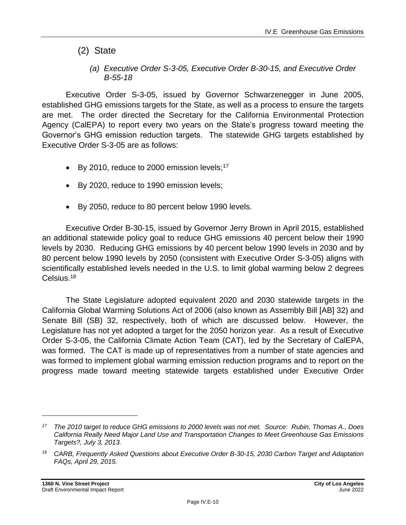- (2) State
	- *(a) Executive Order S-3-05, Executive Order B-30-15, and Executive Order B-55-18*

Executive Order S-3-05, issued by Governor Schwarzenegger in June 2005, established GHG emissions targets for the State, as well as a process to ensure the targets are met. The order directed the Secretary for the California Environmental Protection Agency (CalEPA) to report every two years on the State's progress toward meeting the Governor's GHG emission reduction targets. The statewide GHG targets established by Executive Order S-3-05 are as follows:

- By 2010, reduce to 2000 emission levels;<sup>17</sup>
- By 2020, reduce to 1990 emission levels;
- By 2050, reduce to 80 percent below 1990 levels.

Executive Order B-30-15, issued by Governor Jerry Brown in April 2015, established an additional statewide policy goal to reduce GHG emissions 40 percent below their 1990 levels by 2030. Reducing GHG emissions by 40 percent below 1990 levels in 2030 and by 80 percent below 1990 levels by 2050 (consistent with Executive Order S-3-05) aligns with scientifically established levels needed in the U.S. to limit global warming below 2 degrees Celsius. 18

The State Legislature adopted equivalent 2020 and 2030 statewide targets in the California Global Warming Solutions Act of 2006 (also known as Assembly Bill [AB] 32) and Senate Bill (SB) 32, respectively, both of which are discussed below. However, the Legislature has not yet adopted a target for the 2050 horizon year. As a result of Executive Order S-3-05, the California Climate Action Team (CAT), led by the Secretary of CalEPA, was formed. The CAT is made up of representatives from a number of state agencies and was formed to implement global warming emission reduction programs and to report on the progress made toward meeting statewide targets established under Executive Order

*<sup>17</sup> The 2010 target to reduce GHG emissions to 2000 levels was not met. Source: Rubin, Thomas A., Does California Really Need Major Land Use and Transportation Changes to Meet Greenhouse Gas Emissions Targets?, July 3, 2013.*

*<sup>18</sup> CARB, Frequently Asked Questions about Executive Order B-30-15, 2030 Carbon Target and Adaptation FAQs, April 29, 2015.*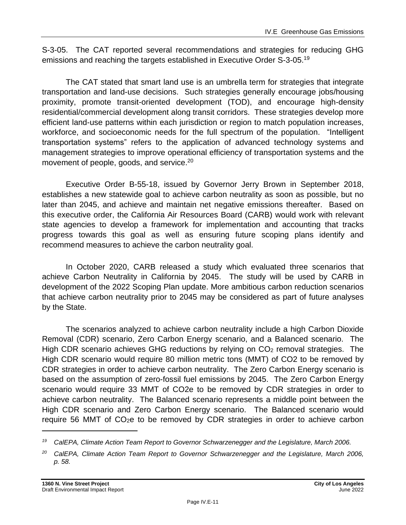S-3-05. The CAT reported several recommendations and strategies for reducing GHG emissions and reaching the targets established in Executive Order S-3-05.<sup>19</sup>

The CAT stated that smart land use is an umbrella term for strategies that integrate transportation and land-use decisions. Such strategies generally encourage jobs/housing proximity, promote transit-oriented development (TOD), and encourage high-density residential/commercial development along transit corridors. These strategies develop more efficient land-use patterns within each jurisdiction or region to match population increases, workforce, and socioeconomic needs for the full spectrum of the population. "Intelligent transportation systems" refers to the application of advanced technology systems and management strategies to improve operational efficiency of transportation systems and the movement of people, goods, and service.<sup>20</sup>

Executive Order B-55-18, issued by Governor Jerry Brown in September 2018, establishes a new statewide goal to achieve carbon neutrality as soon as possible, but no later than 2045, and achieve and maintain net negative emissions thereafter. Based on this executive order, the California Air Resources Board (CARB) would work with relevant state agencies to develop a framework for implementation and accounting that tracks progress towards this goal as well as ensuring future scoping plans identify and recommend measures to achieve the carbon neutrality goal.

In October 2020, CARB released a study which evaluated three scenarios that achieve Carbon Neutrality in California by 2045. The study will be used by CARB in development of the 2022 Scoping Plan update. More ambitious carbon reduction scenarios that achieve carbon neutrality prior to 2045 may be considered as part of future analyses by the State.

The scenarios analyzed to achieve carbon neutrality include a high Carbon Dioxide Removal (CDR) scenario, Zero Carbon Energy scenario, and a Balanced scenario. The High CDR scenario achieves GHG reductions by relying on CO<sub>2</sub> removal strategies. The High CDR scenario would require 80 million metric tons (MMT) of CO2 to be removed by CDR strategies in order to achieve carbon neutrality. The Zero Carbon Energy scenario is based on the assumption of zero-fossil fuel emissions by 2045. The Zero Carbon Energy scenario would require 33 MMT of CO2e to be removed by CDR strategies in order to achieve carbon neutrality. The Balanced scenario represents a middle point between the High CDR scenario and Zero Carbon Energy scenario. The Balanced scenario would require 56 MMT of CO2e to be removed by CDR strategies in order to achieve carbon

<sup>&</sup>lt;sup>19</sup> CalEPA, Climate Action Team Report to Governor Schwarzenegger and the Legislature, March 2006.

*<sup>20</sup> CalEPA, Climate Action Team Report to Governor Schwarzenegger and the Legislature, March 2006, p. 58.*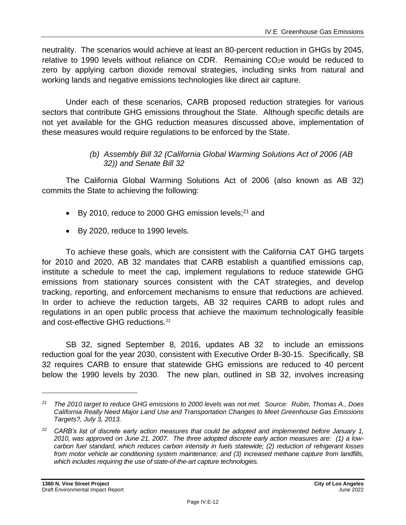neutrality. The scenarios would achieve at least an 80-percent reduction in GHGs by 2045, relative to 1990 levels without reliance on CDR. Remaining  $CO<sub>2</sub>e$  would be reduced to zero by applying carbon dioxide removal strategies, including sinks from natural and working lands and negative emissions technologies like direct air capture.

Under each of these scenarios, CARB proposed reduction strategies for various sectors that contribute GHG emissions throughout the State. Although specific details are not yet available for the GHG reduction measures discussed above, implementation of these measures would require regulations to be enforced by the State.

#### *(b) Assembly Bill 32 (California Global Warming Solutions Act of 2006 (AB 32)) and Senate Bill 32*

The California Global Warming Solutions Act of 2006 (also known as AB 32) commits the State to achieving the following:

- By 2010, reduce to 2000 GHG emission levels; $^{21}$  and
- By 2020, reduce to 1990 levels.

To achieve these goals, which are consistent with the California CAT GHG targets for 2010 and 2020, AB 32 mandates that CARB establish a quantified emissions cap, institute a schedule to meet the cap, implement regulations to reduce statewide GHG emissions from stationary sources consistent with the CAT strategies, and develop tracking, reporting, and enforcement mechanisms to ensure that reductions are achieved. In order to achieve the reduction targets, AB 32 requires CARB to adopt rules and regulations in an open public process that achieve the maximum technologically feasible and cost-effective GHG reductions. 22

SB 32, signed September 8, 2016, updates AB 32 to include an emissions reduction goal for the year 2030, consistent with Executive Order B-30-15. Specifically, SB 32 requires CARB to ensure that statewide GHG emissions are reduced to 40 percent below the 1990 levels by 2030. The new plan, outlined in SB 32, involves increasing

*<sup>21</sup> The 2010 target to reduce GHG emissions to 2000 levels was not met. Source: Rubin, Thomas A., Does California Really Need Major Land Use and Transportation Changes to Meet Greenhouse Gas Emissions Targets?, July 3, 2013.*

*<sup>22</sup> CARB's list of discrete early action measures that could be adopted and implemented before January 1, 2010, was approved on June 21, 2007. The three adopted discrete early action measures are: (1) a lowcarbon fuel standard, which reduces carbon intensity in fuels statewide; (2) reduction of refrigerant losses from motor vehicle air conditioning system maintenance; and (3) increased methane capture from landfills, which includes requiring the use of state-of-the-art capture technologies.*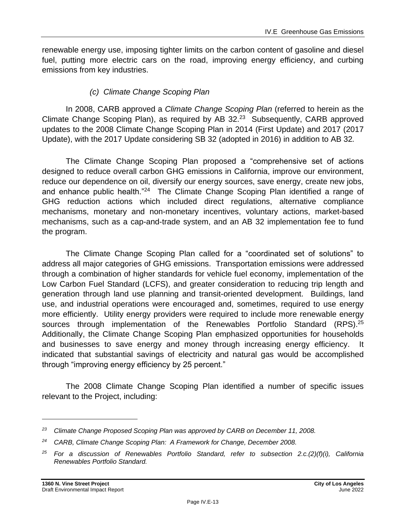renewable energy use, imposing tighter limits on the carbon content of gasoline and diesel fuel, putting more electric cars on the road, improving energy efficiency, and curbing emissions from key industries.

#### *(c) Climate Change Scoping Plan*

In 2008, CARB approved a *Climate Change Scoping Plan* (referred to herein as the Climate Change Scoping Plan), as required by AB  $32.^{23}$  Subsequently, CARB approved updates to the 2008 Climate Change Scoping Plan in 2014 (First Update) and 2017 (2017 Update), with the 2017 Update considering SB 32 (adopted in 2016) in addition to AB 32*.*

The Climate Change Scoping Plan proposed a "comprehensive set of actions designed to reduce overall carbon GHG emissions in California, improve our environment, reduce our dependence on oil, diversify our energy sources, save energy, create new jobs, and enhance public health."<sup>24</sup> The Climate Change Scoping Plan identified a range of GHG reduction actions which included direct regulations, alternative compliance mechanisms, monetary and non-monetary incentives, voluntary actions, market-based mechanisms, such as a cap-and-trade system, and an AB 32 implementation fee to fund the program.

The Climate Change Scoping Plan called for a "coordinated set of solutions" to address all major categories of GHG emissions. Transportation emissions were addressed through a combination of higher standards for vehicle fuel economy, implementation of the Low Carbon Fuel Standard (LCFS), and greater consideration to reducing trip length and generation through land use planning and transit-oriented development. Buildings, land use, and industrial operations were encouraged and, sometimes, required to use energy more efficiently. Utility energy providers were required to include more renewable energy sources through implementation of the Renewables Portfolio Standard (RPS).<sup>25</sup> Additionally, the Climate Change Scoping Plan emphasized opportunities for households and businesses to save energy and money through increasing energy efficiency. It indicated that substantial savings of electricity and natural gas would be accomplished through "improving energy efficiency by 25 percent."

The 2008 Climate Change Scoping Plan identified a number of specific issues relevant to the Project, including:

*<sup>23</sup> Climate Change Proposed Scoping Plan was approved by CARB on December 11, 2008.*

*<sup>24</sup> CARB, Climate Change Scoping Plan: A Framework for Change, December 2008.*

*<sup>25</sup> For a discussion of Renewables Portfolio Standard, refer to subsection 2.c.(2)(f)(i), California Renewables Portfolio Standard.*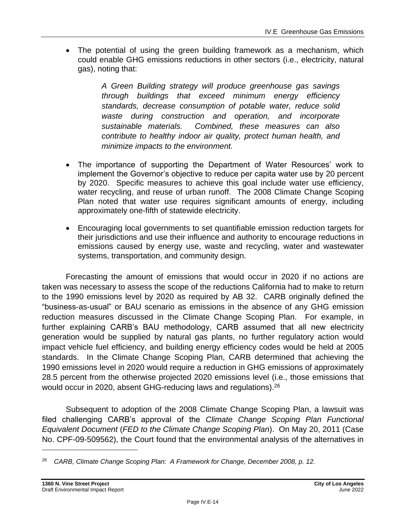• The potential of using the green building framework as a mechanism, which could enable GHG emissions reductions in other sectors (i.e., electricity, natural gas), noting that:

> *A Green Building strategy will produce greenhouse gas savings through buildings that exceed minimum energy efficiency standards, decrease consumption of potable water, reduce solid waste during construction and operation, and incorporate sustainable materials. Combined, these measures can also contribute to healthy indoor air quality, protect human health, and minimize impacts to the environment.*

- The importance of supporting the Department of Water Resources' work to implement the Governor's objective to reduce per capita water use by 20 percent by 2020. Specific measures to achieve this goal include water use efficiency, water recycling, and reuse of urban runoff. The 2008 Climate Change Scoping Plan noted that water use requires significant amounts of energy, including approximately one-fifth of statewide electricity.
- Encouraging local governments to set quantifiable emission reduction targets for their jurisdictions and use their influence and authority to encourage reductions in emissions caused by energy use, waste and recycling, water and wastewater systems, transportation, and community design.

Forecasting the amount of emissions that would occur in 2020 if no actions are taken was necessary to assess the scope of the reductions California had to make to return to the 1990 emissions level by 2020 as required by AB 32. CARB originally defined the "business-as-usual" or BAU scenario as emissions in the absence of any GHG emission reduction measures discussed in the Climate Change Scoping Plan. For example, in further explaining CARB's BAU methodology, CARB assumed that all new electricity generation would be supplied by natural gas plants, no further regulatory action would impact vehicle fuel efficiency, and building energy efficiency codes would be held at 2005 standards. In the Climate Change Scoping Plan, CARB determined that achieving the 1990 emissions level in 2020 would require a reduction in GHG emissions of approximately 28.5 percent from the otherwise projected 2020 emissions level (i.e., those emissions that would occur in 2020, absent GHG-reducing laws and regulations).<sup>26</sup>

Subsequent to adoption of the 2008 Climate Change Scoping Plan, a lawsuit was filed challenging CARB's approval of the *Climate Change Scoping Plan Functional Equivalent Document* (*FED to the Climate Change Scoping Plan*). On May 20, 2011 (Case No. CPF-09-509562), the Court found that the environmental analysis of the alternatives in

*<sup>26</sup> CARB, Climate Change Scoping Plan: A Framework for Change, December 2008, p. 12.*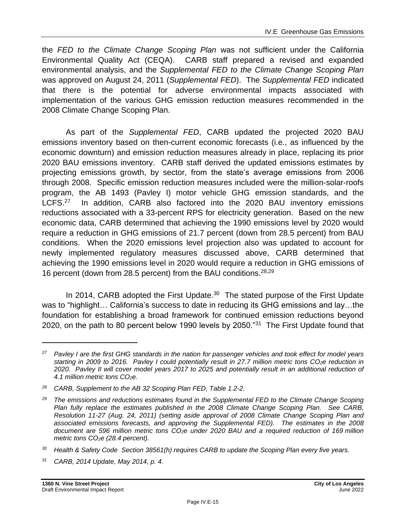the *FED to the Climate Change Scoping Plan* was not sufficient under the California Environmental Quality Act (CEQA). CARB staff prepared a revised and expanded environmental analysis, and the *Supplemental FED to the Climate Change Scoping Plan* was approved on August 24, 2011 (*Supplemental FED*). The *Supplemental FED* indicated that there is the potential for adverse environmental impacts associated with implementation of the various GHG emission reduction measures recommended in the 2008 Climate Change Scoping Plan.

As part of the *Supplemental FED*, CARB updated the projected 2020 BAU emissions inventory based on then-current economic forecasts (i.e., as influenced by the economic downturn) and emission reduction measures already in place, replacing its prior 2020 BAU emissions inventory. CARB staff derived the updated emissions estimates by projecting emissions growth, by sector, from the state's average emissions from 2006 through 2008. Specific emission reduction measures included were the million-solar-roofs program, the AB 1493 (Pavley I) motor vehicle GHG emission standards, and the LCFS.<sup>27</sup> In addition, CARB also factored into the 2020 BAU inventory emissions reductions associated with a 33-percent RPS for electricity generation. Based on the new economic data, CARB determined that achieving the 1990 emissions level by 2020 would require a reduction in GHG emissions of 21.7 percent (down from 28.5 percent) from BAU conditions. When the 2020 emissions level projection also was updated to account for newly implemented regulatory measures discussed above, CARB determined that achieving the 1990 emissions level in 2020 would require a reduction in GHG emissions of 16 percent (down from 28.5 percent) from the BAU conditions.28,29

In 2014, CARB adopted the First Update.<sup>30</sup> The stated purpose of the First Update was to "highlight… California's success to date in reducing its GHG emissions and lay…the foundation for establishing a broad framework for continued emission reductions beyond 2020, on the path to 80 percent below 1990 levels by 2050."<sup>31</sup> The First Update found that

*<sup>27</sup> Pavley I are the first GHG standards in the nation for passenger vehicles and took effect for model years starting in 2009 to 2016. Pavley I could potentially result in 27.7 million metric tons CO2e reduction in 2020. Pavley II will cover model years 2017 to 2025 and potentially result in an additional reduction of 4.1 million metric tons CO2e.*

*<sup>28</sup> CARB, Supplement to the AB 32 Scoping Plan FED, Table 1.2-2.*

*<sup>29</sup> The emissions and reductions estimates found in the Supplemental FED to the Climate Change Scoping Plan fully replace the estimates published in the 2008 Climate Change Scoping Plan. See CARB, Resolution 11-27 (Aug. 24, 2011) (setting aside approval of 2008 Climate Change Scoping Plan and associated emissions forecasts, and approving the Supplemental FED). The estimates in the 2008 document are 596 million metric tons CO2e under 2020 BAU and a required reduction of 169 million metric tons CO2e (28.4 percent).*

*<sup>30</sup> Health & Safety Code Section 38561(h) requires CARB to update the Scoping Plan every five years.*

*<sup>31</sup> CARB, 2014 Update, May 2014, p. 4.*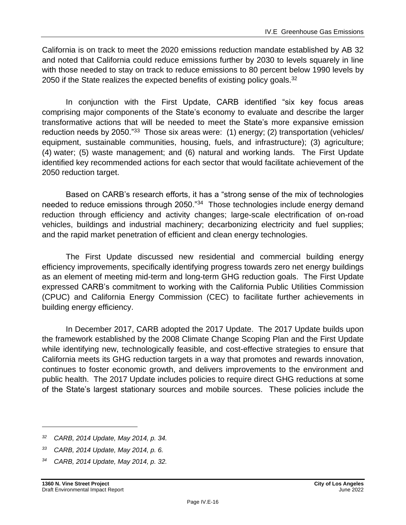California is on track to meet the 2020 emissions reduction mandate established by AB 32 and noted that California could reduce emissions further by 2030 to levels squarely in line with those needed to stay on track to reduce emissions to 80 percent below 1990 levels by 2050 if the State realizes the expected benefits of existing policy goals.<sup>32</sup>

In conjunction with the First Update, CARB identified "six key focus areas comprising major components of the State's economy to evaluate and describe the larger transformative actions that will be needed to meet the State's more expansive emission reduction needs by 2050."<sup>33</sup> Those six areas were: (1) energy; (2) transportation (vehicles/ equipment, sustainable communities, housing, fuels, and infrastructure); (3) agriculture; (4) water; (5) waste management; and (6) natural and working lands. The First Update identified key recommended actions for each sector that would facilitate achievement of the 2050 reduction target.

Based on CARB's research efforts, it has a "strong sense of the mix of technologies needed to reduce emissions through 2050."<sup>34</sup> Those technologies include energy demand reduction through efficiency and activity changes; large-scale electrification of on-road vehicles, buildings and industrial machinery; decarbonizing electricity and fuel supplies; and the rapid market penetration of efficient and clean energy technologies.

The First Update discussed new residential and commercial building energy efficiency improvements, specifically identifying progress towards zero net energy buildings as an element of meeting mid-term and long-term GHG reduction goals. The First Update expressed CARB's commitment to working with the California Public Utilities Commission (CPUC) and California Energy Commission (CEC) to facilitate further achievements in building energy efficiency.

In December 2017, CARB adopted the 2017 Update. The 2017 Update builds upon the framework established by the 2008 Climate Change Scoping Plan and the First Update while identifying new, technologically feasible, and cost-effective strategies to ensure that California meets its GHG reduction targets in a way that promotes and rewards innovation, continues to foster economic growth, and delivers improvements to the environment and public health. The 2017 Update includes policies to require direct GHG reductions at some of the State's largest stationary sources and mobile sources. These policies include the

*<sup>32</sup> CARB, 2014 Update, May 2014, p. 34.*

*<sup>33</sup> CARB, 2014 Update, May 2014, p. 6.*

*<sup>34</sup> CARB, 2014 Update, May 2014, p. 32.*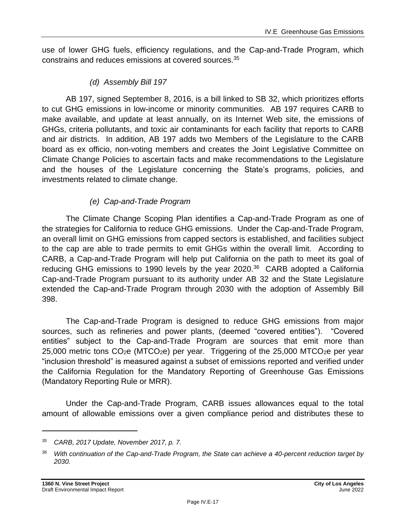use of lower GHG fuels, efficiency regulations, and the Cap-and-Trade Program, which constrains and reduces emissions at covered sources.<sup>35</sup>

#### *(d) Assembly Bill 197*

AB 197, signed September 8, 2016, is a bill linked to SB 32, which prioritizes efforts to cut GHG emissions in low-income or minority communities. AB 197 requires CARB to make available, and update at least annually, on its Internet Web site, the emissions of GHGs, criteria pollutants, and toxic air contaminants for each facility that reports to CARB and air districts. In addition, AB 197 adds two Members of the Legislature to the CARB board as ex officio, non-voting members and creates the Joint Legislative Committee on Climate Change Policies to ascertain facts and make recommendations to the Legislature and the houses of the Legislature concerning the State's programs, policies, and investments related to climate change.

#### *(e) Cap-and-Trade Program*

The Climate Change Scoping Plan identifies a Cap-and-Trade Program as one of the strategies for California to reduce GHG emissions. Under the Cap-and-Trade Program, an overall limit on GHG emissions from capped sectors is established, and facilities subject to the cap are able to trade permits to emit GHGs within the overall limit. According to CARB, a Cap-and-Trade Program will help put California on the path to meet its goal of reducing GHG emissions to 1990 levels by the year 2020.<sup>36</sup> CARB adopted a California Cap-and-Trade Program pursuant to its authority under AB 32 and the State Legislature extended the Cap-and-Trade Program through 2030 with the adoption of Assembly Bill 398.

The Cap-and-Trade Program is designed to reduce GHG emissions from major sources, such as refineries and power plants, (deemed "covered entities"). "Covered entities" subject to the Cap-and-Trade Program are sources that emit more than  $25,000$  metric tons  $CO<sub>2</sub>e$  (MTCO<sub>2</sub>e) per year. Triggering of the 25,000 MTCO<sub>2</sub>e per year "inclusion threshold" is measured against a subset of emissions reported and verified under the California Regulation for the Mandatory Reporting of Greenhouse Gas Emissions (Mandatory Reporting Rule or MRR).

Under the Cap-and-Trade Program, CARB issues allowances equal to the total amount of allowable emissions over a given compliance period and distributes these to

*<sup>35</sup> CARB, 2017 Update, November 2017, p. 7.*

*<sup>36</sup> With continuation of the Cap-and-Trade Program, the State can achieve a 40-percent reduction target by 2030.*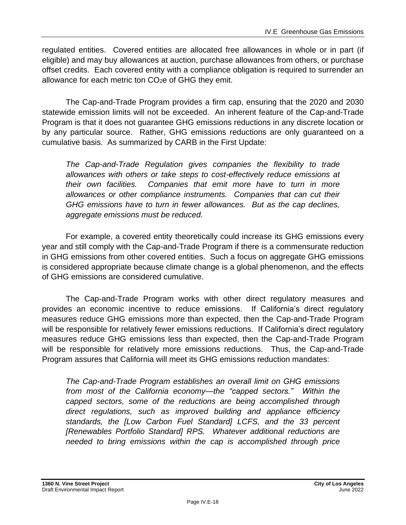regulated entities. Covered entities are allocated free allowances in whole or in part (if eligible) and may buy allowances at auction, purchase allowances from others, or purchase offset credits. Each covered entity with a compliance obligation is required to surrender an allowance for each metric ton  $CO<sub>2</sub>e$  of GHG they emit.

The Cap-and-Trade Program provides a firm cap, ensuring that the 2020 and 2030 statewide emission limits will not be exceeded. An inherent feature of the Cap-and-Trade Program is that it does not guarantee GHG emissions reductions in any discrete location or by any particular source. Rather, GHG emissions reductions are only guaranteed on a cumulative basis. As summarized by CARB in the First Update:

*The Cap-and-Trade Regulation gives companies the flexibility to trade allowances with others or take steps to cost-effectively reduce emissions at their own facilities. Companies that emit more have to turn in more allowances or other compliance instruments. Companies that can cut their GHG emissions have to turn in fewer allowances. But as the cap declines, aggregate emissions must be reduced.*

For example, a covered entity theoretically could increase its GHG emissions every year and still comply with the Cap-and-Trade Program if there is a commensurate reduction in GHG emissions from other covered entities. Such a focus on aggregate GHG emissions is considered appropriate because climate change is a global phenomenon, and the effects of GHG emissions are considered cumulative.

The Cap-and-Trade Program works with other direct regulatory measures and provides an economic incentive to reduce emissions. If California's direct regulatory measures reduce GHG emissions more than expected, then the Cap-and-Trade Program will be responsible for relatively fewer emissions reductions. If California's direct regulatory measures reduce GHG emissions less than expected, then the Cap-and-Trade Program will be responsible for relatively more emissions reductions. Thus, the Cap-and-Trade Program assures that California will meet its GHG emissions reduction mandates:

*The Cap-and-Trade Program establishes an overall limit on GHG emissions from most of the California economy—the "capped sectors." Within the capped sectors, some of the reductions are being accomplished through direct regulations, such as improved building and appliance efficiency standards, the [Low Carbon Fuel Standard] LCFS, and the 33 percent [Renewables Portfolio Standard] RPS. Whatever additional reductions are needed to bring emissions within the cap is accomplished through price*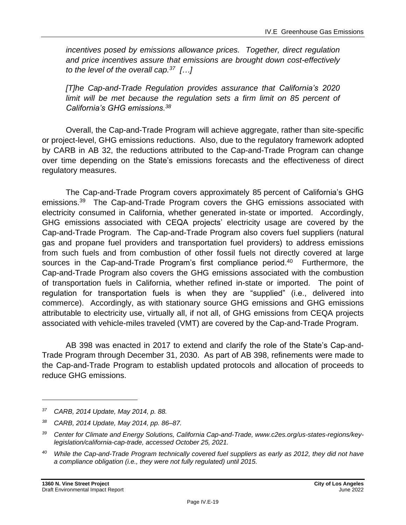*incentives posed by emissions allowance prices. Together, direct regulation and price incentives assure that emissions are brought down cost-effectively to the level of the overall cap.<sup>37</sup> […]*

*[T]he Cap-and-Trade Regulation provides assurance that California's 2020*  limit will be met because the regulation sets a firm limit on 85 percent of *California's GHG emissions.<sup>38</sup>*

Overall, the Cap-and-Trade Program will achieve aggregate, rather than site-specific or project-level, GHG emissions reductions. Also, due to the regulatory framework adopted by CARB in AB 32, the reductions attributed to the Cap-and-Trade Program can change over time depending on the State's emissions forecasts and the effectiveness of direct regulatory measures.

The Cap-and-Trade Program covers approximately 85 percent of California's GHG emissions.<sup>39</sup> The Cap-and-Trade Program covers the GHG emissions associated with electricity consumed in California, whether generated in-state or imported. Accordingly, GHG emissions associated with CEQA projects' electricity usage are covered by the Cap-and-Trade Program. The Cap-and-Trade Program also covers fuel suppliers (natural gas and propane fuel providers and transportation fuel providers) to address emissions from such fuels and from combustion of other fossil fuels not directly covered at large sources in the Cap-and-Trade Program's first compliance period.<sup>40</sup> Furthermore, the Cap-and-Trade Program also covers the GHG emissions associated with the combustion of transportation fuels in California, whether refined in-state or imported. The point of regulation for transportation fuels is when they are "supplied" (i.e., delivered into commerce). Accordingly, as with stationary source GHG emissions and GHG emissions attributable to electricity use, virtually all, if not all, of GHG emissions from CEQA projects associated with vehicle-miles traveled (VMT) are covered by the Cap-and-Trade Program.

AB 398 was enacted in 2017 to extend and clarify the role of the State's Cap-and-Trade Program through December 31, 2030. As part of AB 398, refinements were made to the Cap-and-Trade Program to establish updated protocols and allocation of proceeds to reduce GHG emissions.

*<sup>37</sup> CARB, 2014 Update, May 2014, p. 88.*

*<sup>38</sup> CARB, 2014 Update, May 2014, pp. 86–87.*

*<sup>39</sup> Center for Climate and Energy Solutions, California Cap-and-Trade, www.c2es.org/us-states-regions/keylegislation/california-cap-trade, accessed October 25, 2021.*

*<sup>40</sup> While the Cap-and-Trade Program technically covered fuel suppliers as early as 2012, they did not have a compliance obligation (i.e., they were not fully regulated) until 2015.*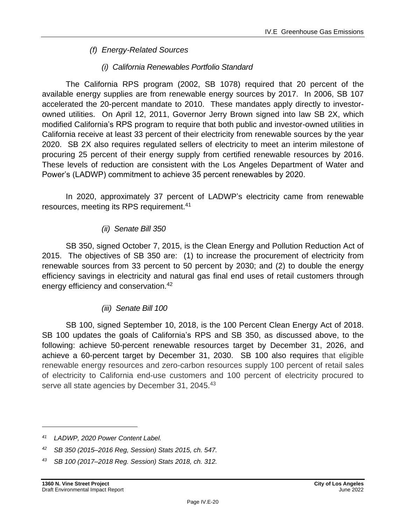#### *(f) Energy-Related Sources*

#### *(i) California Renewables Portfolio Standard*

The California RPS program (2002, SB 1078) required that 20 percent of the available energy supplies are from renewable energy sources by 2017. In 2006, SB 107 accelerated the 20-percent mandate to 2010. These mandates apply directly to investorowned utilities. On April 12, 2011, Governor Jerry Brown signed into law SB 2X, which modified California's RPS program to require that both public and investor-owned utilities in California receive at least 33 percent of their electricity from renewable sources by the year 2020. SB 2X also requires regulated sellers of electricity to meet an interim milestone of procuring 25 percent of their energy supply from certified renewable resources by 2016. These levels of reduction are consistent with the Los Angeles Department of Water and Power's (LADWP) commitment to achieve 35 percent renewables by 2020.

In 2020, approximately 37 percent of LADWP's electricity came from renewable resources, meeting its RPS requirement. 41

#### *(ii) Senate Bill 350*

SB 350, signed October 7, 2015, is the Clean Energy and Pollution Reduction Act of 2015. The objectives of SB 350 are: (1) to increase the procurement of electricity from renewable sources from 33 percent to 50 percent by 2030; and (2) to double the energy efficiency savings in electricity and natural gas final end uses of retail customers through energy efficiency and conservation.<sup>42</sup>

#### *(iii) Senate Bill 100*

SB 100, signed September 10, 2018, is the 100 Percent Clean Energy Act of 2018. SB 100 updates the goals of California's RPS and SB 350, as discussed above, to the following: achieve 50-percent renewable resources target by December 31, 2026, and achieve a 60-percent target by December 31, 2030. SB 100 also requires that eligible renewable energy resources and zero-carbon resources supply 100 percent of retail sales of electricity to California end-use customers and 100 percent of electricity procured to serve all state agencies by December 31, 2045.<sup>43</sup>

*<sup>41</sup> LADWP, 2020 Power Content Label.*

*<sup>42</sup> SB 350 (2015–2016 Reg, Session) Stats 2015, ch. 547.*

*<sup>43</sup> SB 100 (2017–2018 Reg. Session) Stats 2018, ch. 312.*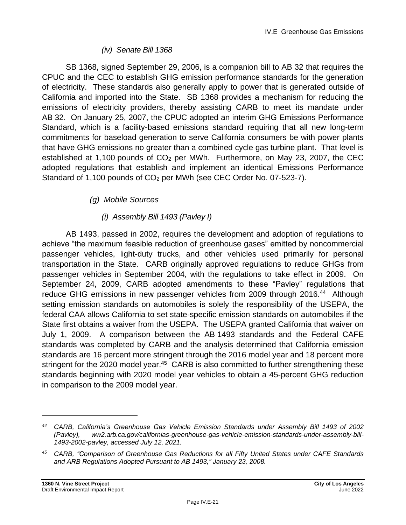#### *(iv) Senate Bill 1368*

SB 1368, signed September 29, 2006, is a companion bill to AB 32 that requires the CPUC and the CEC to establish GHG emission performance standards for the generation of electricity. These standards also generally apply to power that is generated outside of California and imported into the State. SB 1368 provides a mechanism for reducing the emissions of electricity providers, thereby assisting CARB to meet its mandate under AB 32. On January 25, 2007, the CPUC adopted an interim GHG Emissions Performance Standard, which is a facility-based emissions standard requiring that all new long-term commitments for baseload generation to serve California consumers be with power plants that have GHG emissions no greater than a combined cycle gas turbine plant. That level is established at 1,100 pounds of  $CO<sub>2</sub>$  per MWh. Furthermore, on May 23, 2007, the CEC adopted regulations that establish and implement an identical Emissions Performance Standard of 1,100 pounds of CO<sub>2</sub> per MWh (see CEC Order No. 07-523-7).

### *(g) Mobile Sources*

### *(i) Assembly Bill 1493 (Pavley I)*

AB 1493, passed in 2002, requires the development and adoption of regulations to achieve "the maximum feasible reduction of greenhouse gases" emitted by noncommercial passenger vehicles, light-duty trucks, and other vehicles used primarily for personal transportation in the State. CARB originally approved regulations to reduce GHGs from passenger vehicles in September 2004, with the regulations to take effect in 2009. On September 24, 2009, CARB adopted amendments to these "Pavley" regulations that reduce GHG emissions in new passenger vehicles from 2009 through 2016.<sup>44</sup> Although setting emission standards on automobiles is solely the responsibility of the USEPA, the federal CAA allows California to set state-specific emission standards on automobiles if the State first obtains a waiver from the USEPA. The USEPA granted California that waiver on July 1, 2009. A comparison between the AB 1493 standards and the Federal CAFE standards was completed by CARB and the analysis determined that California emission standards are 16 percent more stringent through the 2016 model year and 18 percent more stringent for the 2020 model year.<sup>45</sup> CARB is also committed to further strengthening these standards beginning with 2020 model year vehicles to obtain a 45-percent GHG reduction in comparison to the 2009 model year.

*<sup>44</sup> CARB, California's Greenhouse Gas Vehicle Emission Standards under Assembly Bill 1493 of 2002 (Pavley), ww2.arb.ca.gov/californias-greenhouse-gas-vehicle-emission-standards-under-assembly-bill-1493-2002-pavley, accessed July 12, 2021.*

*<sup>45</sup> CARB, "Comparison of Greenhouse Gas Reductions for all Fifty United States under CAFE Standards and ARB Regulations Adopted Pursuant to AB 1493," January 23, 2008.*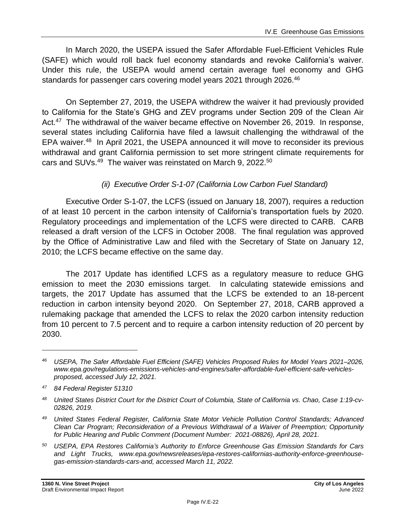In March 2020, the USEPA issued the Safer Affordable Fuel-Efficient Vehicles Rule (SAFE) which would roll back fuel economy standards and revoke California's waiver. Under this rule, the USEPA would amend certain average fuel economy and GHG standards for passenger cars covering model years 2021 through 2026.<sup>46</sup>

On September 27, 2019, the USEPA withdrew the waiver it had previously provided to California for the State's GHG and ZEV programs under Section 209 of the Clean Air Act.<sup>47</sup> The withdrawal of the waiver became effective on November 26, 2019. In response, several states including California have filed a lawsuit challenging the withdrawal of the EPA waiver.<sup>48</sup> In April 2021, the USEPA announced it will move to reconsider its previous withdrawal and grant California permission to set more stringent climate requirements for cars and SUVs.<sup>49</sup> The waiver was reinstated on March 9, 2022.<sup>50</sup>

#### *(ii) Executive Order S-1-07 (California Low Carbon Fuel Standard)*

Executive Order S-1-07, the LCFS (issued on January 18, 2007), requires a reduction of at least 10 percent in the carbon intensity of California's transportation fuels by 2020. Regulatory proceedings and implementation of the LCFS were directed to CARB. CARB released a draft version of the LCFS in October 2008. The final regulation was approved by the Office of Administrative Law and filed with the Secretary of State on January 12, 2010; the LCFS became effective on the same day.

The 2017 Update has identified LCFS as a regulatory measure to reduce GHG emission to meet the 2030 emissions target. In calculating statewide emissions and targets, the 2017 Update has assumed that the LCFS be extended to an 18-percent reduction in carbon intensity beyond 2020. On September 27, 2018, CARB approved a rulemaking package that amended the LCFS to relax the 2020 carbon intensity reduction from 10 percent to 7.5 percent and to require a carbon intensity reduction of 20 percent by 2030.

*<sup>46</sup> USEPA, The Safer Affordable Fuel Efficient (SAFE) Vehicles Proposed Rules for Model Years 2021–2026, www.epa.gov/regulations-emissions-vehicles-and-engines/safer-affordable-fuel-efficient-safe-vehiclesproposed, accessed July 12, 2021.*

*<sup>47</sup> 84 Federal Register 51310*

*<sup>48</sup> United States District Court for the District Court of Columbia, State of California vs. Chao, Case 1:19-cv-02826, 2019.*

*<sup>49</sup> United States Federal Register, California State Motor Vehicle Pollution Control Standards; Advanced Clean Car Program; Reconsideration of a Previous Withdrawal of a Waiver of Preemption; Opportunity for Public Hearing and Public Comment (Document Number: 2021-08826), April 28, 2021.*

*<sup>50</sup> USEPA, EPA Restores California's Authority to Enforce Greenhouse Gas Emission Standards for Cars and Light Trucks, www.epa.gov/newsreleases/epa-restores-californias-authority-enforce-greenhousegas-emission-standards-cars-and, accessed March 11, 2022.*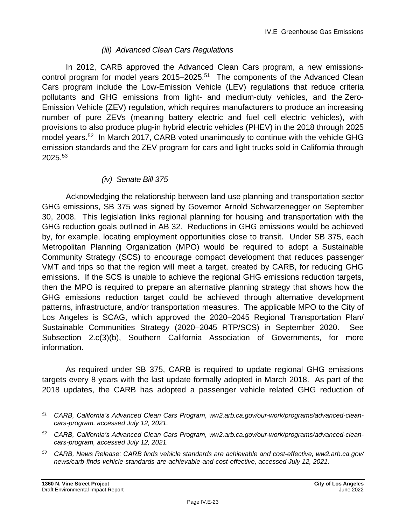#### *(iii) Advanced Clean Cars Regulations*

In 2012, CARB approved the Advanced Clean Cars program, a new emissionscontrol program for model years 2015–2025. 51 The components of the Advanced Clean Cars program include the Low-Emission Vehicle (LEV) regulations that reduce criteria pollutants and GHG emissions from light- and medium-duty vehicles, and the Zero-Emission Vehicle (ZEV) regulation, which requires manufacturers to produce an increasing number of pure ZEVs (meaning battery electric and fuel cell electric vehicles), with provisions to also produce plug-in hybrid electric vehicles (PHEV) in the 2018 through 2025 model years.<sup>52</sup> In March 2017, CARB voted unanimously to continue with the vehicle GHG emission standards and the ZEV program for cars and light trucks sold in California through 2025.<sup>53</sup>

#### *(iv) Senate Bill 375*

Acknowledging the relationship between land use planning and transportation sector GHG emissions, SB 375 was signed by Governor Arnold Schwarzenegger on September 30, 2008. This legislation links regional planning for housing and transportation with the GHG reduction goals outlined in AB 32. Reductions in GHG emissions would be achieved by, for example, locating employment opportunities close to transit. Under SB 375, each Metropolitan Planning Organization (MPO) would be required to adopt a Sustainable Community Strategy (SCS) to encourage compact development that reduces passenger VMT and trips so that the region will meet a target, created by CARB, for reducing GHG emissions. If the SCS is unable to achieve the regional GHG emissions reduction targets, then the MPO is required to prepare an alternative planning strategy that shows how the GHG emissions reduction target could be achieved through alternative development patterns, infrastructure, and/or transportation measures. The applicable MPO to the City of Los Angeles is SCAG, which approved the 2020–2045 Regional Transportation Plan/ Sustainable Communities Strategy (2020–2045 RTP/SCS) in September 2020. See Subsection 2.c(3)(b), Southern California Association of Governments, for more information.

As required under SB 375, CARB is required to update regional GHG emissions targets every 8 years with the last update formally adopted in March 2018. As part of the 2018 updates, the CARB has adopted a passenger vehicle related GHG reduction of

*<sup>51</sup> CARB, California's Advanced Clean Cars Program, ww2.arb.ca.gov/our-work/programs/advanced-cleancars-program, accessed July 12, 2021.*

*<sup>52</sup> CARB, California's Advanced Clean Cars Program, ww2.arb.ca.gov/our-work/programs/advanced-cleancars-program, accessed July 12, 2021.*

*<sup>53</sup> CARB, News Release: CARB finds vehicle standards are achievable and cost-effective, ww2.arb.ca.gov/ news/carb-finds-vehicle-standards-are-achievable-and-cost-effective, accessed July 12, 2021.*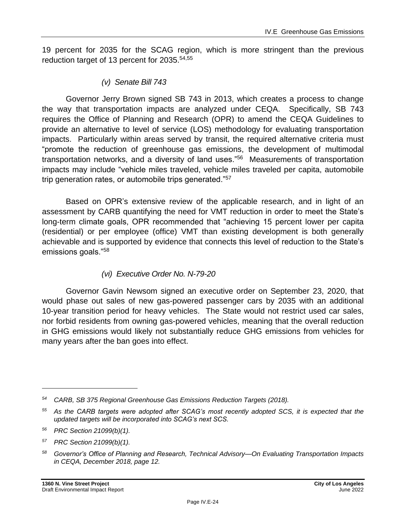19 percent for 2035 for the SCAG region, which is more stringent than the previous reduction target of 13 percent for 2035.54,55

*(v) Senate Bill 743*

Governor Jerry Brown signed SB 743 in 2013, which creates a process to change the way that transportation impacts are analyzed under CEQA. Specifically, SB 743 requires the Office of Planning and Research (OPR) to amend the CEQA Guidelines to provide an alternative to level of service (LOS) methodology for evaluating transportation impacts. Particularly within areas served by transit, the required alternative criteria must "promote the reduction of greenhouse gas emissions, the development of multimodal transportation networks, and a diversity of land uses."<sup>56</sup> Measurements of transportation impacts may include "vehicle miles traveled, vehicle miles traveled per capita, automobile trip generation rates, or automobile trips generated."<sup>57</sup>

Based on OPR's extensive review of the applicable research, and in light of an assessment by CARB quantifying the need for VMT reduction in order to meet the State's long-term climate goals, OPR recommended that "achieving 15 percent lower per capita (residential) or per employee (office) VMT than existing development is both generally achievable and is supported by evidence that connects this level of reduction to the State's emissions goals."<sup>58</sup>

#### *(vi) Executive Order No. N-79-20*

Governor Gavin Newsom signed an executive order on September 23, 2020, that would phase out sales of new gas-powered passenger cars by 2035 with an additional 10-year transition period for heavy vehicles. The State would not restrict used car sales, nor forbid residents from owning gas-powered vehicles, meaning that the overall reduction in GHG emissions would likely not substantially reduce GHG emissions from vehicles for many years after the ban goes into effect.

*<sup>57</sup> PRC Section 21099(b)(1).*

*<sup>54</sup> CARB, SB 375 Regional Greenhouse Gas Emissions Reduction Targets (2018).*

*<sup>55</sup> As the CARB targets were adopted after SCAG's most recently adopted SCS, it is expected that the updated targets will be incorporated into SCAG's next SCS.*

*<sup>56</sup> PRC Section 21099(b)(1).*

*<sup>58</sup> Governor's Office of Planning and Research, Technical Advisory—On Evaluating Transportation Impacts in CEQA, December 2018, page 12.*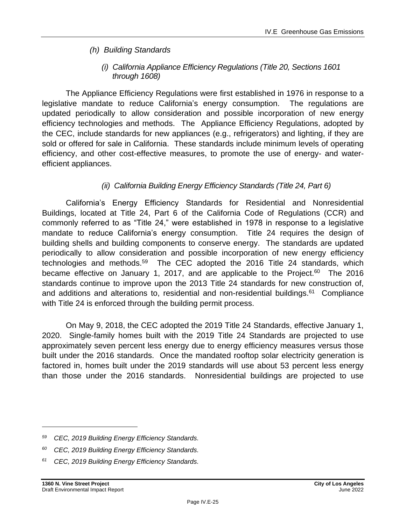#### *(h) Building Standards*

#### *(i) California Appliance Efficiency Regulations (Title 20, Sections 1601 through 1608)*

The Appliance Efficiency Regulations were first established in 1976 in response to a legislative mandate to reduce California's energy consumption. The regulations are updated periodically to allow consideration and possible incorporation of new energy efficiency technologies and methods. The Appliance Efficiency Regulations, adopted by the CEC, include standards for new appliances (e.g., refrigerators) and lighting, if they are sold or offered for sale in California. These standards include minimum levels of operating efficiency, and other cost-effective measures, to promote the use of energy- and waterefficient appliances.

#### *(ii) California Building Energy Efficiency Standards (Title 24, Part 6)*

California's Energy Efficiency Standards for Residential and Nonresidential Buildings, located at Title 24, Part 6 of the California Code of Regulations (CCR) and commonly referred to as "Title 24," were established in 1978 in response to a legislative mandate to reduce California's energy consumption. Title 24 requires the design of building shells and building components to conserve energy. The standards are updated periodically to allow consideration and possible incorporation of new energy efficiency technologies and methods.<sup>59</sup> The CEC adopted the 2016 Title 24 standards, which became effective on January 1, 2017, and are applicable to the Project.<sup>60</sup> The 2016 standards continue to improve upon the 2013 Title 24 standards for new construction of, and additions and alterations to, residential and non-residential buildings.<sup>61</sup> Compliance with Title 24 is enforced through the building permit process.

On May 9, 2018, the CEC adopted the 2019 Title 24 Standards, effective January 1, 2020. Single-family homes built with the 2019 Title 24 Standards are projected to use approximately seven percent less energy due to energy efficiency measures versus those built under the 2016 standards. Once the mandated rooftop solar electricity generation is factored in, homes built under the 2019 standards will use about 53 percent less energy than those under the 2016 standards. Nonresidential buildings are projected to use

*<sup>59</sup> CEC, 2019 Building Energy Efficiency Standards.*

*<sup>60</sup> CEC, 2019 Building Energy Efficiency Standards.*

*<sup>61</sup> CEC, 2019 Building Energy Efficiency Standards.*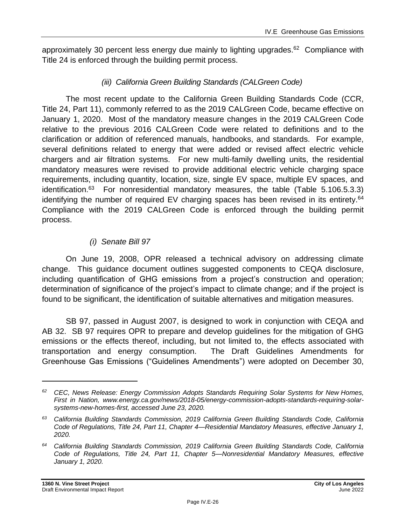approximately 30 percent less energy due mainly to lighting upgrades.<sup>62</sup> Compliance with Title 24 is enforced through the building permit process.

#### *(iii) California Green Building Standards (CALGreen Code)*

The most recent update to the California Green Building Standards Code (CCR, Title 24, Part 11), commonly referred to as the 2019 CALGreen Code, became effective on January 1, 2020. Most of the mandatory measure changes in the 2019 CALGreen Code relative to the previous 2016 CALGreen Code were related to definitions and to the clarification or addition of referenced manuals, handbooks, and standards. For example, several definitions related to energy that were added or revised affect electric vehicle chargers and air filtration systems. For new multi-family dwelling units, the residential mandatory measures were revised to provide additional electric vehicle charging space requirements, including quantity, location, size, single EV space, multiple EV spaces, and identification. $63$  For nonresidential mandatory measures, the table (Table 5.106.5.3.3) identifying the number of required EV charging spaces has been revised in its entirety.<sup>64</sup> Compliance with the 2019 CALGreen Code is enforced through the building permit process.

### *(i) Senate Bill 97*

On June 19, 2008, OPR released a technical advisory on addressing climate change. This guidance document outlines suggested components to CEQA disclosure, including quantification of GHG emissions from a project's construction and operation; determination of significance of the project's impact to climate change; and if the project is found to be significant, the identification of suitable alternatives and mitigation measures.

SB 97, passed in August 2007, is designed to work in conjunction with CEQA and AB 32. SB 97 requires OPR to prepare and develop guidelines for the mitigation of GHG emissions or the effects thereof, including, but not limited to, the effects associated with transportation and energy consumption. The Draft Guidelines Amendments for Greenhouse Gas Emissions ("Guidelines Amendments") were adopted on December 30,

*<sup>62</sup> CEC, News Release: Energy Commission Adopts Standards Requiring Solar Systems for New Homes, First in Nation, www.energy.ca.gov/news/2018-05/energy-commission-adopts-standards-requiring-solarsystems-new-homes-first, accessed June 23, 2020.*

*<sup>63</sup> California Building Standards Commission, 2019 California Green Building Standards Code, California Code of Regulations, Title 24, Part 11, Chapter 4—Residential Mandatory Measures, effective January 1, 2020.*

*<sup>64</sup> California Building Standards Commission, 2019 California Green Building Standards Code, California Code of Regulations, Title 24, Part 11, Chapter 5—Nonresidential Mandatory Measures, effective January 1, 2020.*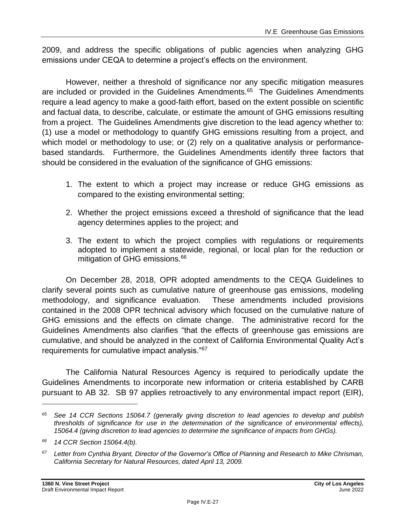2009, and address the specific obligations of public agencies when analyzing GHG emissions under CEQA to determine a project's effects on the environment.

However, neither a threshold of significance nor any specific mitigation measures are included or provided in the Guidelines Amendments.<sup>65</sup> The Guidelines Amendments require a lead agency to make a good-faith effort, based on the extent possible on scientific and factual data, to describe, calculate, or estimate the amount of GHG emissions resulting from a project. The Guidelines Amendments give discretion to the lead agency whether to: (1) use a model or methodology to quantify GHG emissions resulting from a project, and which model or methodology to use; or (2) rely on a qualitative analysis or performancebased standards. Furthermore, the Guidelines Amendments identify three factors that should be considered in the evaluation of the significance of GHG emissions:

- 1. The extent to which a project may increase or reduce GHG emissions as compared to the existing environmental setting;
- 2. Whether the project emissions exceed a threshold of significance that the lead agency determines applies to the project; and
- 3. The extent to which the project complies with regulations or requirements adopted to implement a statewide, regional, or local plan for the reduction or mitigation of GHG emissions.<sup>66</sup>

On December 28, 2018, OPR adopted amendments to the CEQA Guidelines to clarify several points such as cumulative nature of greenhouse gas emissions, modeling methodology, and significance evaluation. These amendments included provisions contained in the 2008 OPR technical advisory which focused on the cumulative nature of GHG emissions and the effects on climate change. The administrative record for the Guidelines Amendments also clarifies "that the effects of greenhouse gas emissions are cumulative, and should be analyzed in the context of California Environmental Quality Act's requirements for cumulative impact analysis."<sup>67</sup>

The California Natural Resources Agency is required to periodically update the Guidelines Amendments to incorporate new information or criteria established by CARB pursuant to AB 32. SB 97 applies retroactively to any environmental impact report (EIR),

*<sup>65</sup> See 14 CCR Sections 15064.7 (generally giving discretion to lead agencies to develop and publish thresholds of significance for use in the determination of the significance of environmental effects), 15064.4 (giving discretion to lead agencies to determine the significance of impacts from GHGs).*

*<sup>66</sup> 14 CCR Section 15064.4(b).*

*<sup>67</sup> Letter from Cynthia Bryant, Director of the Governor's Office of Planning and Research to Mike Chrisman, California Secretary for Natural Resources, dated April 13, 2009.*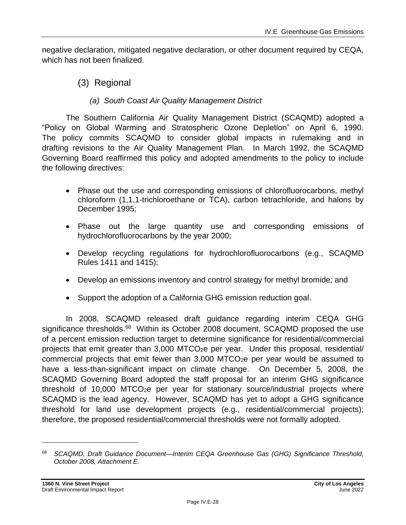negative declaration, mitigated negative declaration, or other document required by CEQA, which has not been finalized.

(3) Regional

#### *(a) South Coast Air Quality Management District*

The Southern California Air Quality Management District (SCAQMD) adopted a "Policy on Global Warming and Stratospheric Ozone Depletion" on April 6, 1990. The policy commits SCAQMD to consider global impacts in rulemaking and in drafting revisions to the Air Quality Management Plan. In March 1992, the SCAQMD Governing Board reaffirmed this policy and adopted amendments to the policy to include the following directives:

- Phase out the use and corresponding emissions of chlorofluorocarbons, methyl chloroform (1,1,1-trichloroethane or TCA), carbon tetrachloride, and halons by December 1995;
- Phase out the large quantity use and corresponding emissions of hydrochlorofluorocarbons by the year 2000;
- Develop recycling regulations for hydrochlorofluorocarbons (e.g., SCAQMD Rules 1411 and 1415);
- Develop an emissions inventory and control strategy for methyl bromide; and
- Support the adoption of a California GHG emission reduction goal.

In 2008, SCAQMD released draft guidance regarding interim CEQA GHG significance thresholds.<sup>68</sup> Within its October 2008 document, SCAQMD proposed the use of a percent emission reduction target to determine significance for residential/commercial projects that emit greater than 3,000 MTCO2e per year. Under this proposal, residential/ commercial projects that emit fewer than  $3,000$  MTCO<sub>2</sub>e per year would be assumed to have a less-than-significant impact on climate change. On December 5, 2008, the SCAQMD Governing Board adopted the staff proposal for an interim GHG significance threshold of 10,000 MTCO $2e$  per year for stationary source/industrial projects where SCAQMD is the lead agency. However, SCAQMD has yet to adopt a GHG significance threshold for land use development projects (e.g., residential/commercial projects); therefore, the proposed residential/commercial thresholds were not formally adopted.

*<sup>68</sup> SCAQMD, Draft Guidance Document—Interim CEQA Greenhouse Gas (GHG) Significance Threshold, October 2008, Attachment E.*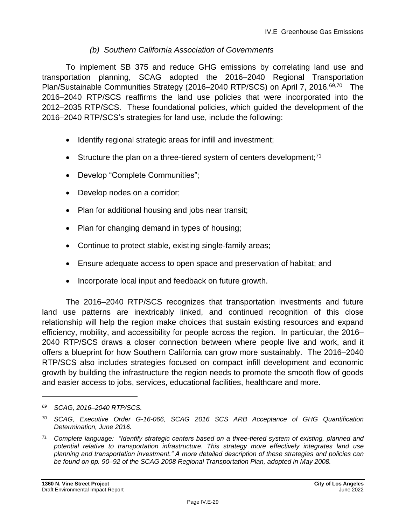#### *(b) Southern California Association of Governments*

To implement SB 375 and reduce GHG emissions by correlating land use and transportation planning, SCAG adopted the 2016–2040 Regional Transportation Plan/Sustainable Communities Strategy (2016–2040 RTP/SCS) on April 7, 2016.<sup>69,70</sup> The 2016–2040 RTP/SCS reaffirms the land use policies that were incorporated into the 2012–2035 RTP/SCS. These foundational policies, which guided the development of the 2016–2040 RTP/SCS's strategies for land use, include the following:

- Identify regional strategic areas for infill and investment;
- Structure the plan on a three-tiered system of centers development; $71$
- Develop "Complete Communities";
- Develop nodes on a corridor;
- Plan for additional housing and jobs near transit;
- Plan for changing demand in types of housing;
- Continue to protect stable, existing single-family areas;
- Ensure adequate access to open space and preservation of habitat; and
- Incorporate local input and feedback on future growth.

The 2016–2040 RTP/SCS recognizes that transportation investments and future land use patterns are inextricably linked, and continued recognition of this close relationship will help the region make choices that sustain existing resources and expand efficiency, mobility, and accessibility for people across the region. In particular, the 2016– 2040 RTP/SCS draws a closer connection between where people live and work, and it offers a blueprint for how Southern California can grow more sustainably. The 2016–2040 RTP/SCS also includes strategies focused on compact infill development and economic growth by building the infrastructure the region needs to promote the smooth flow of goods and easier access to jobs, services, educational facilities, healthcare and more.

*<sup>69</sup> SCAG, 2016–2040 RTP/SCS.*

*<sup>70</sup> SCAG, Executive Order G-16-066, SCAG 2016 SCS ARB Acceptance of GHG Quantification Determination, June 2016.*

*<sup>71</sup> Complete language: "Identify strategic centers based on a three-tiered system of existing, planned and potential relative to transportation infrastructure. This strategy more effectively integrates land use planning and transportation investment." A more detailed description of these strategies and policies can be found on pp. 90–92 of the SCAG 2008 Regional Transportation Plan, adopted in May 2008.*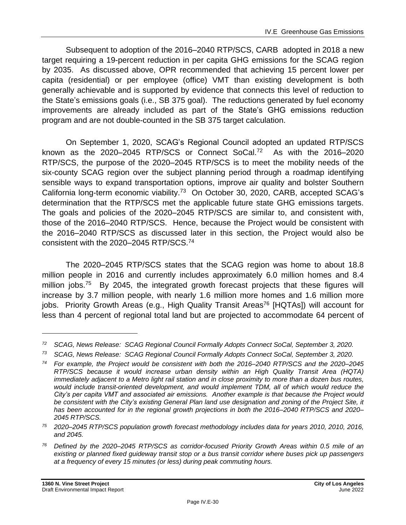Subsequent to adoption of the 2016–2040 RTP/SCS, CARB adopted in 2018 a new target requiring a 19-percent reduction in per capita GHG emissions for the SCAG region by 2035. As discussed above, OPR recommended that achieving 15 percent lower per capita (residential) or per employee (office) VMT than existing development is both generally achievable and is supported by evidence that connects this level of reduction to the State's emissions goals (i.e., SB 375 goal). The reductions generated by fuel economy improvements are already included as part of the State's GHG emissions reduction program and are not double-counted in the SB 375 target calculation.

On September 1, 2020, SCAG's Regional Council adopted an updated RTP/SCS known as the 2020–2045 RTP/SCS or Connect SoCal.<sup>72</sup> As with the 2016–2020 RTP/SCS, the purpose of the 2020–2045 RTP/SCS is to meet the mobility needs of the six-county SCAG region over the subject planning period through a roadmap identifying sensible ways to expand transportation options, improve air quality and bolster Southern California long-term economic viability.<sup>73</sup> On October 30, 2020, CARB, accepted SCAG's determination that the RTP/SCS met the applicable future state GHG emissions targets. The goals and policies of the 2020–2045 RTP/SCS are similar to, and consistent with, those of the 2016–2040 RTP/SCS. Hence, because the Project would be consistent with the 2016–2040 RTP/SCS as discussed later in this section, the Project would also be consistent with the 2020–2045 RTP/SCS.<sup>74</sup>

The 2020–2045 RTP/SCS states that the SCAG region was home to about 18.8 million people in 2016 and currently includes approximately 6.0 million homes and 8.4 million jobs.<sup>75</sup> By 2045, the integrated growth forecast projects that these figures will increase by 3.7 million people, with nearly 1.6 million more homes and 1.6 million more jobs. Priority Growth Areas (e.g., High Quality Transit Areas<sup>76</sup> [HQTAs]) will account for less than 4 percent of regional total land but are projected to accommodate 64 percent of

*<sup>72</sup> SCAG, News Release: SCAG Regional Council Formally Adopts Connect SoCal, September 3, 2020.*

*<sup>73</sup> SCAG, News Release: SCAG Regional Council Formally Adopts Connect SoCal, September 3, 2020.*

*<sup>74</sup> For example, the Project would be consistent with both the 2016–2040 RTP/SCS and the 2020–2045 RTP/SCS because it would increase urban density within an High Quality Transit Area (HQTA) immediately adjacent to a Metro light rail station and in close proximity to more than a dozen bus routes, would include transit-oriented development, and would implement TDM, all of which would reduce the City's per capita VMT and associated air emissions. Another example is that because the Project would be consistent with the City's existing General Plan land use designation and zoning of the Project Site, it has been accounted for in the regional growth projections in both the 2016–2040 RTP/SCS and 2020– 2045 RTP/SCS.*

*<sup>75</sup> 2020–2045 RTP/SCS population growth forecast methodology includes data for years 2010, 2010, 2016, and 2045.*

*<sup>76</sup> Defined by the 2020–2045 RTP/SCS as corridor-focused Priority Growth Areas within 0.5 mile of an existing or planned fixed guideway transit stop or a bus transit corridor where buses pick up passengers at a frequency of every 15 minutes (or less) during peak commuting hours.*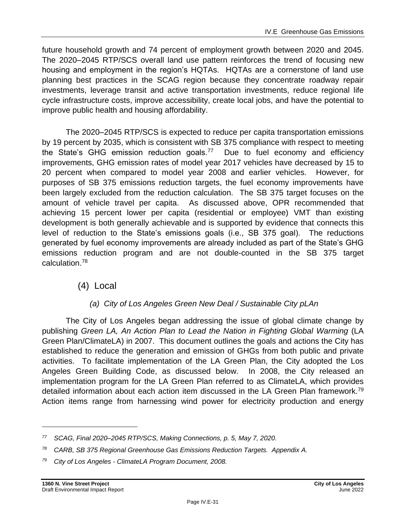future household growth and 74 percent of employment growth between 2020 and 2045. The 2020–2045 RTP/SCS overall land use pattern reinforces the trend of focusing new housing and employment in the region's HQTAs. HQTAs are a cornerstone of land use planning best practices in the SCAG region because they concentrate roadway repair investments, leverage transit and active transportation investments, reduce regional life cycle infrastructure costs, improve accessibility, create local jobs, and have the potential to improve public health and housing affordability.

The 2020–2045 RTP/SCS is expected to reduce per capita transportation emissions by 19 percent by 2035, which is consistent with SB 375 compliance with respect to meeting the State's GHG emission reduction goals.<sup>77</sup> Due to fuel economy and efficiency improvements, GHG emission rates of model year 2017 vehicles have decreased by 15 to 20 percent when compared to model year 2008 and earlier vehicles. However, for purposes of SB 375 emissions reduction targets, the fuel economy improvements have been largely excluded from the reduction calculation. The SB 375 target focuses on the amount of vehicle travel per capita. As discussed above, OPR recommended that achieving 15 percent lower per capita (residential or employee) VMT than existing development is both generally achievable and is supported by evidence that connects this level of reduction to the State's emissions goals (i.e., SB 375 goal). The reductions generated by fuel economy improvements are already included as part of the State's GHG emissions reduction program and are not double-counted in the SB 375 target calculation.<sup>78</sup>

## (4) Local

### *(a) City of Los Angeles Green New Deal / Sustainable City pLAn*

The City of Los Angeles began addressing the issue of global climate change by publishing *Green LA, An Action Plan to Lead the Nation in Fighting Global Warming* (LA Green Plan/ClimateLA) in 2007. This document outlines the goals and actions the City has established to reduce the generation and emission of GHGs from both public and private activities. To facilitate implementation of the LA Green Plan, the City adopted the Los Angeles Green Building Code, as discussed below. In 2008, the City released an implementation program for the LA Green Plan referred to as ClimateLA, which provides detailed information about each action item discussed in the LA Green Plan framework.<sup>79</sup> Action items range from harnessing wind power for electricity production and energy

*<sup>77</sup> SCAG, Final 2020–2045 RTP/SCS, Making Connections, p. 5, May 7, 2020.*

*<sup>78</sup> CARB, SB 375 Regional Greenhouse Gas Emissions Reduction Targets. Appendix A.*

*<sup>79</sup> City of Los Angeles - ClimateLA Program Document, 2008.*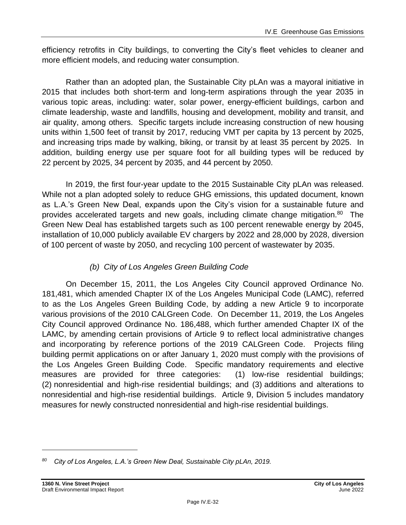efficiency retrofits in City buildings, to converting the City's fleet vehicles to cleaner and more efficient models, and reducing water consumption.

Rather than an adopted plan, the Sustainable City pLAn was a mayoral initiative in 2015 that includes both short-term and long-term aspirations through the year 2035 in various topic areas, including: water, solar power, energy-efficient buildings, carbon and climate leadership, waste and landfills, housing and development, mobility and transit, and air quality, among others. Specific targets include increasing construction of new housing units within 1,500 feet of transit by 2017, reducing VMT per capita by 13 percent by 2025, and increasing trips made by walking, biking, or transit by at least 35 percent by 2025. In addition, building energy use per square foot for all building types will be reduced by 22 percent by 2025, 34 percent by 2035, and 44 percent by 2050.

In 2019, the first four-year update to the 2015 Sustainable City pLAn was released. While not a plan adopted solely to reduce GHG emissions, this updated document, known as L.A.'s Green New Deal, expands upon the City's vision for a sustainable future and provides accelerated targets and new goals, including climate change mitigation.<sup>80</sup> The Green New Deal has established targets such as 100 percent renewable energy by 2045, installation of 10,000 publicly available EV chargers by 2022 and 28,000 by 2028, diversion of 100 percent of waste by 2050, and recycling 100 percent of wastewater by 2035.

#### *(b) City of Los Angeles Green Building Code*

On December 15, 2011, the Los Angeles City Council approved Ordinance No. 181,481, which amended Chapter IX of the Los Angeles Municipal Code (LAMC), referred to as the Los Angeles Green Building Code, by adding a new Article 9 to incorporate various provisions of the 2010 CALGreen Code. On December 11, 2019, the Los Angeles City Council approved Ordinance No. 186,488, which further amended Chapter IX of the LAMC, by amending certain provisions of Article 9 to reflect local administrative changes and incorporating by reference portions of the 2019 CALGreen Code. Projects filing building permit applications on or after January 1, 2020 must comply with the provisions of the Los Angeles Green Building Code. Specific mandatory requirements and elective measures are provided for three categories: (1) low-rise residential buildings; (2) nonresidential and high-rise residential buildings; and (3) additions and alterations to nonresidential and high-rise residential buildings. Article 9, Division 5 includes mandatory measures for newly constructed nonresidential and high-rise residential buildings.

*<sup>80</sup> City of Los Angeles, L.A.'s Green New Deal, Sustainable City pLAn, 2019.*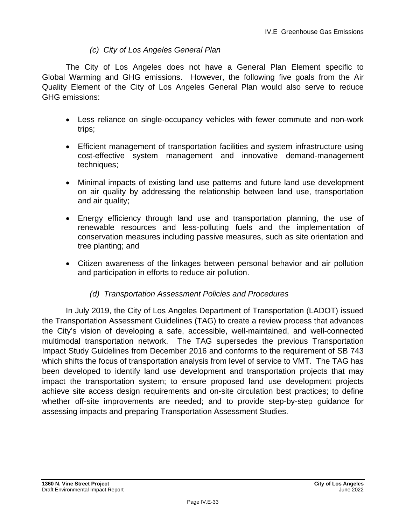#### *(c) City of Los Angeles General Plan*

The City of Los Angeles does not have a General Plan Element specific to Global Warming and GHG emissions. However, the following five goals from the Air Quality Element of the City of Los Angeles General Plan would also serve to reduce GHG emissions:

- Less reliance on single-occupancy vehicles with fewer commute and non-work trips;
- Efficient management of transportation facilities and system infrastructure using cost-effective system management and innovative demand-management techniques;
- Minimal impacts of existing land use patterns and future land use development on air quality by addressing the relationship between land use, transportation and air quality;
- Energy efficiency through land use and transportation planning, the use of renewable resources and less-polluting fuels and the implementation of conservation measures including passive measures, such as site orientation and tree planting; and
- Citizen awareness of the linkages between personal behavior and air pollution and participation in efforts to reduce air pollution.

#### *(d) Transportation Assessment Policies and Procedures*

In July 2019, the City of Los Angeles Department of Transportation (LADOT) issued the Transportation Assessment Guidelines (TAG) to create a review process that advances the City's vision of developing a safe, accessible, well-maintained, and well-connected multimodal transportation network. The TAG supersedes the previous Transportation Impact Study Guidelines from December 2016 and conforms to the requirement of SB 743 which shifts the focus of transportation analysis from level of service to VMT. The TAG has been developed to identify land use development and transportation projects that may impact the transportation system; to ensure proposed land use development projects achieve site access design requirements and on-site circulation best practices; to define whether off-site improvements are needed; and to provide step-by-step guidance for assessing impacts and preparing Transportation Assessment Studies.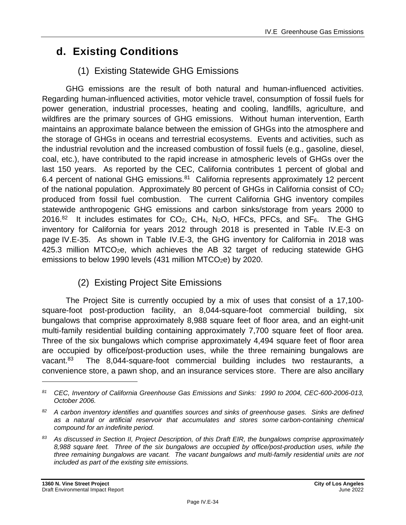## **d. Existing Conditions**

## (1) Existing Statewide GHG Emissions

GHG emissions are the result of both natural and human-influenced activities. Regarding human-influenced activities, motor vehicle travel, consumption of fossil fuels for power generation, industrial processes, heating and cooling, landfills, agriculture, and wildfires are the primary sources of GHG emissions. Without human intervention, Earth maintains an approximate balance between the emission of GHGs into the atmosphere and the storage of GHGs in oceans and terrestrial ecosystems. Events and activities, such as the industrial revolution and the increased combustion of fossil fuels (e.g., gasoline, diesel, coal, etc.), have contributed to the rapid increase in atmospheric levels of GHGs over the last 150 years. As reported by the CEC, California contributes 1 percent of global and 6.4 percent of national GHG emissions.<sup>81</sup> California represents approximately 12 percent of the national population. Approximately 80 percent of GHGs in California consist of CO<sup>2</sup> produced from fossil fuel combustion. The current California GHG inventory compiles statewide anthropogenic GHG emissions and carbon sinks/storage from years 2000 to  $2016.<sup>82</sup>$  It includes estimates for CO<sub>2</sub>, CH<sub>4</sub>, N<sub>2</sub>O, HFCs, PFCs, and SF<sub>6</sub>. The GHG inventory for California for years 2012 through 2018 is presented in Table IV.E-3 on page IV.E-35. As shown in Table IV.E-3, the GHG inventory for California in 2018 was 425.3 million MTCO<sub>2</sub>e, which achieves the AB 32 target of reducing statewide GHG emissions to below 1990 levels (431 million MTCO<sub>2</sub>e) by 2020.

## (2) Existing Project Site Emissions

The Project Site is currently occupied by a mix of uses that consist of a 17,100 square-foot post-production facility, an 8,044-square-foot commercial building, six bungalows that comprise approximately 8,988 square feet of floor area, and an eight-unit multi-family residential building containing approximately 7,700 square feet of floor area. Three of the six bungalows which comprise approximately 4,494 square feet of floor area are occupied by office/post-production uses, while the three remaining bungalows are vacant.<sup>83</sup> The 8,044-square-foot commercial building includes two restaurants, a convenience store, a pawn shop, and an insurance services store. There are also ancillary

*<sup>81</sup> CEC, Inventory of California Greenhouse Gas Emissions and Sinks: 1990 to 2004, CEC-600-2006-013, October 2006.*

*<sup>82</sup> A carbon inventory identifies and quantifies sources and sinks of greenhouse gases. Sinks are defined as a natural or artificial reservoir that accumulates and stores some carbon-containing chemical compound for an indefinite period.*

*<sup>83</sup> As discussed in Section II, Project Description, of this Draft EIR, the bungalows comprise approximately 8,988 square feet. Three of the six bungalows are occupied by office/post-production uses, while the three remaining bungalows are vacant. The vacant bungalows and multi-family residential units are not included as part of the existing site emissions.*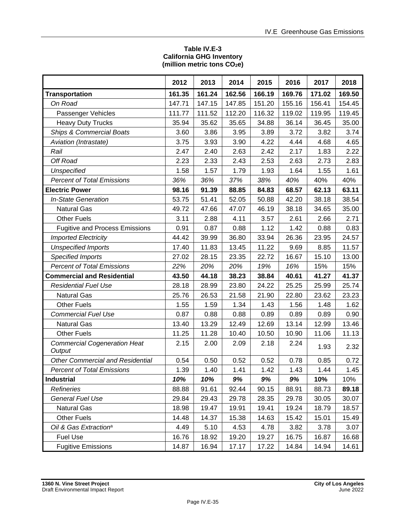#### **Table IV.E-3 California GHG Inventory (million metric tons CO2e)**

|                                               | 2012   | 2013   | 2014   | 2015   | 2016   | 2017   | 2018   |
|-----------------------------------------------|--------|--------|--------|--------|--------|--------|--------|
| <b>Transportation</b>                         | 161.35 | 161.24 | 162.56 | 166.19 | 169.76 | 171.02 | 169.50 |
| On Road                                       | 147.71 | 147.15 | 147.85 | 151.20 | 155.16 | 156.41 | 154.45 |
| Passenger Vehicles                            | 111.77 | 111.52 | 112.20 | 116.32 | 119.02 | 119.95 | 119.45 |
| <b>Heavy Duty Trucks</b>                      | 35.94  | 35.62  | 35.65  | 34.88  | 36.14  | 36.45  | 35.00  |
| <b>Ships &amp; Commercial Boats</b>           | 3.60   | 3.86   | 3.95   | 3.89   | 3.72   | 3.82   | 3.74   |
| Aviation (Intrastate)                         | 3.75   | 3.93   | 3.90   | 4.22   | 4.44   | 4.68   | 4.65   |
| Rail                                          | 2.47   | 2.40   | 2.63   | 2.42   | 2.17   | 1.83   | 2.22   |
| Off Road                                      | 2.23   | 2.33   | 2.43   | 2.53   | 2.63   | 2.73   | 2.83   |
| <b>Unspecified</b>                            | 1.58   | 1.57   | 1.79   | 1.93   | 1.64   | 1.55   | 1.61   |
| <b>Percent of Total Emissions</b>             | 36%    | 36%    | 37%    | 38%    | 40%    | 40%    | 40%    |
| <b>Electric Power</b>                         | 98.16  | 91.39  | 88.85  | 84.83  | 68.57  | 62.13  | 63.11  |
| <b>In-State Generation</b>                    | 53.75  | 51.41  | 52.05  | 50.88  | 42.20  | 38.18  | 38.54  |
| <b>Natural Gas</b>                            | 49.72  | 47.66  | 47.07  | 46.19  | 38.18  | 34.65  | 35.00  |
| <b>Other Fuels</b>                            | 3.11   | 2.88   | 4.11   | 3.57   | 2.61   | 2.66   | 2.71   |
| <b>Fugitive and Process Emissions</b>         | 0.91   | 0.87   | 0.88   | 1.12   | 1.42   | 0.88   | 0.83   |
| <b>Imported Electricity</b>                   | 44.42  | 39.99  | 36.80  | 33.94  | 26.36  | 23.95  | 24.57  |
| <b>Unspecified Imports</b>                    | 17.40  | 11.83  | 13.45  | 11.22  | 9.69   | 8.85   | 11.57  |
| <b>Specified Imports</b>                      | 27.02  | 28.15  | 23.35  | 22.72  | 16.67  | 15.10  | 13.00  |
| <b>Percent of Total Emissions</b>             | 22%    | 20%    | 20%    | 19%    | 16%    | 15%    | 15%    |
| <b>Commercial and Residential</b>             | 43.50  | 44.18  | 38.23  | 38.84  | 40.61  | 41.27  | 41.37  |
| <b>Residential Fuel Use</b>                   | 28.18  | 28.99  | 23.80  | 24.22  | 25.25  | 25.99  | 25.74  |
| <b>Natural Gas</b>                            | 25.76  | 26.53  | 21.58  | 21.90  | 22.80  | 23.62  | 23.23  |
| <b>Other Fuels</b>                            | 1.55   | 1.59   | 1.34   | 1.43   | 1.56   | 1.48   | 1.62   |
| <b>Commercial Fuel Use</b>                    | 0.87   | 0.88   | 0.88   | 0.89   | 0.89   | 0.89   | 0.90   |
| <b>Natural Gas</b>                            | 13.40  | 13.29  | 12.49  | 12.69  | 13.14  | 12.99  | 13.46  |
| <b>Other Fuels</b>                            | 11.25  | 11.28  | 10.40  | 10.50  | 10.90  | 11.06  | 11.13  |
| <b>Commercial Cogeneration Heat</b><br>Output | 2.15   | 2.00   | 2.09   | 2.18   | 2.24   | 1.93   | 2.32   |
| <b>Other Commercial and Residential</b>       | 0.54   | 0.50   | 0.52   | 0.52   | 0.78   | 0.85   | 0.72   |
| <b>Percent of Total Emissions</b>             | 1.39   | 1.40   | 1.41   | 1.42   | 1.43   | 1.44   | 1.45   |
| <b>Industrial</b>                             | 10%    | 10%    | 9%     | 9%     | 9%     | 10%    | 10%    |
| <b>Refineries</b>                             | 88.88  | 91.61  | 92.44  | 90.15  | 88.91  | 88.73  | 89.18  |
| <b>General Fuel Use</b>                       | 29.84  | 29.43  | 29.78  | 28.35  | 29.78  | 30.05  | 30.07  |
| <b>Natural Gas</b>                            | 18.98  | 19.47  | 19.91  | 19.41  | 19.24  | 18.79  | 18.57  |
| <b>Other Fuels</b>                            | 14.48  | 14.37  | 15.38  | 14.63  | 15.42  | 15.01  | 15.49  |
| Oil & Gas Extraction <sup>a</sup>             | 4.49   | 5.10   | 4.53   | 4.78   | 3.82   | 3.78   | 3.07   |
| <b>Fuel Use</b>                               | 16.76  | 18.92  | 19.20  | 19.27  | 16.75  | 16.87  | 16.68  |
| <b>Fugitive Emissions</b>                     | 14.87  | 16.94  | 17.17  | 17.22  | 14.84  | 14.94  | 14.61  |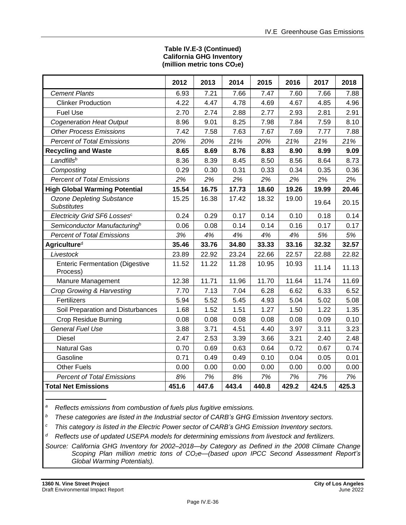#### **Table IV.E-3 (Continued) California GHG Inventory (million metric tons CO2e)**

|                                                        | 2012  | 2013  | 2014  | 2015  | 2016  | 2017  | 2018  |
|--------------------------------------------------------|-------|-------|-------|-------|-------|-------|-------|
| <b>Cement Plants</b>                                   | 6.93  | 7.21  | 7.66  | 7.47  | 7.60  | 7.66  | 7.88  |
| <b>Clinker Production</b>                              | 4.22  | 4.47  | 4.78  | 4.69  | 4.67  | 4.85  | 4.96  |
| <b>Fuel Use</b>                                        | 2.70  | 2.74  | 2.88  | 2.77  | 2.93  | 2.81  | 2.91  |
| <b>Cogeneration Heat Output</b>                        | 8.96  | 9.01  | 8.25  | 7.98  | 7.84  | 7.59  | 8.10  |
| <b>Other Process Emissions</b>                         | 7.42  | 7.58  | 7.63  | 7.67  | 7.69  | 7.77  | 7.88  |
| <b>Percent of Total Emissions</b>                      | 20%   | 20%   | 21%   | 20%   | 21%   | 21%   | 21%   |
| <b>Recycling and Waste</b>                             | 8.65  | 8.69  | 8.76  | 8.83  | 8.90  | 8.99  | 9.09  |
| Landfillsb                                             | 8.36  | 8.39  | 8.45  | 8.50  | 8.56  | 8.64  | 8.73  |
| Composting                                             | 0.29  | 0.30  | 0.31  | 0.33  | 0.34  | 0.35  | 0.36  |
| <b>Percent of Total Emissions</b>                      | 2%    | 2%    | 2%    | 2%    | 2%    | 2%    | 2%    |
| <b>High Global Warming Potential</b>                   | 15.54 | 16.75 | 17.73 | 18.60 | 19.26 | 19.99 | 20.46 |
| <b>Ozone Depleting Substance</b><br><b>Substitutes</b> | 15.25 | 16.38 | 17.42 | 18.32 | 19.00 | 19.64 | 20.15 |
| Electricity Grid SF6 Lossesc                           | 0.24  | 0.29  | 0.17  | 0.14  | 0.10  | 0.18  | 0.14  |
| Semiconductor Manufacturing <sup>b</sup>               | 0.06  | 0.08  | 0.14  | 0.14  | 0.16  | 0.17  | 0.17  |
| <b>Percent of Total Emissions</b>                      | 3%    | 4%    | 4%    | 4%    | 4%    | 5%    | 5%    |
| Agriculture <sup>d</sup>                               | 35.46 | 33.76 | 34.80 | 33.33 | 33.16 | 32.32 | 32.57 |
| Livestock                                              | 23.89 | 22.92 | 23.24 | 22.66 | 22.57 | 22.88 | 22.82 |
| <b>Enteric Fermentation (Digestive</b><br>Process)     | 11.52 | 11.22 | 11.28 | 10.95 | 10.93 | 11.14 | 11.13 |
| Manure Management                                      | 12.38 | 11.71 | 11.96 | 11.70 | 11.64 | 11.74 | 11.69 |
| Crop Growing & Harvesting                              | 7.70  | 7.13  | 7.04  | 6.28  | 6.62  | 6.33  | 6.52  |
| Fertilizers                                            | 5.94  | 5.52  | 5.45  | 4.93  | 5.04  | 5.02  | 5.08  |
| Soil Preparation and Disturbances                      | 1.68  | 1.52  | 1.51  | 1.27  | 1.50  | 1.22  | 1.35  |
| <b>Crop Residue Burning</b>                            | 0.08  | 0.08  | 0.08  | 0.08  | 0.08  | 0.09  | 0.10  |
| <b>General Fuel Use</b>                                | 3.88  | 3.71  | 4.51  | 4.40  | 3.97  | 3.11  | 3.23  |
| <b>Diesel</b>                                          | 2.47  | 2.53  | 3.39  | 3.66  | 3.21  | 2.40  | 2.48  |
| <b>Natural Gas</b>                                     | 0.70  | 0.69  | 0.63  | 0.64  | 0.72  | 0.67  | 0.74  |
| Gasoline                                               | 0.71  | 0.49  | 0.49  | 0.10  | 0.04  | 0.05  | 0.01  |
| <b>Other Fuels</b>                                     | 0.00  | 0.00  | 0.00  | 0.00  | 0.00  | 0.00  | 0.00  |
| <b>Percent of Total Emissions</b>                      | 8%    | 7%    | 8%    | 7%    | 7%    | 7%    | 7%    |
| <b>Total Net Emissions</b>                             | 451.6 | 447.6 | 443.4 | 440.8 | 429.2 | 424.5 | 425.3 |

*<sup>a</sup>Reflects emissions from combustion of fuels plus fugitive emissions.*

*<sup>b</sup>These categories are listed in the Industrial sector of CARB's GHG Emission Inventory sectors.*

*<sup>c</sup>This category is listed in the Electric Power sector of CARB's GHG Emission Inventory sectors.*

*<sup>d</sup>Reflects use of updated USEPA models for determining emissions from livestock and fertilizers.*

*Source: California GHG Inventory for 2002–2018—by Category as Defined in the 2008 Climate Change Scoping Plan million metric tons of CO2e—(based upon IPCC Second Assessment Report's Global Warming Potentials).*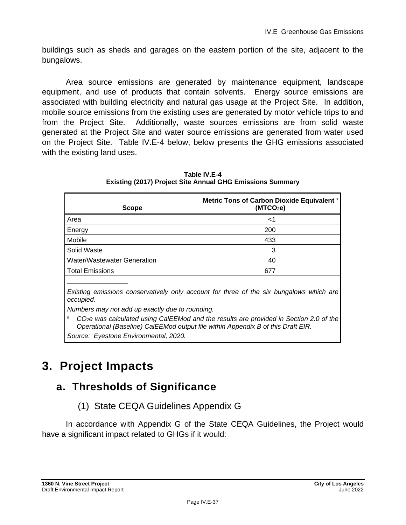buildings such as sheds and garages on the eastern portion of the site, adjacent to the bungalows.

Area source emissions are generated by maintenance equipment, landscape equipment, and use of products that contain solvents. Energy source emissions are associated with building electricity and natural gas usage at the Project Site. In addition, mobile source emissions from the existing uses are generated by motor vehicle trips to and from the Project Site. Additionally, waste sources emissions are from solid waste generated at the Project Site and water source emissions are generated from water used on the Project Site. Table IV.E-4 below, below presents the GHG emissions associated with the existing land uses.

| <b>Scope</b>                | Metric Tons of Carbon Dioxide Equivalent <sup>a</sup><br>(MTCO <sub>2</sub> e) |
|-----------------------------|--------------------------------------------------------------------------------|
| Area                        | ا>                                                                             |
| Energy                      | 200                                                                            |
| Mobile                      | 433                                                                            |
| Solid Waste                 | 3                                                                              |
| Water/Wastewater Generation | 40                                                                             |
| <b>Total Emissions</b>      | 677                                                                            |
|                             |                                                                                |

**Table IV.E-4 Existing (2017) Project Site Annual GHG Emissions Summary**

*Existing emissions conservatively only account for three of the six bungalows which are occupied.*

*Numbers may not add up exactly due to rounding.*

*<sup>a</sup>CO2e was calculated using CalEEMod and the results are provided in Section 2.0 of the Operational (Baseline) CalEEMod output file within Appendix B of this Draft EIR.*

*Source: Eyestone Environmental, 2020.*

# **3. Project Impacts**

# **a. Thresholds of Significance**

(1) State CEQA Guidelines Appendix G

In accordance with Appendix G of the State CEQA Guidelines, the Project would have a significant impact related to GHGs if it would: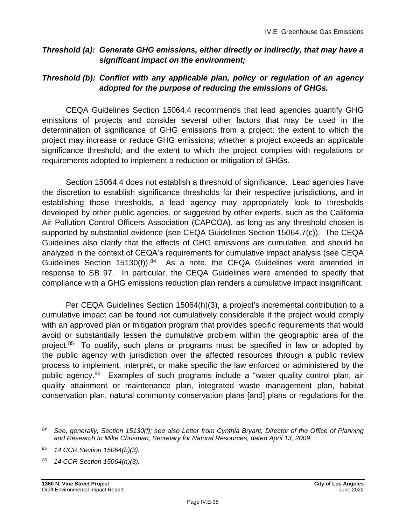### *Threshold (a): Generate GHG emissions, either directly or indirectly, that may have a significant impact on the environment;*

# *Threshold (b): Conflict with any applicable plan, policy or regulation of an agency adopted for the purpose of reducing the emissions of GHGs.*

CEQA Guidelines Section 15064.4 recommends that lead agencies quantify GHG emissions of projects and consider several other factors that may be used in the determination of significance of GHG emissions from a project: the extent to which the project may increase or reduce GHG emissions; whether a project exceeds an applicable significance threshold; and the extent to which the project complies with regulations or requirements adopted to implement a reduction or mitigation of GHGs.

Section 15064.4 does not establish a threshold of significance. Lead agencies have the discretion to establish significance thresholds for their respective jurisdictions, and in establishing those thresholds, a lead agency may appropriately look to thresholds developed by other public agencies, or suggested by other experts, such as the California Air Pollution Control Officers Association (CAPCOA), as long as any threshold chosen is supported by substantial evidence (see CEQA Guidelines Section 15064.7(c)). The CEQA Guidelines also clarify that the effects of GHG emissions are cumulative, and should be analyzed in the context of CEQA's requirements for cumulative impact analysis (see CEQA Guidelines Section  $15130(f)$ ).<sup>84</sup> As a note, the CEQA Guidelines were amended in response to SB 97. In particular, the CEQA Guidelines were amended to specify that compliance with a GHG emissions reduction plan renders a cumulative impact insignificant.

Per CEQA Guidelines Section 15064(h)(3), a project's incremental contribution to a cumulative impact can be found not cumulatively considerable if the project would comply with an approved plan or mitigation program that provides specific requirements that would avoid or substantially lessen the cumulative problem within the geographic area of the project.<sup>85</sup> To qualify, such plans or programs must be specified in law or adopted by the public agency with jurisdiction over the affected resources through a public review process to implement, interpret, or make specific the law enforced or administered by the public agency.<sup>86</sup> Examples of such programs include a "water quality control plan, air quality attainment or maintenance plan, integrated waste management plan, habitat conservation plan, natural community conservation plans [and] plans or regulations for the

*<sup>84</sup> See, generally, Section 15130(f); see also Letter from Cynthia Bryant, Director of the Office of Planning and Research to Mike Chrisman, Secretary for Natural Resources, dated April 13, 2009.*

*<sup>85</sup> 14 CCR Section 15064(h)(3).*

*<sup>86</sup> 14 CCR Section 15064(h)(3).*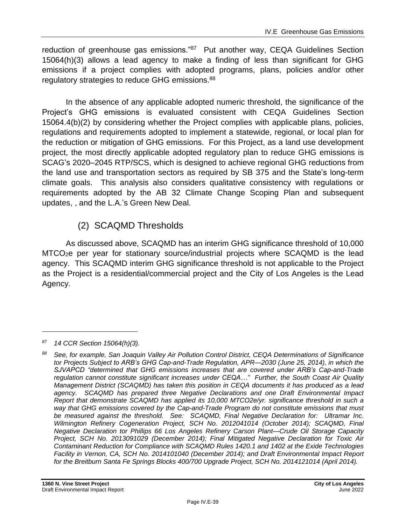reduction of greenhouse gas emissions."<sup>87</sup> Put another way, CEQA Guidelines Section 15064(h)(3) allows a lead agency to make a finding of less than significant for GHG emissions if a project complies with adopted programs, plans, policies and/or other regulatory strategies to reduce GHG emissions.<sup>88</sup>

In the absence of any applicable adopted numeric threshold, the significance of the Project's GHG emissions is evaluated consistent with CEQA Guidelines Section 15064.4(b)(2) by considering whether the Project complies with applicable plans, policies, regulations and requirements adopted to implement a statewide, regional, or local plan for the reduction or mitigation of GHG emissions. For this Project, as a land use development project, the most directly applicable adopted regulatory plan to reduce GHG emissions is SCAG's 2020–2045 RTP/SCS, which is designed to achieve regional GHG reductions from the land use and transportation sectors as required by SB 375 and the State's long-term climate goals. This analysis also considers qualitative consistency with regulations or requirements adopted by the AB 32 Climate Change Scoping Plan and subsequent updates, , and the L.A.'s Green New Deal.

# (2) SCAQMD Thresholds

As discussed above, SCAQMD has an interim GHG significance threshold of 10,000 MTCO2e per year for stationary source/industrial projects where SCAQMD is the lead agency. This SCAQMD interim GHG significance threshold is not applicable to the Project as the Project is a residential/commercial project and the City of Los Angeles is the Lead Agency.

*<sup>87</sup> 14 CCR Section 15064(h)(3).*

*<sup>88</sup> See, for example, San Joaquin Valley Air Pollution Control District, CEQA Determinations of Significance tor Projects Subject to ARB's GHG Cap-and-Trade Regulation, APR—2030 (June 25, 2014), in which the SJVAPCD "determined that GHG emissions increases that are covered under ARB's Cap-and-Trade regulation cannot constitute significant increases under CEQA…" Further, the South Coast Air Quality Management District (SCAQMD) has taken this position in CEQA documents it has produced as a lead agency. SCAQMD has prepared three Negative Declarations and one Draft Environmental Impact Report that demonstrate SCAQMD has applied its 10,000 MTCO2e/yr. significance threshold in such a way that GHG emissions covered by the Cap-and-Trade Program do not constitute emissions that must be measured against the threshold. See: SCAQMD, Final Negative Declaration for: Ultramar Inc. Wilmington Refinery Cogeneration Project, SCH No. 2012041014 (October 2014); SCAQMD, Final Negative Declaration tor Phillips 66 Los Angeles Refinery Carson Plant—Crude Oil Storage Capacity Project, SCH No. 2013091029 (December 2014); Final Mitigated Negative Declaration for Toxic Air Contaminant Reduction for Compliance with SCAQMD Rules 1420.1 and 1402 at the Exide Technologies Facility in Vernon, CA, SCH No. 2014101040 (December 2014); and Draft Environmental Impact Report for the Breitburn Santa Fe Springs Blocks 400/700 Upgrade Project, SCH No. 2014121014 (April 2014).*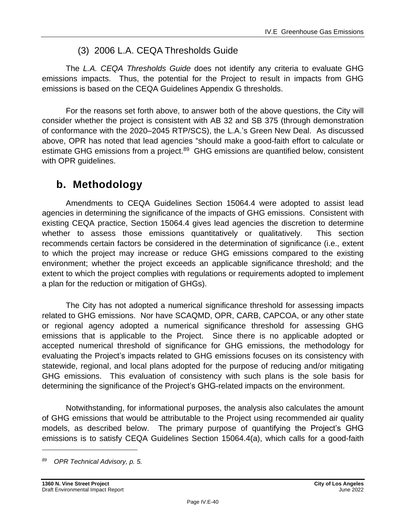# (3) 2006 L.A. CEQA Thresholds Guide

The *L.A. CEQA Thresholds Guide* does not identify any criteria to evaluate GHG emissions impacts. Thus, the potential for the Project to result in impacts from GHG emissions is based on the CEQA Guidelines Appendix G thresholds.

For the reasons set forth above, to answer both of the above questions, the City will consider whether the project is consistent with AB 32 and SB 375 (through demonstration of conformance with the 2020–2045 RTP/SCS), the L.A.'s Green New Deal. As discussed above, OPR has noted that lead agencies "should make a good-faith effort to calculate or estimate GHG emissions from a project.<sup>89</sup> GHG emissions are quantified below, consistent with OPR guidelines.

# **b. Methodology**

Amendments to CEQA Guidelines Section 15064.4 were adopted to assist lead agencies in determining the significance of the impacts of GHG emissions. Consistent with existing CEQA practice, Section 15064.4 gives lead agencies the discretion to determine whether to assess those emissions quantitatively or qualitatively. This section recommends certain factors be considered in the determination of significance (i.e., extent to which the project may increase or reduce GHG emissions compared to the existing environment; whether the project exceeds an applicable significance threshold; and the extent to which the project complies with regulations or requirements adopted to implement a plan for the reduction or mitigation of GHGs).

The City has not adopted a numerical significance threshold for assessing impacts related to GHG emissions. Nor have SCAQMD, OPR, CARB, CAPCOA, or any other state or regional agency adopted a numerical significance threshold for assessing GHG emissions that is applicable to the Project. Since there is no applicable adopted or accepted numerical threshold of significance for GHG emissions, the methodology for evaluating the Project's impacts related to GHG emissions focuses on its consistency with statewide, regional, and local plans adopted for the purpose of reducing and/or mitigating GHG emissions. This evaluation of consistency with such plans is the sole basis for determining the significance of the Project's GHG-related impacts on the environment.

Notwithstanding, for informational purposes, the analysis also calculates the amount of GHG emissions that would be attributable to the Project using recommended air quality models, as described below. The primary purpose of quantifying the Project's GHG emissions is to satisfy CEQA Guidelines Section 15064.4(a), which calls for a good-faith

*<sup>89</sup> OPR Technical Advisory, p. 5.*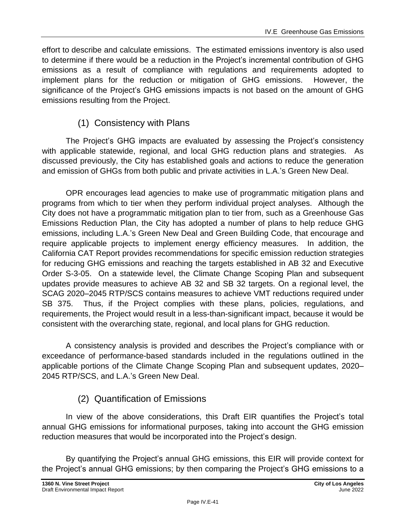effort to describe and calculate emissions. The estimated emissions inventory is also used to determine if there would be a reduction in the Project's incremental contribution of GHG emissions as a result of compliance with regulations and requirements adopted to implement plans for the reduction or mitigation of GHG emissions. However, the significance of the Project's GHG emissions impacts is not based on the amount of GHG emissions resulting from the Project.

# (1) Consistency with Plans

The Project's GHG impacts are evaluated by assessing the Project's consistency with applicable statewide, regional, and local GHG reduction plans and strategies. As discussed previously, the City has established goals and actions to reduce the generation and emission of GHGs from both public and private activities in L.A.'s Green New Deal.

OPR encourages lead agencies to make use of programmatic mitigation plans and programs from which to tier when they perform individual project analyses. Although the City does not have a programmatic mitigation plan to tier from, such as a Greenhouse Gas Emissions Reduction Plan, the City has adopted a number of plans to help reduce GHG emissions, including L.A.'s Green New Deal and Green Building Code, that encourage and require applicable projects to implement energy efficiency measures. In addition, the California CAT Report provides recommendations for specific emission reduction strategies for reducing GHG emissions and reaching the targets established in AB 32 and Executive Order S-3-05. On a statewide level, the Climate Change Scoping Plan and subsequent updates provide measures to achieve AB 32 and SB 32 targets. On a regional level, the SCAG 2020–2045 RTP/SCS contains measures to achieve VMT reductions required under SB 375. Thus, if the Project complies with these plans, policies, regulations, and requirements, the Project would result in a less-than-significant impact, because it would be consistent with the overarching state, regional, and local plans for GHG reduction.

A consistency analysis is provided and describes the Project's compliance with or exceedance of performance-based standards included in the regulations outlined in the applicable portions of the Climate Change Scoping Plan and subsequent updates, 2020– 2045 RTP/SCS, and L.A.'s Green New Deal.

# (2) Quantification of Emissions

In view of the above considerations, this Draft EIR quantifies the Project's total annual GHG emissions for informational purposes, taking into account the GHG emission reduction measures that would be incorporated into the Project's design.

By quantifying the Project's annual GHG emissions, this EIR will provide context for the Project's annual GHG emissions; by then comparing the Project's GHG emissions to a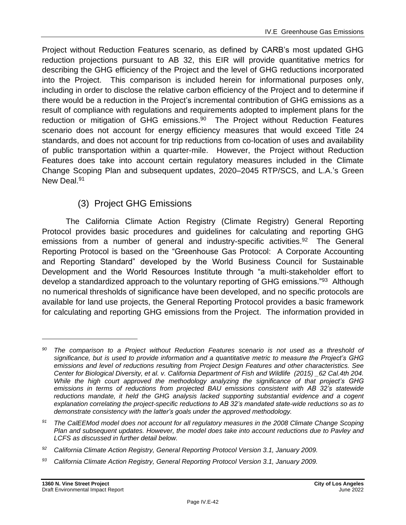Project without Reduction Features scenario, as defined by CARB's most updated GHG reduction projections pursuant to AB 32, this EIR will provide quantitative metrics for describing the GHG efficiency of the Project and the level of GHG reductions incorporated into the Project. This comparison is included herein for informational purposes only, including in order to disclose the relative carbon efficiency of the Project and to determine if there would be a reduction in the Project's incremental contribution of GHG emissions as a result of compliance with regulations and requirements adopted to implement plans for the reduction or mitigation of GHG emissions.<sup>90</sup> The Project without Reduction Features scenario does not account for energy efficiency measures that would exceed Title 24 standards, and does not account for trip reductions from co-location of uses and availability of public transportation within a quarter-mile. However, the Project without Reduction Features does take into account certain regulatory measures included in the Climate Change Scoping Plan and subsequent updates, 2020–2045 RTP/SCS, and L.A.'s Green New Deal.<sup>91</sup>

# (3) Project GHG Emissions

The California Climate Action Registry (Climate Registry) General Reporting Protocol provides basic procedures and guidelines for calculating and reporting GHG emissions from a number of general and industry-specific activities.<sup>92</sup> The General Reporting Protocol is based on the "Greenhouse Gas Protocol: A Corporate Accounting and Reporting Standard" developed by the World Business Council for Sustainable Development and the World Resources Institute through "a multi-stakeholder effort to develop a standardized approach to the voluntary reporting of GHG emissions."<sup>93</sup> Although no numerical thresholds of significance have been developed, and no specific protocols are available for land use projects, the General Reporting Protocol provides a basic framework for calculating and reporting GHG emissions from the Project. The information provided in

*<sup>93</sup> California Climate Action Registry, General Reporting Protocol Version 3.1, January 2009.*

*<sup>90</sup> The comparison to a Project without Reduction Features scenario is not used as a threshold of significance, but is used to provide information and a quantitative metric to measure the Project's GHG emissions and level of reductions resulting from Project Design Features and other characteristics. See Center for Biological Diversity, et al. v. California Department of Fish and Wildlife (2015) \_62 Cal.4th 204. While the high court approved the methodology analyzing the significance of that project's GHG emissions in terms of reductions from projected BAU emissions consistent with AB 32's statewide reductions mandate, it held the GHG analysis lacked supporting substantial evidence and a cogent explanation correlating the project-specific reductions to AB 32's mandated state-wide reductions so as to demonstrate consistency with the latter's goals under the approved methodology.*

*<sup>91</sup> The CalEEMod model does not account for all regulatory measures in the 2008 Climate Change Scoping Plan and subsequent updates. However, the model does take into account reductions due to Pavley and LCFS as discussed in further detail below.*

*<sup>92</sup> California Climate Action Registry, General Reporting Protocol Version 3.1, January 2009.*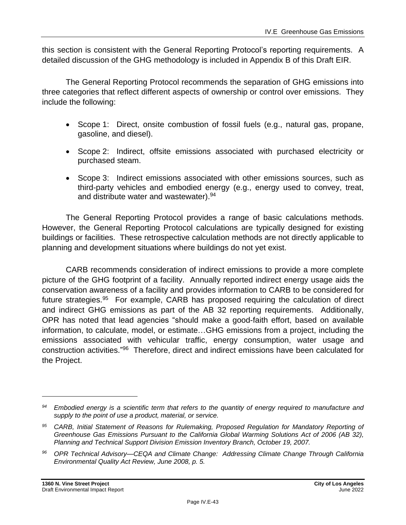this section is consistent with the General Reporting Protocol's reporting requirements. A detailed discussion of the GHG methodology is included in Appendix B of this Draft EIR.

The General Reporting Protocol recommends the separation of GHG emissions into three categories that reflect different aspects of ownership or control over emissions. They include the following:

- Scope 1: Direct, onsite combustion of fossil fuels (e.g., natural gas, propane, gasoline, and diesel).
- Scope 2: Indirect, offsite emissions associated with purchased electricity or purchased steam.
- Scope 3: Indirect emissions associated with other emissions sources, such as third-party vehicles and embodied energy (e.g., energy used to convey, treat, and distribute water and wastewater). 94

The General Reporting Protocol provides a range of basic calculations methods. However, the General Reporting Protocol calculations are typically designed for existing buildings or facilities. These retrospective calculation methods are not directly applicable to planning and development situations where buildings do not yet exist.

CARB recommends consideration of indirect emissions to provide a more complete picture of the GHG footprint of a facility. Annually reported indirect energy usage aids the conservation awareness of a facility and provides information to CARB to be considered for future strategies.<sup>95</sup> For example, CARB has proposed requiring the calculation of direct and indirect GHG emissions as part of the AB 32 reporting requirements. Additionally, OPR has noted that lead agencies "should make a good-faith effort, based on available information, to calculate, model, or estimate…GHG emissions from a project, including the emissions associated with vehicular traffic, energy consumption, water usage and construction activities." 96 Therefore, direct and indirect emissions have been calculated for the Project.

*<sup>94</sup> Embodied energy is a scientific term that refers to the quantity of energy required to manufacture and supply to the point of use a product, material, or service.*

*<sup>95</sup> CARB, Initial Statement of Reasons for Rulemaking, Proposed Regulation for Mandatory Reporting of Greenhouse Gas Emissions Pursuant to the California Global Warming Solutions Act of 2006 (AB 32), Planning and Technical Support Division Emission Inventory Branch, October 19, 2007.*

*<sup>96</sup> OPR Technical Advisory—CEQA and Climate Change: Addressing Climate Change Through California Environmental Quality Act Review, June 2008, p. 5.*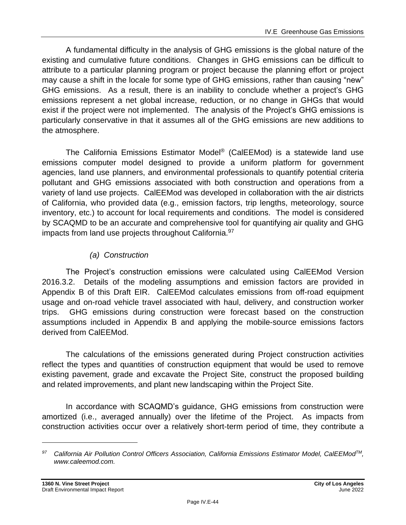A fundamental difficulty in the analysis of GHG emissions is the global nature of the existing and cumulative future conditions. Changes in GHG emissions can be difficult to attribute to a particular planning program or project because the planning effort or project may cause a shift in the locale for some type of GHG emissions, rather than causing "new" GHG emissions. As a result, there is an inability to conclude whether a project's GHG emissions represent a net global increase, reduction, or no change in GHGs that would exist if the project were not implemented. The analysis of the Project's GHG emissions is particularly conservative in that it assumes all of the GHG emissions are new additions to the atmosphere.

The California Emissions Estimator Model ® (CalEEMod) is a statewide land use emissions computer model designed to provide a uniform platform for government agencies, land use planners, and environmental professionals to quantify potential criteria pollutant and GHG emissions associated with both construction and operations from a variety of land use projects. CalEEMod was developed in collaboration with the air districts of California, who provided data (e.g., emission factors, trip lengths, meteorology, source inventory, etc.) to account for local requirements and conditions. The model is considered by SCAQMD to be an accurate and comprehensive tool for quantifying air quality and GHG impacts from land use projects throughout California.<sup>97</sup>

# *(a) Construction*

The Project's construction emissions were calculated using CalEEMod Version 2016.3.2. Details of the modeling assumptions and emission factors are provided in Appendix B of this Draft EIR. CalEEMod calculates emissions from off-road equipment usage and on-road vehicle travel associated with haul, delivery, and construction worker trips. GHG emissions during construction were forecast based on the construction assumptions included in Appendix B and applying the mobile-source emissions factors derived from CalEEMod.

The calculations of the emissions generated during Project construction activities reflect the types and quantities of construction equipment that would be used to remove existing pavement, grade and excavate the Project Site, construct the proposed building and related improvements, and plant new landscaping within the Project Site.

In accordance with SCAQMD's guidance, GHG emissions from construction were amortized (i.e., averaged annually) over the lifetime of the Project. As impacts from construction activities occur over a relatively short-term period of time, they contribute a

*<sup>97</sup> California Air Pollution Control Officers Association, California Emissions Estimator Model, CalEEModTM, www.caleemod.com.*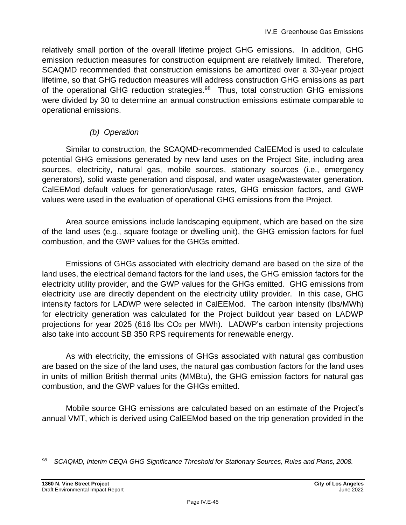relatively small portion of the overall lifetime project GHG emissions. In addition, GHG emission reduction measures for construction equipment are relatively limited. Therefore, SCAQMD recommended that construction emissions be amortized over a 30-year project lifetime, so that GHG reduction measures will address construction GHG emissions as part of the operational GHG reduction strategies.<sup>98</sup> Thus, total construction GHG emissions were divided by 30 to determine an annual construction emissions estimate comparable to operational emissions.

# *(b) Operation*

Similar to construction, the SCAQMD-recommended CalEEMod is used to calculate potential GHG emissions generated by new land uses on the Project Site, including area sources, electricity, natural gas, mobile sources, stationary sources (i.e., emergency generators), solid waste generation and disposal, and water usage/wastewater generation. CalEEMod default values for generation/usage rates, GHG emission factors, and GWP values were used in the evaluation of operational GHG emissions from the Project.

Area source emissions include landscaping equipment, which are based on the size of the land uses (e.g., square footage or dwelling unit), the GHG emission factors for fuel combustion, and the GWP values for the GHGs emitted.

Emissions of GHGs associated with electricity demand are based on the size of the land uses, the electrical demand factors for the land uses, the GHG emission factors for the electricity utility provider, and the GWP values for the GHGs emitted. GHG emissions from electricity use are directly dependent on the electricity utility provider. In this case, GHG intensity factors for LADWP were selected in CalEEMod. The carbon intensity (lbs/MWh) for electricity generation was calculated for the Project buildout year based on LADWP projections for year 2025 (616 lbs CO<sup>2</sup> per MWh). LADWP's carbon intensity projections also take into account SB 350 RPS requirements for renewable energy.

As with electricity, the emissions of GHGs associated with natural gas combustion are based on the size of the land uses, the natural gas combustion factors for the land uses in units of million British thermal units (MMBtu), the GHG emission factors for natural gas combustion, and the GWP values for the GHGs emitted.

Mobile source GHG emissions are calculated based on an estimate of the Project's annual VMT, which is derived using CalEEMod based on the trip generation provided in the

*<sup>98</sup> SCAQMD, Interim CEQA GHG Significance Threshold for Stationary Sources, Rules and Plans, 2008.*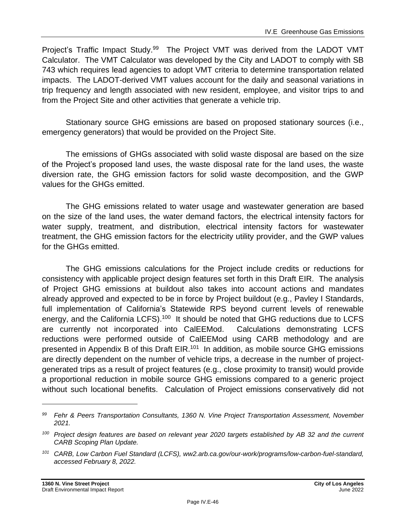Project's Traffic Impact Study.<sup>99</sup> The Project VMT was derived from the LADOT VMT Calculator. The VMT Calculator was developed by the City and LADOT to comply with SB 743 which requires lead agencies to adopt VMT criteria to determine transportation related impacts. The LADOT-derived VMT values account for the daily and seasonal variations in trip frequency and length associated with new resident, employee, and visitor trips to and from the Project Site and other activities that generate a vehicle trip.

Stationary source GHG emissions are based on proposed stationary sources (i.e., emergency generators) that would be provided on the Project Site.

The emissions of GHGs associated with solid waste disposal are based on the size of the Project's proposed land uses, the waste disposal rate for the land uses, the waste diversion rate, the GHG emission factors for solid waste decomposition, and the GWP values for the GHGs emitted.

The GHG emissions related to water usage and wastewater generation are based on the size of the land uses, the water demand factors, the electrical intensity factors for water supply, treatment, and distribution, electrical intensity factors for wastewater treatment, the GHG emission factors for the electricity utility provider, and the GWP values for the GHGs emitted.

The GHG emissions calculations for the Project include credits or reductions for consistency with applicable project design features set forth in this Draft EIR. The analysis of Project GHG emissions at buildout also takes into account actions and mandates already approved and expected to be in force by Project buildout (e.g., Pavley I Standards, full implementation of California's Statewide RPS beyond current levels of renewable energy, and the California LCFS).<sup>100</sup> It should be noted that GHG reductions due to LCFS are currently not incorporated into CalEEMod. Calculations demonstrating LCFS reductions were performed outside of CalEEMod using CARB methodology and are presented in Appendix B of this Draft EIR.<sup>101</sup> In addition, as mobile source GHG emissions are directly dependent on the number of vehicle trips, a decrease in the number of projectgenerated trips as a result of project features (e.g., close proximity to transit) would provide a proportional reduction in mobile source GHG emissions compared to a generic project without such locational benefits. Calculation of Project emissions conservatively did not

*<sup>99</sup> Fehr & Peers Transportation Consultants, 1360 N. Vine Project Transportation Assessment, November 2021.*

*<sup>100</sup> Project design features are based on relevant year 2020 targets established by AB 32 and the current CARB Scoping Plan Update.*

*<sup>101</sup> CARB, Low Carbon Fuel Standard (LCFS), ww2.arb.ca.gov/our-work/programs/low-carbon-fuel-standard, accessed February 8, 2022.*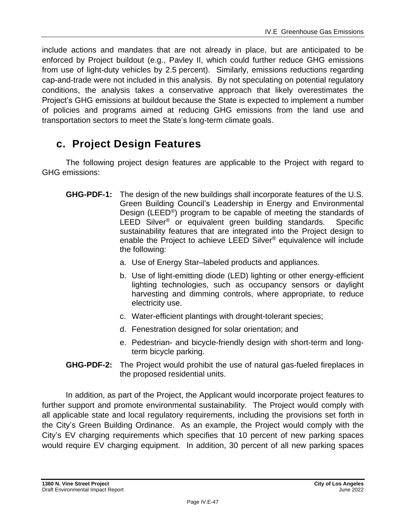include actions and mandates that are not already in place, but are anticipated to be enforced by Project buildout (e.g., Pavley II, which could further reduce GHG emissions from use of light-duty vehicles by 2.5 percent). Similarly, emissions reductions regarding cap-and-trade were not included in this analysis. By not speculating on potential regulatory conditions, the analysis takes a conservative approach that likely overestimates the Project's GHG emissions at buildout because the State is expected to implement a number of policies and programs aimed at reducing GHG emissions from the land use and transportation sectors to meet the State's long-term climate goals.

# **c. Project Design Features**

The following project design features are applicable to the Project with regard to GHG emissions:

- **GHG-PDF-1:** The design of the new buildings shall incorporate features of the U.S. Green Building Council's Leadership in Energy and Environmental Design (LEED®) program to be capable of meeting the standards of LEED Silver<sup>®</sup> or equivalent green building standards. Specific sustainability features that are integrated into the Project design to enable the Project to achieve LEED Silver® equivalence will include the following:
	- a. Use of Energy Star–labeled products and appliances.
	- b. Use of light-emitting diode (LED) lighting or other energy-efficient lighting technologies, such as occupancy sensors or daylight harvesting and dimming controls, where appropriate, to reduce electricity use.
	- c. Water-efficient plantings with drought-tolerant species;
	- d. Fenestration designed for solar orientation; and
	- e. Pedestrian- and bicycle-friendly design with short-term and longterm bicycle parking.
- **GHG-PDF-2:** The Project would prohibit the use of natural gas-fueled fireplaces in the proposed residential units.

In addition, as part of the Project, the Applicant would incorporate project features to further support and promote environmental sustainability. The Project would comply with all applicable state and local regulatory requirements, including the provisions set forth in the City's Green Building Ordinance. As an example, the Project would comply with the City's EV charging requirements which specifies that 10 percent of new parking spaces would require EV charging equipment. In addition, 30 percent of all new parking spaces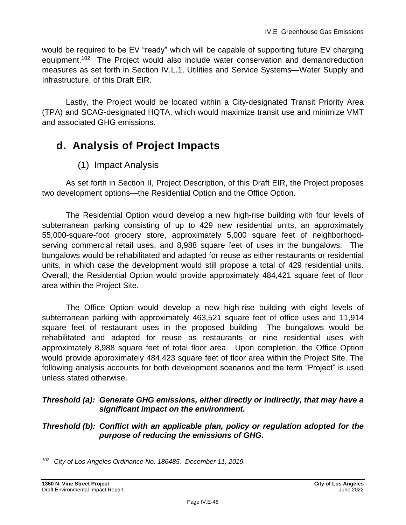would be required to be EV "ready" which will be capable of supporting future EV charging equipment.<sup>102</sup> The Project would also include water conservation and demandreduction measures as set forth in Section IV.L.1, Utilities and Service Systems—Water Supply and Infrastructure, of this Draft EIR.

Lastly, the Project would be located within a City-designated Transit Priority Area (TPA) and SCAG-designated HQTA, which would maximize transit use and minimize VMT and associated GHG emissions.

# **d. Analysis of Project Impacts**

# (1) Impact Analysis

As set forth in Section II, Project Description, of this Draft EIR, the Project proposes two development options—the Residential Option and the Office Option.

The Residential Option would develop a new high-rise building with four levels of subterranean parking consisting of up to 429 new residential units, an approximately 55,000-square-foot grocery store, approximately 5,000 square feet of neighborhoodserving commercial retail uses, and 8,988 square feet of uses in the bungalows. The bungalows would be rehabilitated and adapted for reuse as either restaurants or residential units, in which case the development would still propose a total of 429 residential units. Overall, the Residential Option would provide approximately 484,421 square feet of floor area within the Project Site.

The Office Option would develop a new high-rise building with eight levels of subterranean parking with approximately 463,521 square feet of office uses and 11,914 square feet of restaurant uses in the proposed building The bungalows would be rehabilitated and adapted for reuse as restaurants or nine residential uses with approximately 8,988 square feet of total floor area. Upon completion, the Office Option would provide approximately 484,423 square feet of floor area within the Project Site. The following analysis accounts for both development scenarios and the term "Project" is used unless stated otherwise.

### *Threshold (a): Generate GHG emissions, either directly or indirectly, that may have a significant impact on the environment.*

### *Threshold (b): Conflict with an applicable plan, policy or regulation adopted for the purpose of reducing the emissions of GHG.*

*<sup>102</sup> City of Los Angeles Ordinance No. 186485. December 11, 2019.*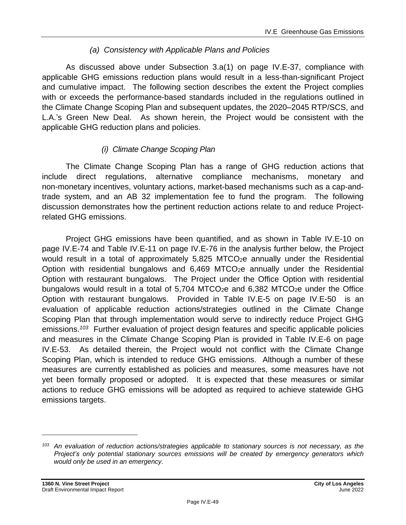# *(a) Consistency with Applicable Plans and Policies*

As discussed above under Subsection 3.a(1) on page IV.E-37, compliance with applicable GHG emissions reduction plans would result in a less-than-significant Project and cumulative impact. The following section describes the extent the Project complies with or exceeds the performance-based standards included in the regulations outlined in the Climate Change Scoping Plan and subsequent updates, the 2020–2045 RTP/SCS, and L.A.'s Green New Deal. As shown herein, the Project would be consistent with the applicable GHG reduction plans and policies.

# *(i) Climate Change Scoping Plan*

The Climate Change Scoping Plan has a range of GHG reduction actions that include direct regulations, alternative compliance mechanisms, monetary and non-monetary incentives, voluntary actions, market-based mechanisms such as a cap-andtrade system, and an AB 32 implementation fee to fund the program. The following discussion demonstrates how the pertinent reduction actions relate to and reduce Projectrelated GHG emissions.

Project GHG emissions have been quantified, and as shown in Table IV.E-10 on page [IV.E-74](#page-73-0) and Table IV.E-11 on page IV.E-76 in the analysis further below, the Project would result in a total of approximately 5,825 MTCO<sub>2</sub>e annually under the Residential Option with residential bungalows and 6,469 MTCO2e annually under the Residential Option with restaurant bungalows. The Project under the Office Option with residential bungalows would result in a total of  $5,704$  MTCO<sub>2</sub>e and  $6,382$  MTCO<sub>2</sub>e under the Office Option with restaurant bungalows. Provided in Table IV.E-5 on page IV.E-50 is an evaluation of applicable reduction actions/strategies outlined in the Climate Change Scoping Plan that through implementation would serve to indirectly reduce Project GHG emissions. *<sup>103</sup>* Further evaluation of project design features and specific applicable policies and measures in the Climate Change Scoping Plan is provided in Table IV.E-6 on page IV.E-53. As detailed therein, the Project would not conflict with the Climate Change Scoping Plan, which is intended to reduce GHG emissions. Although a number of these measures are currently established as policies and measures, some measures have not yet been formally proposed or adopted. It is expected that these measures or similar actions to reduce GHG emissions will be adopted as required to achieve statewide GHG emissions targets.

*<sup>103</sup> An evaluation of reduction actions/strategies applicable to stationary sources is not necessary, as the Project's only potential stationary sources emissions will be created by emergency generators which would only be used in an emergency.*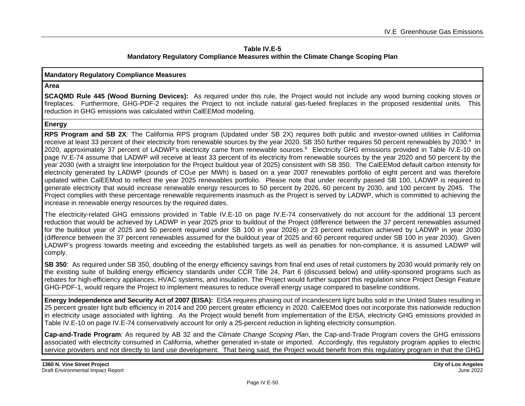#### **Table IV.E-5 Mandatory Regulatory Compliance Measures within the Climate Change Scoping Plan**

#### **Mandatory Regulatory Compliance Measures**

#### **Area**

**SCAQMD Rule 445 (Wood Burning Devices):** As required under this rule, the Project would not include any wood burning cooking stoves or fireplaces. Furthermore, GHG-PDF-2 requires the Project to not include natural gas-fueled fireplaces in the proposed residential units. This reduction in GHG emissions was calculated within CalEEMod modeling.

#### **Energy**

**RPS Program and SB 2X**: The California RPS program (Updated under SB 2X) requires both public and investor-owned utilities in California receive at least 33 percent of their electricity from renewable sources by the year 2020. SB 350 further requires 50 percent renewables by 2030.<sup>a</sup> In 2020, approximately 37 percent of LADWP's electricity came from renewable sources.<sup>b</sup> Electricity GHG emissions provided in Table IV.E-10 on page IV.E-74 assume that LADWP will receive at least 33 percent of its electricity from renewable sources by the year 2020 and 50 percent by the year 2030 (with a straight line interpolation for the Project buildout year of 2025) consistent with SB 350. The CalEEMod default carbon intensity for electricity generated by LADWP (pounds of CO2e per MWh) is based on a year 2007 renewables portfolio of eight percent and was therefore updated within CalEEMod to reflect the year 2025 renewables portfolio. Please note that under recently passed SB 100, LADWP is required to generate electricity that would increase renewable energy resources to 50 percent by 2026, 60 percent by 2030, and 100 percent by 2045. The Project complies with these percentage renewable requirements inasmuch as the Project is served by LADWP, which is committed to achieving the increase in renewable energy resources by the required dates.

The electricity-related GHG emissions provided in Table IV.E-10 on page IV.E-74 conservatively do not account for the additional 13 percent reduction that would be achieved by LADWP in year 2025 prior to buildout of the Project (difference between the 37 percent renewables assumed for the buildout year of 2025 and 50 percent required under SB 100 in year 2026) or 23 percent reduction achieved by LADWP in year 2030 (difference between the 37 percent renewables assumed for the buildout year of 2025 and 60 percent required under SB 100 in year 2030). Given LADWP's progress towards meeting and exceeding the established targets as well as penalties for non-compliance, it is assumed LADWP will comply.

**SB 350**: As required under SB 350, doubling of the energy efficiency savings from final end uses of retail customers by 2030 would primarily rely on the existing suite of building energy efficiency standards under CCR Title 24, Part 6 (discussed below) and utility-sponsored programs such as rebates for high-efficiency appliances, HVAC systems, and insulation. The Project would further support this regulation since Project Design Feature GHG-PDF-1, would require the Project to implement measures to reduce overall energy usage compared to baseline conditions.

**Energy Independence and Security Act of 2007 (EISA):** EISA requires phasing out of incandescent light bulbs sold in the United States resulting in 25 percent greater light bulb efficiency in 2014 and 200 percent greater efficiency in 2020. CalEEMod does not incorporate this nationwide reduction in electricity usage associated with lighting. As the Project would benefit from implementation of the EISA, electricity GHG emissions provided in Table IV.E-10 on page IV.E-74 conservatively account for only a 25-percent reduction in lighting electricity consumption.

**Cap-and-Trade Program**: As required by AB 32 and the *Climate Change Scoping Plan*, the Cap-and-Trade Program covers the GHG emissions associated with electricity consumed in California, whether generated in-state or imported. Accordingly, this regulatory program applies to electric service providers and not directly to land use development. That being said, the Project would benefit from this regulatory program in that the GHG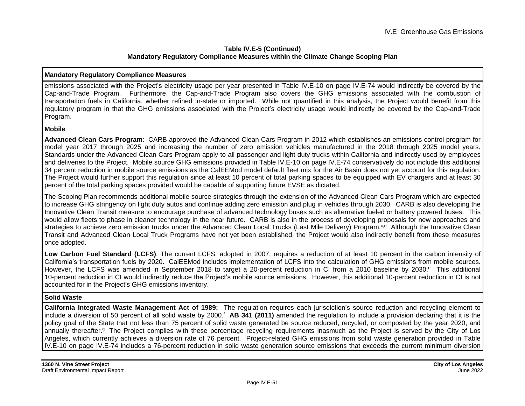#### **Table IV.E-5 (Continued) Mandatory Regulatory Compliance Measures within the Climate Change Scoping Plan**

#### **Mandatory Regulatory Compliance Measures**

emissions associated with the Project's electricity usage per year presented in Table IV.E-10 on page IV.E-74 would indirectly be covered by the Cap-and-Trade Program. Furthermore, the Cap-and-Trade Program also covers the GHG emissions associated with the combustion of transportation fuels in California, whether refined in-state or imported. While not quantified in this analysis, the Project would benefit from this regulatory program in that the GHG emissions associated with the Project's electricity usage would indirectly be covered by the Cap-and-Trade Program.

#### **Mobile**

**Advanced Clean Cars Program**: CARB approved the Advanced Clean Cars Program in 2012 which establishes an emissions control program for model year 2017 through 2025 and increasing the number of zero emission vehicles manufactured in the 2018 through 2025 model years. Standards under the Advanced Clean Cars Program apply to all passenger and light duty trucks within California and indirectly used by employees and deliveries to the Project. Mobile source GHG emissions provided in Table IV.E-10 on page IV.E-74 conservatively do not include this additional 34 percent reduction in mobile source emissions as the CalEEMod model default fleet mix for the Air Basin does not yet account for this regulation. The Project would further support this regulation since at least 10 percent of total parking spaces to be equipped with EV chargers and at least 30 percent of the total parking spaces provided would be capable of supporting future EVSE as dictated.

The Scoping Plan recommends additional mobile source strategies through the extension of the Advanced Clean Cars Program which are expected to increase GHG stringency on light duty autos and continue adding zero emission and plug in vehicles through 2030. CARB is also developing the Innovative Clean Transit measure to encourage purchase of advanced technology buses such as alternative fueled or battery powered buses. This would allow fleets to phase in cleaner technology in the near future. CARB is also in the process of developing proposals for new approaches and strategies to achieve zero emission trucks under the Advanced Clean Local Trucks (Last Mile Delivery) Program.<sup>c,d</sup> Although the Innovative Clean Transit and Advanced Clean Local Truck Programs have not yet been established, the Project would also indirectly benefit from these measures once adopted.

**Low Carbon Fuel Standard (LCFS)**: The current LCFS, adopted in 2007, requires a reduction of at least 10 percent in the carbon intensity of California's transportation fuels by 2020. CalEEMod includes implementation of LCFS into the calculation of GHG emissions from mobile sources. However, the LCFS was amended in September 2018 to target a 20-percent reduction in CI from a 2010 baseline by 2030.<sup>e</sup> This additional 10-percent reduction in CI would indirectly reduce the Project's mobile source emissions. However, this additional 10-percent reduction in CI is not accounted for in the Project's GHG emissions inventory.

#### **Solid Waste**

**California Integrated Waste Management Act of 1989:** The regulation requires each jurisdiction's source reduction and recycling element to include a diversion of 50 percent of all solid waste by 2000. <sup>f</sup> **AB 341 (2011)** amended the regulation to include a provision declaring that it is the policy goal of the State that not less than 75 percent of solid waste generated be source reduced, recycled, or composted by the year 2020, and annually thereafter.<sup>g</sup> The Project complies with these percentage recycling requirements inasmuch as the Project is served by the City of Los Angeles, which currently achieves a diversion rate of 76 percent. Project-related GHG emissions from solid waste generation provided in Table IV.E-10 on page IV.E-74 includes a 76-percent reduction in solid waste generation source emissions that exceeds the current minimum diversion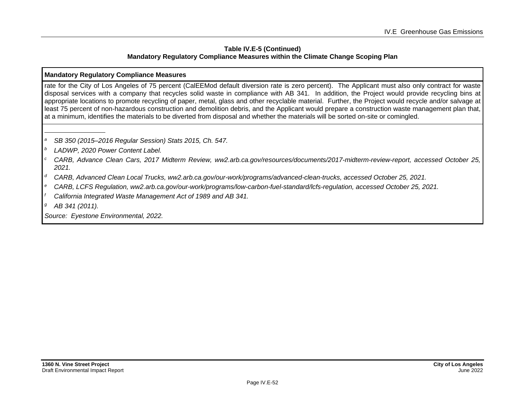#### **Table IV.E-5 (Continued) Mandatory Regulatory Compliance Measures within the Climate Change Scoping Plan**

#### **Mandatory Regulatory Compliance Measures**

rate for the City of Los Angeles of 75 percent (CalEEMod default diversion rate is zero percent). The Applicant must also only contract for waste disposal services with a company that recycles solid waste in compliance with AB 341. In addition, the Project would provide recycling bins at appropriate locations to promote recycling of paper, metal, glass and other recyclable material. Further, the Project would recycle and/or salvage at least 75 percent of non-hazardous construction and demolition debris, and the Applicant would prepare a construction waste management plan that, at a minimum, identifies the materials to be diverted from disposal and whether the materials will be sorted on-site or comingled.

- *<sup>a</sup> SB 350 (2015–2016 Regular Session) Stats 2015, Ch. 547.*
- *<sup>b</sup> LADWP, 2020 Power Content Label.*
- *<sup>c</sup> CARB, Advance Clean Cars, 2017 Midterm Review, ww2.arb.ca.gov/resources/documents/2017-midterm-review-report, accessed October 25, 2021.*
- *<sup>d</sup> CARB, Advanced Clean Local Trucks, ww2.arb.ca.gov/our-work/programs/advanced-clean-trucks, accessed October 25, 2021.*
- *<sup>e</sup> CARB, LCFS Regulation, ww2.arb.ca.gov/our-work/programs/low-carbon-fuel-standard/lcfs-regulation, accessed October 25, 2021.*
- *<sup>f</sup> California Integrated Waste Management Act of 1989 and AB 341.*
- *<sup>g</sup> AB 341 (2011).*

*Source: Eyestone Environmental, 2022.*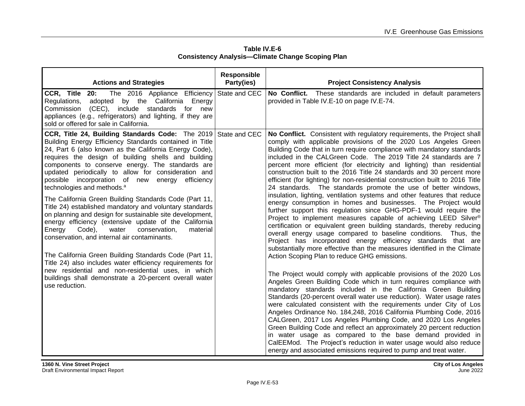| Table IV.E-6                                            |
|---------------------------------------------------------|
| <b>Consistency Analysis-Climate Change Scoping Plan</b> |

| <b>Actions and Strategies</b>                                                                                                                                                                                                                                                                                                                                                                                                                                                                                                                                                                                                                                                                                                                                                                                                                                                                                                                                                                                                                                          | <b>Responsible</b><br>Party(ies) | <b>Project Consistency Analysis</b>                                                                                                                                                                                                                                                                                                                                                                                                                                                                                                                                                                                                                                                                                                                                                                                                                                                                                                                                                                                                                                                                                                                                                                                                                                                                                                                                                                                                                                                                                                                                                                                                                                                                                                                                                                                                                                                                                                                                                                                             |
|------------------------------------------------------------------------------------------------------------------------------------------------------------------------------------------------------------------------------------------------------------------------------------------------------------------------------------------------------------------------------------------------------------------------------------------------------------------------------------------------------------------------------------------------------------------------------------------------------------------------------------------------------------------------------------------------------------------------------------------------------------------------------------------------------------------------------------------------------------------------------------------------------------------------------------------------------------------------------------------------------------------------------------------------------------------------|----------------------------------|---------------------------------------------------------------------------------------------------------------------------------------------------------------------------------------------------------------------------------------------------------------------------------------------------------------------------------------------------------------------------------------------------------------------------------------------------------------------------------------------------------------------------------------------------------------------------------------------------------------------------------------------------------------------------------------------------------------------------------------------------------------------------------------------------------------------------------------------------------------------------------------------------------------------------------------------------------------------------------------------------------------------------------------------------------------------------------------------------------------------------------------------------------------------------------------------------------------------------------------------------------------------------------------------------------------------------------------------------------------------------------------------------------------------------------------------------------------------------------------------------------------------------------------------------------------------------------------------------------------------------------------------------------------------------------------------------------------------------------------------------------------------------------------------------------------------------------------------------------------------------------------------------------------------------------------------------------------------------------------------------------------------------------|
| CCR, Title<br>20:<br>The 2016 Appliance Efficiency<br>adopted by the California Energy<br>Regulations,<br>(CEC), include standards for new<br>Commission<br>appliances (e.g., refrigerators) and lighting, if they are<br>sold or offered for sale in California.                                                                                                                                                                                                                                                                                                                                                                                                                                                                                                                                                                                                                                                                                                                                                                                                      | State and CEC                    | No Conflict. These standards are included in default parameters<br>provided in Table IV.E-10 on page IV.E-74.                                                                                                                                                                                                                                                                                                                                                                                                                                                                                                                                                                                                                                                                                                                                                                                                                                                                                                                                                                                                                                                                                                                                                                                                                                                                                                                                                                                                                                                                                                                                                                                                                                                                                                                                                                                                                                                                                                                   |
| <b>CCR, Title 24, Building Standards Code:</b> The 2019 State and CEC<br>Building Energy Efficiency Standards contained in Title<br>24, Part 6 (also known as the California Energy Code),<br>requires the design of building shells and building<br>components to conserve energy. The standards are<br>updated periodically to allow for consideration and<br>possible incorporation of new energy efficiency<br>technologies and methods. <sup>a</sup><br>The California Green Building Standards Code (Part 11,<br>Title 24) established mandatory and voluntary standards<br>on planning and design for sustainable site development,<br>energy efficiency (extensive update of the California<br>Energy<br>Code),<br>water<br>conservation,<br>material<br>conservation, and internal air contaminants.<br>The California Green Building Standards Code (Part 11,<br>Title 24) also includes water efficiency requirements for<br>new residential and non-residential uses, in which<br>buildings shall demonstrate a 20-percent overall water<br>use reduction. |                                  | No Conflict. Consistent with regulatory requirements, the Project shall<br>comply with applicable provisions of the 2020 Los Angeles Green<br>Building Code that in turn require compliance with mandatory standards<br>included in the CALGreen Code. The 2019 Title 24 standards are 7<br>percent more efficient (for electricity and lighting) than residential<br>construction built to the 2016 Title 24 standards and 30 percent more<br>efficient (for lighting) for non-residential construction built to 2016 Title<br>24 standards. The standards promote the use of better windows,<br>insulation, lighting, ventilation systems and other features that reduce<br>energy consumption in homes and businesses. The Project would<br>further support this regulation since GHG-PDF-1 would require the<br>Project to implement measures capable of achieving LEED Silver <sup>®</sup><br>certification or equivalent green building standards, thereby reducing<br>overall energy usage compared to baseline conditions. Thus, the<br>Project has incorporated energy efficiency standards that are<br>substantially more effective than the measures identified in the Climate<br>Action Scoping Plan to reduce GHG emissions.<br>The Project would comply with applicable provisions of the 2020 Los<br>Angeles Green Building Code which in turn requires compliance with<br>mandatory standards included in the California Green Building<br>Standards (20-percent overall water use reduction). Water usage rates<br>were calculated consistent with the requirements under City of Los<br>Angeles Ordinance No. 184,248, 2016 California Plumbing Code, 2016<br>CALGreen, 2017 Los Angeles Plumbing Code, and 2020 Los Angeles<br>Green Building Code and reflect an approximately 20 percent reduction<br>in water usage as compared to the base demand provided in<br>CalEEMod. The Project's reduction in water usage would also reduce<br>energy and associated emissions required to pump and treat water. |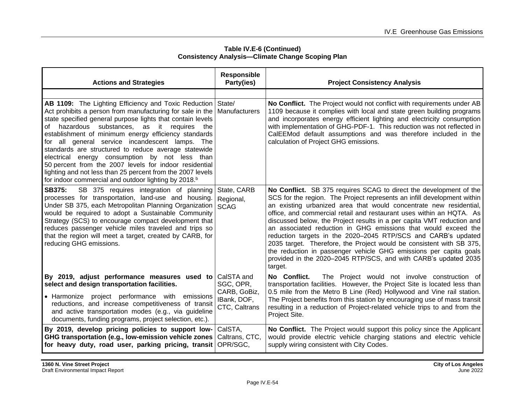| <b>Actions and Strategies</b>                                                                                                                                                                                                                                                                                                                                                                                                                                                                                                                                                                                                                                                 | <b>Responsible</b><br>Party(ies)                                        | <b>Project Consistency Analysis</b>                                                                                                                                                                                                                                                                                                                                                                                                                                                                                                                                                                                                                                                                                                 |
|-------------------------------------------------------------------------------------------------------------------------------------------------------------------------------------------------------------------------------------------------------------------------------------------------------------------------------------------------------------------------------------------------------------------------------------------------------------------------------------------------------------------------------------------------------------------------------------------------------------------------------------------------------------------------------|-------------------------------------------------------------------------|-------------------------------------------------------------------------------------------------------------------------------------------------------------------------------------------------------------------------------------------------------------------------------------------------------------------------------------------------------------------------------------------------------------------------------------------------------------------------------------------------------------------------------------------------------------------------------------------------------------------------------------------------------------------------------------------------------------------------------------|
| <b>AB 1109:</b> The Lighting Efficiency and Toxic Reduction State/<br>Act prohibits a person from manufacturing for sale in the   Manufacturers<br>state specified general purpose lights that contain levels<br>of hazardous substances, as it requires the<br>establishment of minimum energy efficiency standards<br>for all general service incandescent lamps. The<br>standards are structured to reduce average statewide<br>electrical energy consumption by not less than<br>50 percent from the 2007 levels for indoor residential<br>lighting and not less than 25 percent from the 2007 levels<br>for indoor commercial and outdoor lighting by 2018. <sup>b</sup> |                                                                         | No Conflict. The Project would not conflict with requirements under AB<br>1109 because it complies with local and state green building programs<br>and incorporates energy efficient lighting and electricity consumption<br>with implementation of GHG-PDF-1. This reduction was not reflected in<br>CalEEMod default assumptions and was therefore included in the<br>calculation of Project GHG emissions.                                                                                                                                                                                                                                                                                                                       |
| SB 375 requires integration of planning<br>SB375:<br>processes for transportation, land-use and housing.<br>Under SB 375, each Metropolitan Planning Organization<br>would be required to adopt a Sustainable Community<br>Strategy (SCS) to encourage compact development that<br>reduces passenger vehicle miles traveled and trips so<br>that the region will meet a target, created by CARB, for<br>reducing GHG emissions.                                                                                                                                                                                                                                               | State, CARB<br>Regional,<br><b>SCAG</b>                                 | No Conflict. SB 375 requires SCAG to direct the development of the<br>SCS for the region. The Project represents an infill development within<br>an existing urbanized area that would concentrate new residential,<br>office, and commercial retail and restaurant uses within an HQTA. As<br>discussed below, the Project results in a per capita VMT reduction and<br>an associated reduction in GHG emissions that would exceed the<br>reduction targets in the 2020–2045 RTP/SCS and CARB's updated<br>2035 target. Therefore, the Project would be consistent with SB 375,<br>the reduction in passenger vehicle GHG emissions per capita goals<br>provided in the 2020–2045 RTP/SCS, and with CARB's updated 2035<br>target. |
| By 2019, adjust performance measures used to<br>select and design transportation facilities.<br>• Harmonize project performance with emissions<br>reductions, and increase competitiveness of transit<br>and active transportation modes (e.g., via guideline<br>documents, funding programs, project selection, etc.).                                                                                                                                                                                                                                                                                                                                                       | CalSTA and<br>SGC, OPR,<br>CARB, GoBiz,<br>IBank, DOF,<br>CTC, Caltrans | The Project would not involve construction of<br>No Conflict.<br>transportation facilities. However, the Project Site is located less than<br>0.5 mile from the Metro B Line (Red) Hollywood and Vine rail station.<br>The Project benefits from this station by encouraging use of mass transit<br>resulting in a reduction of Project-related vehicle trips to and from the<br>Project Site.                                                                                                                                                                                                                                                                                                                                      |
| By 2019, develop pricing policies to support low-<br>GHG transportation (e.g., low-emission vehicle zones<br>for heavy duty, road user, parking pricing, transit                                                                                                                                                                                                                                                                                                                                                                                                                                                                                                              | CalSTA,<br>Caltrans, CTC,<br>OPR/SGC,                                   | No Conflict. The Project would support this policy since the Applicant<br>would provide electric vehicle charging stations and electric vehicle<br>supply wiring consistent with City Codes.                                                                                                                                                                                                                                                                                                                                                                                                                                                                                                                                        |

**Table IV.E-6 (Continued) Consistency Analysis—Climate Change Scoping Plan**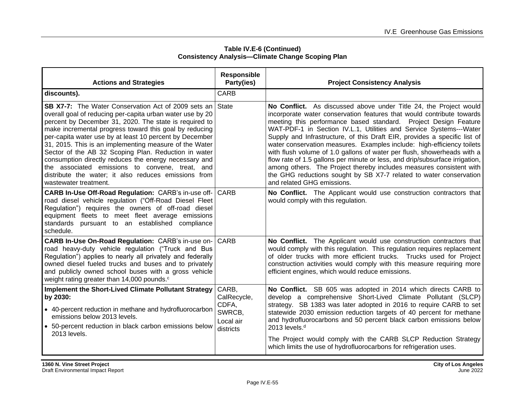| Table IV.E-6 (Continued)                                |
|---------------------------------------------------------|
| <b>Consistency Analysis-Climate Change Scoping Plan</b> |

| <b>Actions and Strategies</b>                                                                                                                                                                                                                                                                                                                                                                                                                                                                                                                                                                                         | <b>Responsible</b><br>Party(ies)                                  | <b>Project Consistency Analysis</b>                                                                                                                                                                                                                                                                                                                                                                                                                                                                                                                                                                                                                                                                                                                                              |
|-----------------------------------------------------------------------------------------------------------------------------------------------------------------------------------------------------------------------------------------------------------------------------------------------------------------------------------------------------------------------------------------------------------------------------------------------------------------------------------------------------------------------------------------------------------------------------------------------------------------------|-------------------------------------------------------------------|----------------------------------------------------------------------------------------------------------------------------------------------------------------------------------------------------------------------------------------------------------------------------------------------------------------------------------------------------------------------------------------------------------------------------------------------------------------------------------------------------------------------------------------------------------------------------------------------------------------------------------------------------------------------------------------------------------------------------------------------------------------------------------|
| discounts).                                                                                                                                                                                                                                                                                                                                                                                                                                                                                                                                                                                                           | <b>CARB</b>                                                       |                                                                                                                                                                                                                                                                                                                                                                                                                                                                                                                                                                                                                                                                                                                                                                                  |
| <b>SB X7-7:</b> The Water Conservation Act of 2009 sets an<br>overall goal of reducing per-capita urban water use by 20<br>percent by December 31, 2020. The state is required to<br>make incremental progress toward this goal by reducing<br>per-capita water use by at least 10 percent by December<br>31, 2015. This is an implementing measure of the Water<br>Sector of the AB 32 Scoping Plan. Reduction in water<br>consumption directly reduces the energy necessary and<br>the associated emissions to convene, treat, and<br>distribute the water; it also reduces emissions from<br>wastewater treatment. | <b>State</b>                                                      | No Conflict. As discussed above under Title 24, the Project would<br>incorporate water conservation features that would contribute towards<br>meeting this performance based standard. Project Design Feature<br>WAT-PDF-1 in Section IV.L.1, Utilities and Service Systems---Water<br>Supply and Infrastructure, of this Draft EIR, provides a specific list of<br>water conservation measures. Examples include: high-efficiency toilets<br>with flush volume of 1.0 gallons of water per flush, showerheads with a<br>flow rate of 1.5 gallons per minute or less, and drip/subsurface irrigation,<br>among others. The Project thereby includes measures consistent with<br>the GHG reductions sought by SB X7-7 related to water conservation<br>and related GHG emissions. |
| <b>CARB In-Use Off-Road Regulation: CARB's in-use off- CARB</b><br>road diesel vehicle regulation ("Off-Road Diesel Fleet<br>Regulation") requires the owners of off-road diesel<br>equipment fleets to meet fleet average emissions<br>standards pursuant to an established compliance<br>schedule.                                                                                                                                                                                                                                                                                                                  |                                                                   | No Conflict. The Applicant would use construction contractors that<br>would comply with this regulation.                                                                                                                                                                                                                                                                                                                                                                                                                                                                                                                                                                                                                                                                         |
| CARB In-Use On-Road Regulation: CARB's in-use on-<br>road heavy-duty vehicle regulation ("Truck and Bus<br>Regulation") applies to nearly all privately and federally<br>owned diesel fueled trucks and buses and to privately<br>and publicly owned school buses with a gross vehicle<br>weight rating greater than 14,000 pounds. <sup>c</sup>                                                                                                                                                                                                                                                                      | <b>CARB</b>                                                       | No Conflict. The Applicant would use construction contractors that<br>would comply with this regulation. This regulation requires replacement<br>of older trucks with more efficient trucks. Trucks used for Project<br>construction activities would comply with this measure requiring more<br>efficient engines, which would reduce emissions.                                                                                                                                                                                                                                                                                                                                                                                                                                |
| <b>Implement the Short-Lived Climate Pollutant Strategy</b><br>by 2030:<br>• 40-percent reduction in methane and hydrofluorocarbon<br>emissions below 2013 levels.<br>• 50-percent reduction in black carbon emissions below<br>2013 levels.                                                                                                                                                                                                                                                                                                                                                                          | CARB,<br>CalRecycle,<br>CDFA,<br>SWRCB,<br>Local air<br>districts | No Conflict. SB 605 was adopted in 2014 which directs CARB to<br>develop a comprehensive Short-Lived Climate Pollutant (SLCP)<br>strategy. SB 1383 was later adopted in 2016 to require CARB to set<br>statewide 2030 emission reduction targets of 40 percent for methane<br>and hydrofluorocarbons and 50 percent black carbon emissions below<br>2013 levels. <sup>d</sup><br>The Project would comply with the CARB SLCP Reduction Strategy<br>which limits the use of hydrofluorocarbons for refrigeration uses.                                                                                                                                                                                                                                                            |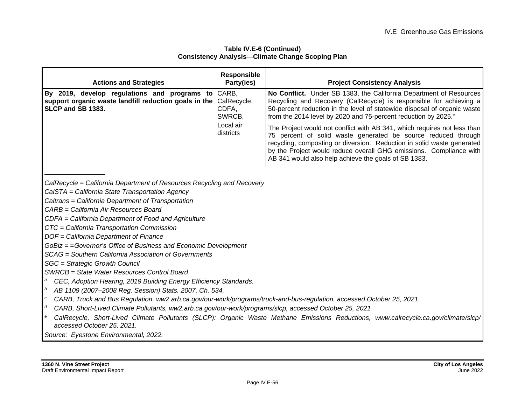#### **Table IV.E-6 (Continued) Consistency Analysis—Climate Change Scoping Plan**

| <b>Actions and Strategies</b>                                                                                                                                                                                                                                                                                                                                            | <b>Responsible</b><br>Party(ies)                                  | <b>Project Consistency Analysis</b>                                                                                                                                                                                                                                                                                                                                                                                                                                                                                                                                                                                                                     |
|--------------------------------------------------------------------------------------------------------------------------------------------------------------------------------------------------------------------------------------------------------------------------------------------------------------------------------------------------------------------------|-------------------------------------------------------------------|---------------------------------------------------------------------------------------------------------------------------------------------------------------------------------------------------------------------------------------------------------------------------------------------------------------------------------------------------------------------------------------------------------------------------------------------------------------------------------------------------------------------------------------------------------------------------------------------------------------------------------------------------------|
| By 2019, develop regulations and programs to<br>support organic waste landfill reduction goals in the<br>SLCP and SB 1383.                                                                                                                                                                                                                                               | CARB,<br>CalRecycle,<br>CDFA,<br>SWRCB,<br>Local air<br>districts | No Conflict. Under SB 1383, the California Department of Resources<br>Recycling and Recovery (CalRecycle) is responsible for achieving a<br>50-percent reduction in the level of statewide disposal of organic waste<br>from the 2014 level by 2020 and 75-percent reduction by 2025. <sup>e</sup><br>The Project would not conflict with AB 341, which requires not less than<br>75 percent of solid waste generated be source reduced through<br>recycling, composting or diversion. Reduction in solid waste generated<br>by the Project would reduce overall GHG emissions. Compliance with<br>AB 341 would also help achieve the goals of SB 1383. |
| CalRecycle = California Department of Resources Recycling and Recovery<br>CalSTA = California State Transportation Agency<br>Caltrans = California Department of Transportation<br>CARB = California Air Resources Board<br>CDFA = California Department of Food and Agriculture<br>CTC = California Transportation Commission<br>DOF = California Department of Finance |                                                                   |                                                                                                                                                                                                                                                                                                                                                                                                                                                                                                                                                                                                                                                         |

*GoBiz = =Governor's Office of Business and Economic Development*

*SCAG = Southern California Association of Governments*

*SGC = Strategic Growth Council*

*SWRCB = State Water Resources Control Board*

- *<sup>a</sup> CEC, Adoption Hearing, 2019 Building Energy Efficiency Standards.*
- *<sup>b</sup> AB 1109 (2007–2008 Reg. Session) Stats. 2007, Ch. 534.*
- *<sup>c</sup> CARB, Truck and Bus Regulation, ww2.arb.ca.gov/our-work/programs/truck-and-bus-regulation, accessed October 25, 2021.*
- *<sup>d</sup> CARB, Short-Lived Climate Pollutants, ww2.arb.ca.gov/our-work/programs/slcp, accessed October 25, 2021*
- *<sup>e</sup> CalRecycle, Short-Lived Climate Pollutants (SLCP): Organic Waste Methane Emissions Reductions, www.calrecycle.ca.gov/climate/slcp/ accessed October 25, 2021.*

*Source: Eyestone Environmental, 2022.*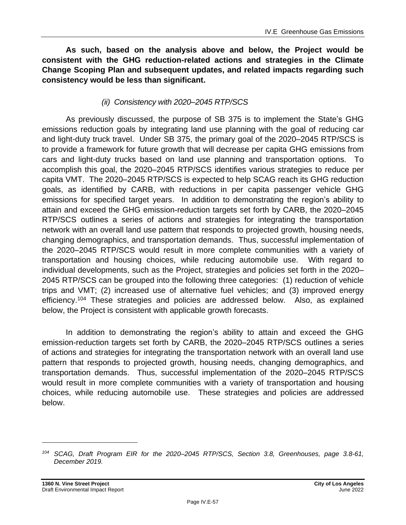**As such, based on the analysis above and below, the Project would be consistent with the GHG reduction-related actions and strategies in the Climate Change Scoping Plan and subsequent updates, and related impacts regarding such consistency would be less than significant.**

### *(ii) Consistency with 2020–2045 RTP/SCS*

As previously discussed, the purpose of SB 375 is to implement the State's GHG emissions reduction goals by integrating land use planning with the goal of reducing car and light-duty truck travel. Under SB 375, the primary goal of the 2020–2045 RTP/SCS is to provide a framework for future growth that will decrease per capita GHG emissions from cars and light-duty trucks based on land use planning and transportation options. To accomplish this goal, the 2020–2045 RTP/SCS identifies various strategies to reduce per capita VMT. The 2020–2045 RTP/SCS is expected to help SCAG reach its GHG reduction goals, as identified by CARB, with reductions in per capita passenger vehicle GHG emissions for specified target years. In addition to demonstrating the region's ability to attain and exceed the GHG emission-reduction targets set forth by CARB, the 2020–2045 RTP/SCS outlines a series of actions and strategies for integrating the transportation network with an overall land use pattern that responds to projected growth, housing needs, changing demographics, and transportation demands. Thus, successful implementation of the 2020–2045 RTP/SCS would result in more complete communities with a variety of transportation and housing choices, while reducing automobile use. With regard to individual developments, such as the Project, strategies and policies set forth in the 2020– 2045 RTP/SCS can be grouped into the following three categories: (1) reduction of vehicle trips and VMT; (2) increased use of alternative fuel vehicles; and (3) improved energy efficiency.<sup>104</sup> These strategies and policies are addressed below. Also, as explained below, the Project is consistent with applicable growth forecasts.

In addition to demonstrating the region's ability to attain and exceed the GHG emission-reduction targets set forth by CARB, the 2020–2045 RTP/SCS outlines a series of actions and strategies for integrating the transportation network with an overall land use pattern that responds to projected growth, housing needs, changing demographics, and transportation demands. Thus, successful implementation of the 2020–2045 RTP/SCS would result in more complete communities with a variety of transportation and housing choices, while reducing automobile use. These strategies and policies are addressed below.

*<sup>104</sup> SCAG, Draft Program EIR for the 2020–2045 RTP/SCS, Section 3.8, Greenhouses, page 3.8-61, December 2019.*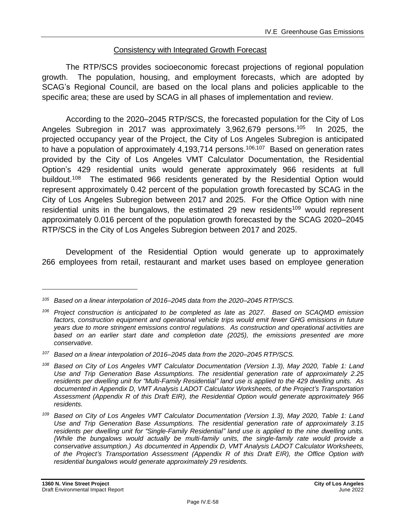### Consistency with Integrated Growth Forecast

The RTP/SCS provides socioeconomic forecast projections of regional population growth. The population, housing, and employment forecasts, which are adopted by SCAG's Regional Council, are based on the local plans and policies applicable to the specific area; these are used by SCAG in all phases of implementation and review.

According to the 2020–2045 RTP/SCS, the forecasted population for the City of Los Angeles Subregion in 2017 was approximately 3,962,679 persons.<sup>105</sup> In 2025, the projected occupancy year of the Project, the City of Los Angeles Subregion is anticipated to have a population of approximately 4,193,714 persons.<sup>106,107</sup> Based on generation rates provided by the City of Los Angeles VMT Calculator Documentation, the Residential Option's 429 residential units would generate approximately 966 residents at full buildout.<sup>108</sup> The estimated 966 residents generated by the Residential Option would represent approximately 0.42 percent of the population growth forecasted by SCAG in the City of Los Angeles Subregion between 2017 and 2025. For the Office Option with nine residential units in the bungalows, the estimated 29 new residents<sup>109</sup> would represent approximately 0.016 percent of the population growth forecasted by the SCAG 2020–2045 RTP/SCS in the City of Los Angeles Subregion between 2017 and 2025.

Development of the Residential Option would generate up to approximately 266 employees from retail, restaurant and market uses based on employee generation

*<sup>105</sup> Based on a linear interpolation of 2016–2045 data from the 2020–2045 RTP/SCS.*

*<sup>106</sup> Project construction is anticipated to be completed as late as 2027. Based on SCAQMD emission factors, construction equipment and operational vehicle trips would emit fewer GHG emissions in future years due to more stringent emissions control regulations. As construction and operational activities are based on an earlier start date and completion date (2025), the emissions presented are more conservative.*

*<sup>107</sup> Based on a linear interpolation of 2016–2045 data from the 2020–2045 RTP/SCS.*

*<sup>108</sup> Based on City of Los Angeles VMT Calculator Documentation (Version 1.3), May 2020, Table 1: Land Use and Trip Generation Base Assumptions. The residential generation rate of approximately 2.25 residents per dwelling unit for "Multi-Family Residential" land use is applied to the 429 dwelling units. As documented in Appendix D, VMT Analysis LADOT Calculator Worksheets, of the Project's Transportation Assessment (Appendix R of this Draft EIR), the Residential Option would generate approximately 966 residents.*

*<sup>109</sup> Based on City of Los Angeles VMT Calculator Documentation (Version 1.3), May 2020, Table 1: Land Use and Trip Generation Base Assumptions. The residential generation rate of approximately 3.15 residents per dwelling unit for "Single-Family Residential" land use is applied to the nine dwelling units. {While the bungalows would actually be multi-family units, the single-family rate would provide a conservative assumption.) As documented in Appendix D, VMT Analysis LADOT Calculator Worksheets, of the Project's Transportation Assessment (Appendix R of this Draft EIR), the Office Option with residential bungalows would generate approximately 29 residents.*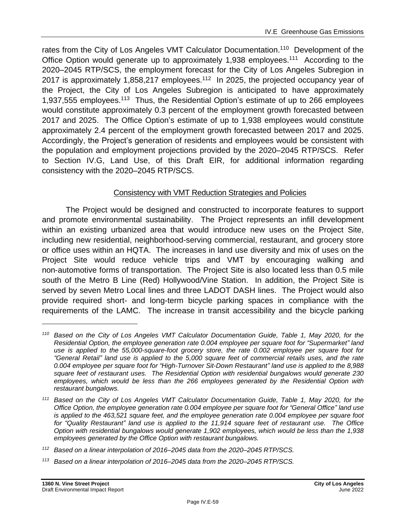rates from the City of Los Angeles VMT Calculator Documentation.<sup>110</sup> Development of the Office Option would generate up to approximately 1,938 employees.<sup>111</sup> According to the 2020–2045 RTP/SCS, the employment forecast for the City of Los Angeles Subregion in 2017 is approximately 1,858,217 employees.<sup>112</sup> In 2025, the projected occupancy year of the Project, the City of Los Angeles Subregion is anticipated to have approximately 1,937,555 employees.<sup>113</sup> Thus, the Residential Option's estimate of up to 266 employees would constitute approximately 0.3 percent of the employment growth forecasted between 2017 and 2025. The Office Option's estimate of up to 1,938 employees would constitute approximately 2.4 percent of the employment growth forecasted between 2017 and 2025. Accordingly, the Project's generation of residents and employees would be consistent with the population and employment projections provided by the 2020–2045 RTP/SCS. Refer to Section IV.G, Land Use, of this Draft EIR, for additional information regarding consistency with the 2020–2045 RTP/SCS.

# Consistency with VMT Reduction Strategies and Policies

The Project would be designed and constructed to incorporate features to support and promote environmental sustainability. The Project represents an infill development within an existing urbanized area that would introduce new uses on the Project Site, including new residential, neighborhood-serving commercial, restaurant, and grocery store or office uses within an HQTA. The increases in land use diversity and mix of uses on the Project Site would reduce vehicle trips and VMT by encouraging walking and non‐automotive forms of transportation. The Project Site is also located less than 0.5 mile south of the Metro B Line (Red) Hollywood/Vine Station. In addition, the Project Site is served by seven Metro Local lines and three LADOT DASH lines. The Project would also provide required short- and long-term bicycle parking spaces in compliance with the requirements of the LAMC. The increase in transit accessibility and the bicycle parking

*<sup>113</sup> Based on a linear interpolation of 2016–2045 data from the 2020–2045 RTP/SCS.*

*<sup>110</sup> Based on the City of Los Angeles VMT Calculator Documentation Guide, Table 1, May 2020, for the Residential Option, the employee generation rate 0.004 employee per square foot for "Supermarket" land use is applied to the 55,000-square-foot grocery store, the rate 0.002 employee per square foot for "General Retail" land use is applied to the 5,000 square feet of commercial retails uses, and the rate 0.004 employee per square foot for "High-Turnover Sit-Down Restaurant" land use is applied to the 8,988 square feet of restaurant uses. The Residential Option with residential bungalows would generate 230 employees, which would be less than the 266 employees generated by the Residential Option with restaurant bungalows.*

*<sup>111</sup> Based on the City of Los Angeles VMT Calculator Documentation Guide, Table 1, May 2020, for the Office Option, the employee generation rate 0.004 employee per square foot for "General Office" land use is applied to the 463,521 square feet, and the employee generation rate 0.004 employee per square foot for "Quality Restaurant" land use is applied to the 11,914 square feet of restaurant use. The Office Option with residential bungalows would generate 1,902 employees, which would be less than the 1,938 employees generated by the Office Option with restaurant bungalows.*

*<sup>112</sup> Based on a linear interpolation of 2016–2045 data from the 2020–2045 RTP/SCS.*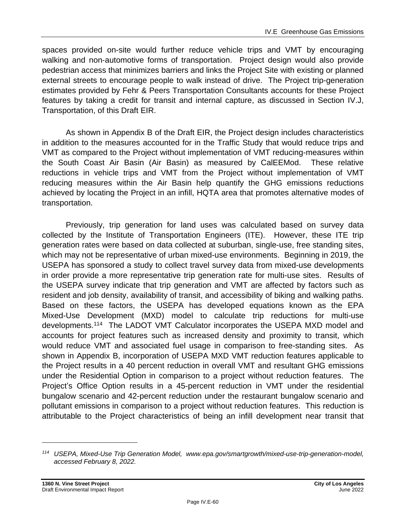spaces provided on-site would further reduce vehicle trips and VMT by encouraging walking and non-automotive forms of transportation. Project design would also provide pedestrian access that minimizes barriers and links the Project Site with existing or planned external streets to encourage people to walk instead of drive. The Project trip-generation estimates provided by Fehr & Peers Transportation Consultants accounts for these Project features by taking a credit for transit and internal capture, as discussed in Section IV.J, Transportation, of this Draft EIR.

As shown in Appendix B of the Draft EIR, the Project design includes characteristics in addition to the measures accounted for in the Traffic Study that would reduce trips and VMT as compared to the Project without implementation of VMT reducing-measures within the South Coast Air Basin (Air Basin) as measured by CalEEMod. These relative reductions in vehicle trips and VMT from the Project without implementation of VMT reducing measures within the Air Basin help quantify the GHG emissions reductions achieved by locating the Project in an infill, HQTA area that promotes alternative modes of transportation.

Previously, trip generation for land uses was calculated based on survey data collected by the Institute of Transportation Engineers (ITE). However, these ITE trip generation rates were based on data collected at suburban, single-use, free standing sites, which may not be representative of urban mixed-use environments. Beginning in 2019, the USEPA has sponsored a study to collect travel survey data from mixed-use developments in order provide a more representative trip generation rate for multi-use sites. Results of the USEPA survey indicate that trip generation and VMT are affected by factors such as resident and job density, availability of transit, and accessibility of biking and walking paths. Based on these factors, the USEPA has developed equations known as the EPA Mixed-Use Development (MXD) model to calculate trip reductions for multi-use developments.<sup>114</sup> The LADOT VMT Calculator incorporates the USEPA MXD model and accounts for project features such as increased density and proximity to transit, which would reduce VMT and associated fuel usage in comparison to free-standing sites. As shown in Appendix B, incorporation of USEPA MXD VMT reduction features applicable to the Project results in a 40 percent reduction in overall VMT and resultant GHG emissions under the Residential Option in comparison to a project without reduction features. The Project's Office Option results in a 45-percent reduction in VMT under the residential bungalow scenario and 42-percent reduction under the restaurant bungalow scenario and pollutant emissions in comparison to a project without reduction features. This reduction is attributable to the Project characteristics of being an infill development near transit that

*<sup>114</sup> USEPA, Mixed-Use Trip Generation Model, www.epa.gov/smartgrowth/mixed-use-trip-generation-model, accessed February 8, 2022.*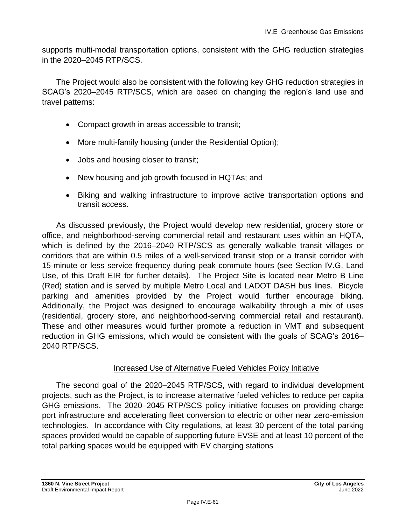supports multi-modal transportation options, consistent with the GHG reduction strategies in the 2020–2045 RTP/SCS.

The Project would also be consistent with the following key GHG reduction strategies in SCAG's 2020–2045 RTP/SCS, which are based on changing the region's land use and travel patterns:

- Compact growth in areas accessible to transit;
- More multi-family housing (under the Residential Option);
- Jobs and housing closer to transit;
- New housing and job growth focused in HQTAs; and
- Biking and walking infrastructure to improve active transportation options and transit access.

As discussed previously, the Project would develop new residential, grocery store or office, and neighborhood-serving commercial retail and restaurant uses within an HQTA, which is defined by the 2016–2040 RTP/SCS as generally walkable transit villages or corridors that are within 0.5 miles of a well-serviced transit stop or a transit corridor with 15-minute or less service frequency during peak commute hours (see Section IV.G, Land Use, of this Draft EIR for further details). The Project Site is located near Metro B Line (Red) station and is served by multiple Metro Local and LADOT DASH bus lines. Bicycle parking and amenities provided by the Project would further encourage biking. Additionally, the Project was designed to encourage walkability through a mix of uses (residential, grocery store, and neighborhood-serving commercial retail and restaurant). These and other measures would further promote a reduction in VMT and subsequent reduction in GHG emissions, which would be consistent with the goals of SCAG's 2016– 2040 RTP/SCS.

### Increased Use of Alternative Fueled Vehicles Policy Initiative

The second goal of the 2020–2045 RTP/SCS, with regard to individual development projects, such as the Project, is to increase alternative fueled vehicles to reduce per capita GHG emissions. The 2020–2045 RTP/SCS policy initiative focuses on providing charge port infrastructure and accelerating fleet conversion to electric or other near zero-emission technologies. In accordance with City regulations, at least 30 percent of the total parking spaces provided would be capable of supporting future EVSE and at least 10 percent of the total parking spaces would be equipped with EV charging stations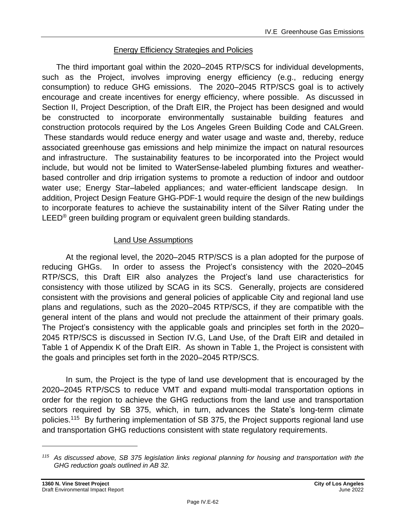# Energy Efficiency Strategies and Policies

The third important goal within the 2020–2045 RTP/SCS for individual developments, such as the Project, involves improving energy efficiency (e.g., reducing energy consumption) to reduce GHG emissions. The 2020–2045 RTP/SCS goal is to actively encourage and create incentives for energy efficiency, where possible. As discussed in Section II, Project Description, of the Draft EIR, the Project has been designed and would be constructed to incorporate environmentally sustainable building features and construction protocols required by the Los Angeles Green Building Code and CALGreen. These standards would reduce energy and water usage and waste and, thereby, reduce associated greenhouse gas emissions and help minimize the impact on natural resources and infrastructure. The sustainability features to be incorporated into the Project would include, but would not be limited to WaterSense-labeled plumbing fixtures and weatherbased controller and drip irrigation systems to promote a reduction of indoor and outdoor water use; Energy Star–labeled appliances; and water-efficient landscape design. In addition, Project Design Feature GHG-PDF-1 would require the design of the new buildings to incorporate features to achieve the sustainability intent of the Silver Rating under the LEED<sup>®</sup> green building program or equivalent green building standards.

# Land Use Assumptions

At the regional level, the 2020–2045 RTP/SCS is a plan adopted for the purpose of reducing GHGs. In order to assess the Project's consistency with the 2020–2045 RTP/SCS, this Draft EIR also analyzes the Project's land use characteristics for consistency with those utilized by SCAG in its SCS. Generally, projects are considered consistent with the provisions and general policies of applicable City and regional land use plans and regulations, such as the 2020–2045 RTP/SCS, if they are compatible with the general intent of the plans and would not preclude the attainment of their primary goals. The Project's consistency with the applicable goals and principles set forth in the 2020– 2045 RTP/SCS is discussed in Section IV.G, Land Use, of the Draft EIR and detailed in Table 1 of Appendix K of the Draft EIR. As shown in Table 1, the Project is consistent with the goals and principles set forth in the 2020–2045 RTP/SCS.

In sum, the Project is the type of land use development that is encouraged by the 2020–2045 RTP/SCS to reduce VMT and expand multi-modal transportation options in order for the region to achieve the GHG reductions from the land use and transportation sectors required by SB 375, which, in turn, advances the State's long-term climate policies.<sup>115</sup> By furthering implementation of SB 375, the Project supports regional land use and transportation GHG reductions consistent with state regulatory requirements.

*<sup>115</sup> As discussed above, SB 375 legislation links regional planning for housing and transportation with the GHG reduction goals outlined in AB 32.*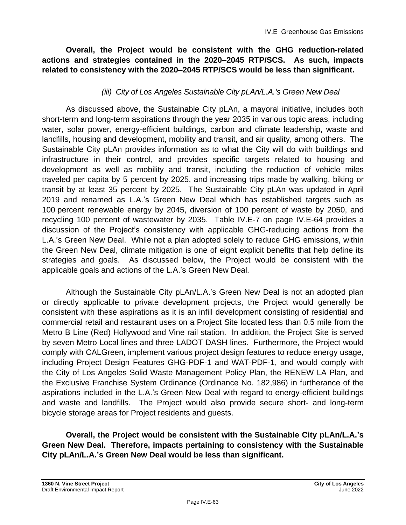### **Overall, the Project would be consistent with the GHG reduction-related actions and strategies contained in the 2020–2045 RTP/SCS. As such, impacts related to consistency with the 2020–2045 RTP/SCS would be less than significant.**

# *(iii) City of Los Angeles Sustainable City pLAn/L.A.'s Green New Deal*

As discussed above, the Sustainable City pLAn, a mayoral initiative, includes both short-term and long-term aspirations through the year 2035 in various topic areas, including water, solar power, energy-efficient buildings, carbon and climate leadership, waste and landfills, housing and development, mobility and transit, and air quality, among others. The Sustainable City pLAn provides information as to what the City will do with buildings and infrastructure in their control, and provides specific targets related to housing and development as well as mobility and transit, including the reduction of vehicle miles traveled per capita by 5 percent by 2025, and increasing trips made by walking, biking or transit by at least 35 percent by 2025. The Sustainable City pLAn was updated in April 2019 and renamed as L.A.'s Green New Deal which has established targets such as 100 percent renewable energy by 2045, diversion of 100 percent of waste by 2050, and recycling 100 percent of wastewater by 2035. Table IV.E-7 on page IV.E-64 provides a discussion of the Project's consistency with applicable GHG-reducing actions from the L.A.'s Green New Deal. While not a plan adopted solely to reduce GHG emissions, within the Green New Deal, climate mitigation is one of eight explicit benefits that help define its strategies and goals. As discussed below, the Project would be consistent with the applicable goals and actions of the L.A.'s Green New Deal.

Although the Sustainable City pLAn/L.A.'s Green New Deal is not an adopted plan or directly applicable to private development projects, the Project would generally be consistent with these aspirations as it is an infill development consisting of residential and commercial retail and restaurant uses on a Project Site located less than 0.5 mile from the Metro B Line (Red) Hollywood and Vine rail station. In addition, the Project Site is served by seven Metro Local lines and three LADOT DASH lines. Furthermore, the Project would comply with CALGreen, implement various project design features to reduce energy usage, including Project Design Features GHG-PDF-1 and WAT-PDF-1, and would comply with the City of Los Angeles Solid Waste Management Policy Plan, the RENEW LA Plan, and the Exclusive Franchise System Ordinance (Ordinance No. 182,986) in furtherance of the aspirations included in the L.A.'s Green New Deal with regard to energy-efficient buildings and waste and landfills. The Project would also provide secure short- and long-term bicycle storage areas for Project residents and guests.

**Overall, the Project would be consistent with the Sustainable City pLAn/L.A.'s Green New Deal. Therefore, impacts pertaining to consistency with the Sustainable City pLAn/L.A.'s Green New Deal would be less than significant.**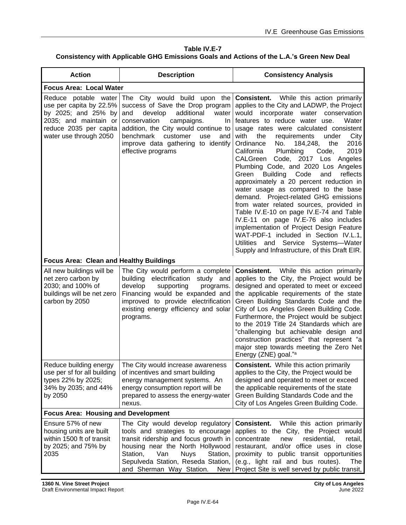#### **Table IV.E-7 Consistency with Applicable GHG Emissions Goals and Actions of the L.A.'s Green New Deal**

| <b>Action</b>                                                                                                                                       | <b>Description</b>                                                                                                                                                                                                                                                                               | <b>Consistency Analysis</b>                                                                                                                                                                                                                                                                                                                                                                                                                                                                                                                                                                                                                                                                                                                                                                                                                                                                                                                  |  |
|-----------------------------------------------------------------------------------------------------------------------------------------------------|--------------------------------------------------------------------------------------------------------------------------------------------------------------------------------------------------------------------------------------------------------------------------------------------------|----------------------------------------------------------------------------------------------------------------------------------------------------------------------------------------------------------------------------------------------------------------------------------------------------------------------------------------------------------------------------------------------------------------------------------------------------------------------------------------------------------------------------------------------------------------------------------------------------------------------------------------------------------------------------------------------------------------------------------------------------------------------------------------------------------------------------------------------------------------------------------------------------------------------------------------------|--|
| <b>Focus Area: Local Water</b>                                                                                                                      |                                                                                                                                                                                                                                                                                                  |                                                                                                                                                                                                                                                                                                                                                                                                                                                                                                                                                                                                                                                                                                                                                                                                                                                                                                                                              |  |
| Reduce potable water<br>use per capita by 22.5%<br>by 2025; and 25% by<br>2035; and maintain or<br>reduce 2035 per capita<br>water use through 2050 | The City would build upon the<br>success of Save the Drop program<br>additional<br>and<br>develop<br>water<br>conservation<br>campaigns.<br><u>In</u><br>addition, the City would continue to<br>benchmark<br>customer<br>use<br>and<br>improve data gathering to identify<br>effective programs | <b>Consistent.</b><br>While this action primarily<br>applies to the City and LADWP, the Project<br>would<br>incorporate<br>water conservation<br>features to reduce water use.<br>Water<br>usage rates were calculated consistent<br>with<br>the<br>requirements<br>under<br>City<br>2016<br>Ordinance<br>No.<br>184,248,<br>the<br>Plumbing<br>2019<br>California<br>Code.<br>Code, 2017 Los Angeles<br>CALGreen<br>Plumbing Code, and 2020 Los Angeles<br>Building Code<br>reflects<br>Green<br>and<br>approximately a 20 percent reduction in<br>water usage as compared to the base<br>demand. Project-related GHG emissions<br>from water related sources, provided in<br>Table IV.E-10 on page IV.E-74 and Table<br>IV.E-11 on page IV.E-76 also includes<br>implementation of Project Design Feature<br>WAT-PDF-1 included in Section IV.L.1,<br>Utilities and Service Systems-Water<br>Supply and Infrastructure, of this Draft EIR. |  |
| <b>Focus Area: Clean and Healthy Buildings</b>                                                                                                      |                                                                                                                                                                                                                                                                                                  |                                                                                                                                                                                                                                                                                                                                                                                                                                                                                                                                                                                                                                                                                                                                                                                                                                                                                                                                              |  |
| All new buildings will be<br>net zero carbon by<br>2030; and 100% of<br>buildings will be net zero<br>carbon by 2050                                | The City would perform a complete<br>building electrification study and<br>develop<br>supporting<br>programs.<br>Financing would be expanded and<br>improved to provide electrification<br>existing energy efficiency and solar<br>programs.                                                     | While this action primarily<br><b>Consistent.</b><br>applies to the City, the Project would be<br>designed and operated to meet or exceed<br>the applicable requirements of the state<br>Green Building Standards Code and the<br>City of Los Angeles Green Building Code.<br>Furthermore, the Project would be subject<br>to the 2019 Title 24 Standards which are<br>"challenging but achievable design and<br>construction practices" that represent "a<br>major step towards meeting the Zero Net<br>Energy (ZNE) goal." <sup>a</sup>                                                                                                                                                                                                                                                                                                                                                                                                    |  |
| Reduce building energy<br>use per sf for all building<br>types 22% by 2025;<br>34% by 2035; and 44%<br>by 2050                                      | The City would increase awareness<br>of incentives and smart building<br>energy management systems. An<br>energy consumption report will be<br>prepared to assess the energy-water<br>nexus.                                                                                                     | <b>Consistent.</b> While this action primarily<br>applies to the City, the Project would be<br>designed and operated to meet or exceed<br>the applicable requirements of the state<br>Green Building Standards Code and the<br>City of Los Angeles Green Building Code.                                                                                                                                                                                                                                                                                                                                                                                                                                                                                                                                                                                                                                                                      |  |
| <b>Focus Area: Housing and Development</b>                                                                                                          |                                                                                                                                                                                                                                                                                                  |                                                                                                                                                                                                                                                                                                                                                                                                                                                                                                                                                                                                                                                                                                                                                                                                                                                                                                                                              |  |
| Ensure 57% of new<br>housing units are built<br>within 1500 ft of transit<br>by 2025; and 75% by<br>2035                                            | The City would develop regulatory<br>tools and strategies to encourage<br>transit ridership and focus growth in<br>housing near the North Hollywood<br>Station,<br>Van<br><b>Nuys</b><br>Station,<br>Sepulveda Station, Reseda Station,<br>and Sherman Way Station.<br><b>New</b>                | <b>Consistent.</b><br>While this action primarily<br>applies to the City, the Project would<br>concentrate<br>new<br>residential,<br>retail,<br>restaurant, and/or office uses in close<br>proximity to public transit opportunities<br>(e.g., light rail and bus routes).<br>The<br>Project Site is well served by public transit,                                                                                                                                                                                                                                                                                                                                                                                                                                                                                                                                                                                                          |  |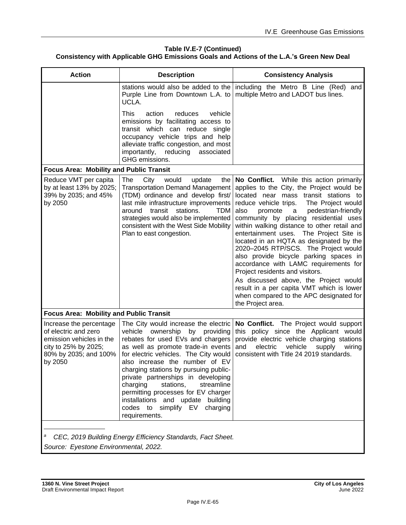#### **Table IV.E-7 (Continued) Consistency with Applicable GHG Emissions Goals and Actions of the L.A.'s Green New Deal**

| <b>Action</b>                                                                                                                           | <b>Description</b>                                                                                                                                                                                                                                                                                                                                                                                                                                                                     | <b>Consistency Analysis</b>                                                                                                                                                                                                                                                                                                                                                                                                                                                                                                                                                                                                                                                                              |  |
|-----------------------------------------------------------------------------------------------------------------------------------------|----------------------------------------------------------------------------------------------------------------------------------------------------------------------------------------------------------------------------------------------------------------------------------------------------------------------------------------------------------------------------------------------------------------------------------------------------------------------------------------|----------------------------------------------------------------------------------------------------------------------------------------------------------------------------------------------------------------------------------------------------------------------------------------------------------------------------------------------------------------------------------------------------------------------------------------------------------------------------------------------------------------------------------------------------------------------------------------------------------------------------------------------------------------------------------------------------------|--|
|                                                                                                                                         | Purple Line from Downtown L.A. to<br>UCLA.                                                                                                                                                                                                                                                                                                                                                                                                                                             | stations would also be added to the   including the Metro B Line (Red) and<br>multiple Metro and LADOT bus lines.                                                                                                                                                                                                                                                                                                                                                                                                                                                                                                                                                                                        |  |
|                                                                                                                                         | This<br>vehicle<br>action<br>reduces<br>emissions by facilitating access to<br>transit which can reduce single<br>occupancy vehicle trips and help<br>alleviate traffic congestion, and most<br>reducing<br>importantly,<br>associated<br>GHG emissions.                                                                                                                                                                                                                               |                                                                                                                                                                                                                                                                                                                                                                                                                                                                                                                                                                                                                                                                                                          |  |
| <b>Focus Area: Mobility and Public Transit</b>                                                                                          |                                                                                                                                                                                                                                                                                                                                                                                                                                                                                        |                                                                                                                                                                                                                                                                                                                                                                                                                                                                                                                                                                                                                                                                                                          |  |
| Reduce VMT per capita<br>by at least 13% by 2025;<br>39% by 2035; and 45%<br>by 2050                                                    | The<br>would<br>City<br>update<br>the<br><b>Transportation Demand Management</b><br>(TDM) ordinance and develop first/<br>last mile infrastructure improvements<br>transit<br>stations.<br>around<br><b>TDM</b><br>strategies would also be implemented<br>consistent with the West Side Mobility<br>Plan to east congestion.                                                                                                                                                          | No Conflict. While this action primarily<br>applies to the City, the Project would be<br>located near mass transit stations to<br>reduce vehicle trips.<br>The Project would<br>pedestrian-friendly<br>also<br>promote<br>a<br>community by placing residential uses<br>within walking distance to other retail and<br>entertainment uses. The Project Site is<br>located in an HQTA as designated by the<br>2020-2045 RTP/SCS. The Project would<br>also provide bicycle parking spaces in<br>accordance with LAMC requirements for<br>Project residents and visitors.<br>As discussed above, the Project would<br>result in a per capita VMT which is lower<br>when compared to the APC designated for |  |
| <b>Focus Area: Mobility and Public Transit</b>                                                                                          |                                                                                                                                                                                                                                                                                                                                                                                                                                                                                        | the Project area.                                                                                                                                                                                                                                                                                                                                                                                                                                                                                                                                                                                                                                                                                        |  |
| Increase the percentage<br>of electric and zero<br>emission vehicles in the<br>city to 25% by 2025;<br>80% by 2035; and 100%<br>by 2050 | The City would increase the electric<br>vehicle ownership by<br>providing<br>rebates for used EVs and chargers<br>as well as promote trade-in events<br>for electric vehicles. The City would<br>also increase the number of EV<br>charging stations by pursuing public-<br>private partnerships in developing<br>charging<br>stations,<br>streamline<br>permitting processes for EV charger<br>installations and update building<br>codes to simplify EV<br>charging<br>requirements. | No Conflict. The Project would support<br>this policy since the Applicant would<br>provide electric vehicle charging stations<br>and<br>electric<br>vehicle<br>supply<br>wiring<br>consistent with Title 24 2019 standards.                                                                                                                                                                                                                                                                                                                                                                                                                                                                              |  |
| a<br>CEC, 2019 Building Energy Efficiency Standards, Fact Sheet.<br>Source: Eyestone Environmental, 2022.                               |                                                                                                                                                                                                                                                                                                                                                                                                                                                                                        |                                                                                                                                                                                                                                                                                                                                                                                                                                                                                                                                                                                                                                                                                                          |  |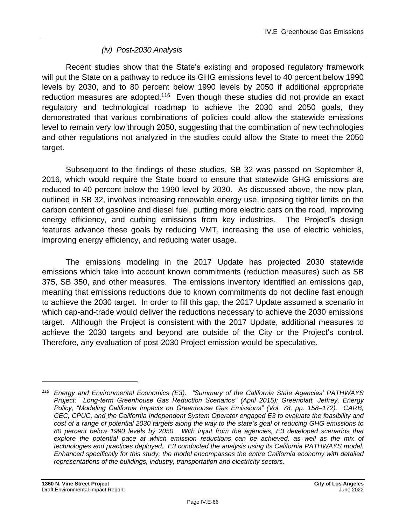# *(iv) Post-2030 Analysis*

Recent studies show that the State's existing and proposed regulatory framework will put the State on a pathway to reduce its GHG emissions level to 40 percent below 1990 levels by 2030, and to 80 percent below 1990 levels by 2050 if additional appropriate reduction measures are adopted.<sup>116</sup> Even though these studies did not provide an exact regulatory and technological roadmap to achieve the 2030 and 2050 goals, they demonstrated that various combinations of policies could allow the statewide emissions level to remain very low through 2050, suggesting that the combination of new technologies and other regulations not analyzed in the studies could allow the State to meet the 2050 target.

Subsequent to the findings of these studies, SB 32 was passed on September 8, 2016, which would require the State board to ensure that statewide GHG emissions are reduced to 40 percent below the 1990 level by 2030. As discussed above, the new plan, outlined in SB 32, involves increasing renewable energy use, imposing tighter limits on the carbon content of gasoline and diesel fuel, putting more electric cars on the road, improving energy efficiency, and curbing emissions from key industries. The Project's design features advance these goals by reducing VMT, increasing the use of electric vehicles, improving energy efficiency, and reducing water usage.

The emissions modeling in the 2017 Update has projected 2030 statewide emissions which take into account known commitments (reduction measures) such as SB 375, SB 350, and other measures. The emissions inventory identified an emissions gap, meaning that emissions reductions due to known commitments do not decline fast enough to achieve the 2030 target. In order to fill this gap, the 2017 Update assumed a scenario in which cap-and-trade would deliver the reductions necessary to achieve the 2030 emissions target. Although the Project is consistent with the 2017 Update, additional measures to achieve the 2030 targets and beyond are outside of the City or the Project's control. Therefore, any evaluation of post-2030 Project emission would be speculative.

*<sup>116</sup> Energy and Environmental Economics (E3). "Summary of the California State Agencies' PATHWAYS Project: Long-term Greenhouse Gas Reduction Scenarios" (April 2015); Greenblatt, Jeffrey, Energy Policy, "Modeling California Impacts on Greenhouse Gas Emissions" (Vol. 78, pp. 158–172). CARB, CEC, CPUC, and the California Independent System Operator engaged E3 to evaluate the feasibility and cost of a range of potential 2030 targets along the way to the state's goal of reducing GHG emissions to 80 percent below 1990 levels by 2050. With input from the agencies, E3 developed scenarios that explore the potential pace at which emission reductions can be achieved, as well as the mix of technologies and practices deployed. E3 conducted the analysis using its California PATHWAYS model. Enhanced specifically for this study, the model encompasses the entire California economy with detailed representations of the buildings, industry, transportation and electricity sectors.*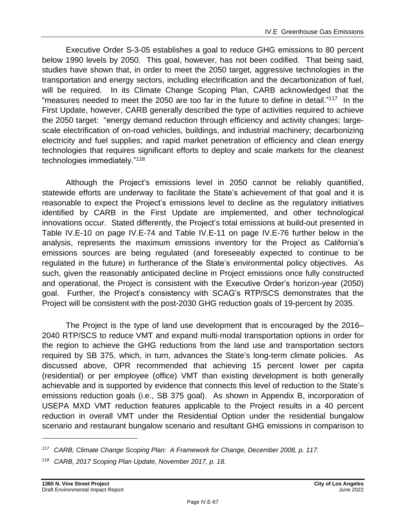Executive Order S-3-05 establishes a goal to reduce GHG emissions to 80 percent below 1990 levels by 2050. This goal, however, has not been codified. That being said, studies have shown that, in order to meet the 2050 target, aggressive technologies in the transportation and energy sectors, including electrification and the decarbonization of fuel, will be required. In its Climate Change Scoping Plan, CARB acknowledged that the "measures needed to meet the 2050 are too far in the future to define in detail."<sup>117</sup> In the First Update, however, CARB generally described the type of activities required to achieve the 2050 target: "energy demand reduction through efficiency and activity changes; largescale electrification of on-road vehicles, buildings, and industrial machinery; decarbonizing electricity and fuel supplies; and rapid market penetration of efficiency and clean energy technologies that requires significant efforts to deploy and scale markets for the cleanest technologies immediately."<sup>118</sup>

Although the Project's emissions level in 2050 cannot be reliably quantified, statewide efforts are underway to facilitate the State's achievement of that goal and it is reasonable to expect the Project's emissions level to decline as the regulatory initiatives identified by CARB in the First Update are implemented, and other technological innovations occur. Stated differently, the Project's total emissions at build-out presented in Table IV.E-10 on page [IV.E-74](#page-73-0) and Table IV.E-11 on page IV.E-76 further below in the analysis, represents the maximum emissions inventory for the Project as California's emissions sources are being regulated (and foreseeably expected to continue to be regulated in the future) in furtherance of the State's environmental policy objectives. As such, given the reasonably anticipated decline in Project emissions once fully constructed and operational, the Project is consistent with the Executive Order's horizon-year (2050) goal. Further, the Project's consistency with SCAG's RTP/SCS demonstrates that the Project will be consistent with the post-2030 GHG reduction goals of 19-percent by 2035.

The Project is the type of land use development that is encouraged by the 2016– 2040 RTP/SCS to reduce VMT and expand multi-modal transportation options in order for the region to achieve the GHG reductions from the land use and transportation sectors required by SB 375, which, in turn, advances the State's long-term climate policies. As discussed above, OPR recommended that achieving 15 percent lower per capita (residential) or per employee (office) VMT than existing development is both generally achievable and is supported by evidence that connects this level of reduction to the State's emissions reduction goals (i.e., SB 375 goal). As shown in Appendix B, incorporation of USEPA MXD VMT reduction features applicable to the Project results in a 40 percent reduction in overall VMT under the Residential Option under the residential bungalow scenario and restaurant bungalow scenario and resultant GHG emissions in comparison to

*<sup>117</sup> CARB, Climate Change Scoping Plan: A Framework for Change, December 2008, p. 117.*

*<sup>118</sup> CARB, 2017 Scoping Plan Update, November 2017, p. 18.*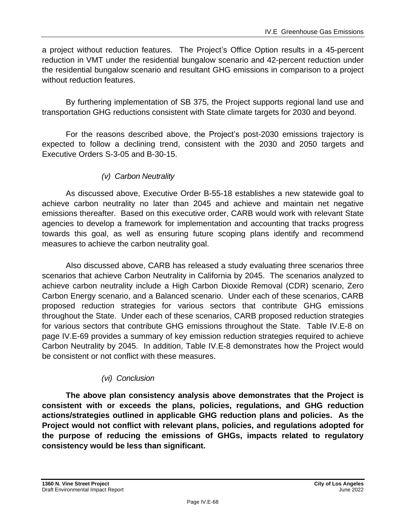a project without reduction features. The Project's Office Option results in a 45-percent reduction in VMT under the residential bungalow scenario and 42-percent reduction under the residential bungalow scenario and resultant GHG emissions in comparison to a project without reduction features.

By furthering implementation of SB 375, the Project supports regional land use and transportation GHG reductions consistent with State climate targets for 2030 and beyond.

For the reasons described above, the Project's post-2030 emissions trajectory is expected to follow a declining trend, consistent with the 2030 and 2050 targets and Executive Orders S-3-05 and B-30-15.

# *(v) Carbon Neutrality*

As discussed above, Executive Order B-55-18 establishes a new statewide goal to achieve carbon neutrality no later than 2045 and achieve and maintain net negative emissions thereafter. Based on this executive order, CARB would work with relevant State agencies to develop a framework for implementation and accounting that tracks progress towards this goal, as well as ensuring future scoping plans identify and recommend measures to achieve the carbon neutrality goal.

Also discussed above, CARB has released a study evaluating three scenarios three scenarios that achieve Carbon Neutrality in California by 2045. The scenarios analyzed to achieve carbon neutrality include a High Carbon Dioxide Removal (CDR) scenario, Zero Carbon Energy scenario, and a Balanced scenario. Under each of these scenarios, CARB proposed reduction strategies for various sectors that contribute GHG emissions throughout the State. Under each of these scenarios, CARB proposed reduction strategies for various sectors that contribute GHG emissions throughout the State. Table IV.E-8 on page IV.E-69 provides a summary of key emission reduction strategies required to achieve Carbon Neutrality by 2045. In addition, Table IV.E-8 demonstrates how the Project would be consistent or not conflict with these measures.

# *(vi) Conclusion*

**The above plan consistency analysis above demonstrates that the Project is consistent with or exceeds the plans, policies, regulations, and GHG reduction actions/strategies outlined in applicable GHG reduction plans and policies. As the Project would not conflict with relevant plans, policies, and regulations adopted for the purpose of reducing the emissions of GHGs, impacts related to regulatory consistency would be less than significant.**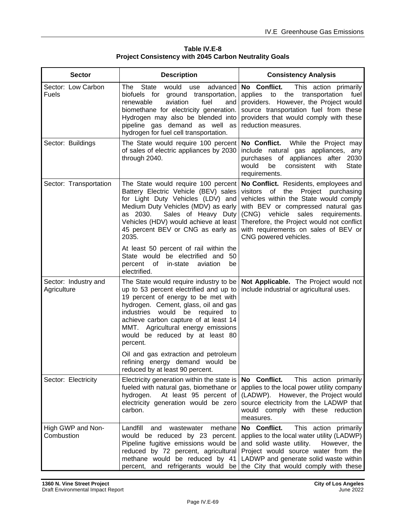| Table IV.E-8                                                 |
|--------------------------------------------------------------|
| <b>Project Consistency with 2045 Carbon Neutrality Goals</b> |

| <b>Sector</b>                       | <b>Description</b>                                                                                                                                                                                                                                                                                                                     | <b>Consistency Analysis</b>                                                                                                                                                                                                                                                                                                                                     |
|-------------------------------------|----------------------------------------------------------------------------------------------------------------------------------------------------------------------------------------------------------------------------------------------------------------------------------------------------------------------------------------|-----------------------------------------------------------------------------------------------------------------------------------------------------------------------------------------------------------------------------------------------------------------------------------------------------------------------------------------------------------------|
| Sector: Low Carbon<br><b>Fuels</b>  | State<br>The<br>would<br>advanced<br>use<br>biofuels for<br>ground transportation,<br>aviation<br>renewable<br>fuel<br>and<br>biomethane for electricity generation.<br>Hydrogen may also be blended into<br>pipeline gas demand as well as<br>hydrogen for fuel cell transportation.                                                  | No Conflict.<br>This action primarily<br>applies<br>to the<br>transportation<br>fuel<br>providers. However, the Project would<br>source transportation fuel from these<br>providers that would comply with these<br>reduction measures.                                                                                                                         |
| Sector: Buildings                   | The State would require 100 percent<br>of sales of electric appliances by 2030<br>through 2040.                                                                                                                                                                                                                                        | No Conflict. While the Project may<br>include natural gas appliances, any<br>purchases of appliances after<br>2030<br>would<br>be<br>consistent<br>with<br><b>State</b><br>requirements.                                                                                                                                                                        |
| Sector: Transportation              | Battery Electric Vehicle (BEV) sales<br>for Light Duty Vehicles (LDV) and<br>Medium Duty Vehicles (MDV) as early<br>as 2030.<br>Sales of Heavy Duty<br>Vehicles (HDV) would achieve at least<br>45 percent BEV or CNG as early as<br>2035.                                                                                             | The State would require 100 percent <b>No Conflict.</b> Residents, employees and<br>visitors<br>of the<br>Project purchasing<br>vehicles within the State would comply<br>with BEV or compressed natural gas<br>(CNG) vehicle sales requirements.<br>Therefore, the Project would not conflict<br>with requirements on sales of BEV or<br>CNG powered vehicles. |
|                                     | At least 50 percent of rail within the<br>State would be electrified and<br>-50<br>percent of<br>in-state<br>aviation<br>be<br>electrified.                                                                                                                                                                                            |                                                                                                                                                                                                                                                                                                                                                                 |
| Sector: Industry and<br>Agriculture | The State would require industry to be<br>up to 53 percent electrified and up to<br>19 percent of energy to be met with<br>hydrogen. Cement, glass, oil and gas<br>industries would<br>be required<br>to<br>achieve carbon capture of at least 14<br>MMT. Agricultural energy emissions<br>would be reduced by at least 80<br>percent. | Not Applicable. The Project would not<br>include industrial or agricultural uses.                                                                                                                                                                                                                                                                               |
|                                     | Oil and gas extraction and petroleum<br>refining energy demand would be<br>reduced by at least 90 percent.                                                                                                                                                                                                                             |                                                                                                                                                                                                                                                                                                                                                                 |
| Sector: Electricity                 | Electricity generation within the state is<br>fueled with natural gas, biomethane or<br>At least 95 percent of<br>hydrogen.<br>electricity generation would be zero<br>carbon.                                                                                                                                                         | This action primarily<br>No Conflict.<br>applies to the local power utility company<br>(LADWP). However, the Project would<br>source electricity from the LADWP that<br>would comply with these reduction<br>measures.                                                                                                                                          |
| High GWP and Non-<br>Combustion     | wastewater<br>Landfill<br>and<br>methane<br>would be reduced by 23 percent.<br>Pipeline fugitive emissions would be<br>reduced by 72 percent, agricultural<br>methane would be reduced by 41<br>percent, and refrigerants would be                                                                                                     | No Conflict.<br>This action primarily<br>applies to the local water utility (LADWP)<br>and solid waste utility. However, the<br>Project would source water from the<br>LADWP and generate solid waste within<br>the City that would comply with these                                                                                                           |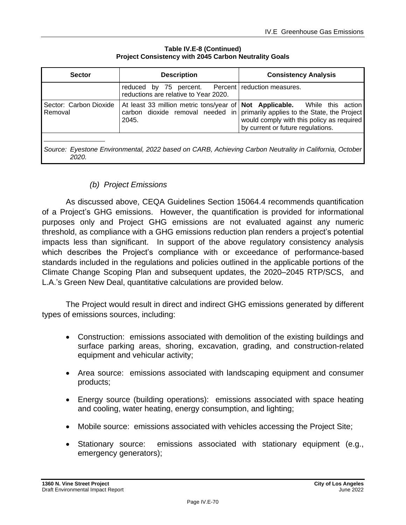| <b>Sector</b>                                                                                                   | <b>Description</b>                                                                          | <b>Consistency Analysis</b>                                                                                                                                                                                   |  |
|-----------------------------------------------------------------------------------------------------------------|---------------------------------------------------------------------------------------------|---------------------------------------------------------------------------------------------------------------------------------------------------------------------------------------------------------------|--|
|                                                                                                                 | reduced by 75 percent. Percent reduction measures.<br>reductions are relative to Year 2020. |                                                                                                                                                                                                               |  |
| Sector: Carbon Dioxide<br>Removal                                                                               | carbon dioxide removal needed in<br>2045.                                                   | At least 33 million metric tons/year of   Not Applicable.  While this action<br>primarily applies to the State, the Project<br>would comply with this policy as required<br>by current or future regulations. |  |
| Source: Eyestone Environmental, 2022 based on CARB, Achieving Carbon Neutrality in California, October<br>2020. |                                                                                             |                                                                                                                                                                                                               |  |

**Table IV.E-8 (Continued) Project Consistency with 2045 Carbon Neutrality Goals**

# *(b) Project Emissions*

As discussed above, CEQA Guidelines Section 15064.4 recommends quantification of a Project's GHG emissions. However, the quantification is provided for informational purposes only and Project GHG emissions are not evaluated against any numeric threshold, as compliance with a GHG emissions reduction plan renders a project's potential impacts less than significant. In support of the above regulatory consistency analysis which describes the Project's compliance with or exceedance of performance-based standards included in the regulations and policies outlined in the applicable portions of the Climate Change Scoping Plan and subsequent updates, the 2020–2045 RTP/SCS, and L.A.'s Green New Deal, quantitative calculations are provided below.

The Project would result in direct and indirect GHG emissions generated by different types of emissions sources, including:

- Construction: emissions associated with demolition of the existing buildings and surface parking areas, shoring, excavation, grading, and construction-related equipment and vehicular activity;
- Area source: emissions associated with landscaping equipment and consumer products;
- Energy source (building operations): emissions associated with space heating and cooling, water heating, energy consumption, and lighting;
- Mobile source: emissions associated with vehicles accessing the Project Site;
- Stationary source: emissions associated with stationary equipment (e.g., emergency generators);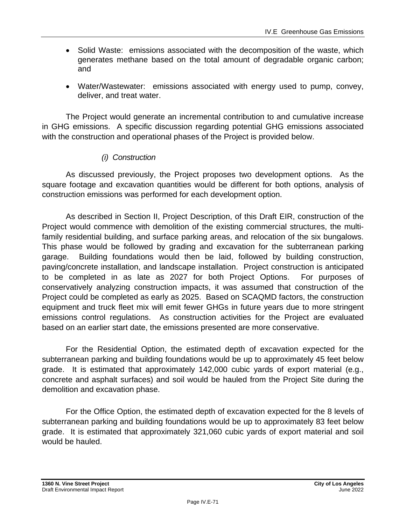- Solid Waste: emissions associated with the decomposition of the waste, which generates methane based on the total amount of degradable organic carbon; and
- Water/Wastewater: emissions associated with energy used to pump, convey, deliver, and treat water.

The Project would generate an incremental contribution to and cumulative increase in GHG emissions. A specific discussion regarding potential GHG emissions associated with the construction and operational phases of the Project is provided below.

### *(i) Construction*

As discussed previously, the Project proposes two development options. As the square footage and excavation quantities would be different for both options, analysis of construction emissions was performed for each development option.

As described in Section II, Project Description, of this Draft EIR, construction of the Project would commence with demolition of the existing commercial structures, the multifamily residential building, and surface parking areas, and relocation of the six bungalows. This phase would be followed by grading and excavation for the subterranean parking garage. Building foundations would then be laid, followed by building construction, paving/concrete installation, and landscape installation. Project construction is anticipated to be completed in as late as 2027 for both Project Options. For purposes of conservatively analyzing construction impacts, it was assumed that construction of the Project could be completed as early as 2025. Based on SCAQMD factors, the construction equipment and truck fleet mix will emit fewer GHGs in future years due to more stringent emissions control regulations. As construction activities for the Project are evaluated based on an earlier start date, the emissions presented are more conservative.

For the Residential Option, the estimated depth of excavation expected for the subterranean parking and building foundations would be up to approximately 45 feet below grade. It is estimated that approximately 142,000 cubic yards of export material (e.g., concrete and asphalt surfaces) and soil would be hauled from the Project Site during the demolition and excavation phase.

For the Office Option, the estimated depth of excavation expected for the 8 levels of subterranean parking and building foundations would be up to approximately 83 feet below grade. It is estimated that approximately 321,060 cubic yards of export material and soil would be hauled.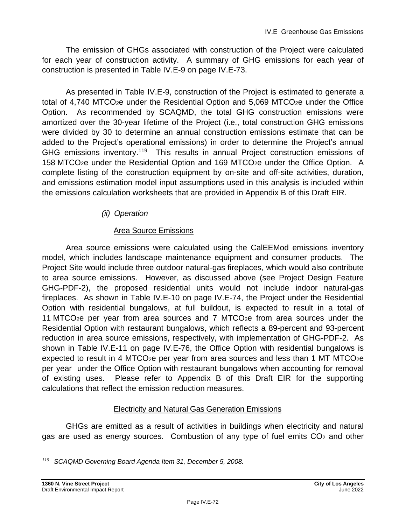The emission of GHGs associated with construction of the Project were calculated for each year of construction activity. A summary of GHG emissions for each year of construction is presented in Table IV.E-9 on page [IV.E-73.](#page-72-0)

As presented in Table IV.E-9, construction of the Project is estimated to generate a total of 4,740 MTCO<sub>2</sub>e under the Residential Option and 5,069 MTCO<sub>2</sub>e under the Office Option. As recommended by SCAQMD, the total GHG construction emissions were amortized over the 30-year lifetime of the Project (i.e., total construction GHG emissions were divided by 30 to determine an annual construction emissions estimate that can be added to the Project's operational emissions) in order to determine the Project's annual GHG emissions inventory.<sup>119</sup> This results in annual Project construction emissions of 158 MTCO2e under the Residential Option and 169 MTCO2e under the Office Option. A complete listing of the construction equipment by on-site and off-site activities, duration, and emissions estimation model input assumptions used in this analysis is included within the emissions calculation worksheets that are provided in Appendix B of this Draft EIR.

# *(ii) Operation*

### Area Source Emissions

Area source emissions were calculated using the CalEEMod emissions inventory model, which includes landscape maintenance equipment and consumer products. The Project Site would include three outdoor natural-gas fireplaces, which would also contribute to area source emissions. However, as discussed above (see Project Design Feature GHG-PDF-2), the proposed residential units would not include indoor natural-gas fireplaces. As shown in Table IV.E-10 on page [IV.E-74,](#page-73-0) the Project under the Residential Option with residential bungalows, at full buildout, is expected to result in a total of 11 MTCO<sub>2</sub>e per year from area sources and 7 MTCO<sub>2</sub>e from area sources under the Residential Option with restaurant bungalows, which reflects a 89-percent and 93-percent reduction in area source emissions, respectively, with implementation of GHG-PDF-2. As shown in Table IV.E-11 on page IV.E-76, the Office Option with residential bungalows is expected to result in 4 MTCO<sub>2</sub>e per year from area sources and less than 1 MT MTCO<sub>2</sub>e per year under the Office Option with restaurant bungalows when accounting for removal of existing uses. Please refer to Appendix B of this Draft EIR for the supporting calculations that reflect the emission reduction measures.

# Electricity and Natural Gas Generation Emissions

GHGs are emitted as a result of activities in buildings when electricity and natural gas are used as energy sources. Combustion of any type of fuel emits  $CO<sub>2</sub>$  and other

*<sup>119</sup> SCAQMD Governing Board Agenda Item 31, December 5, 2008.*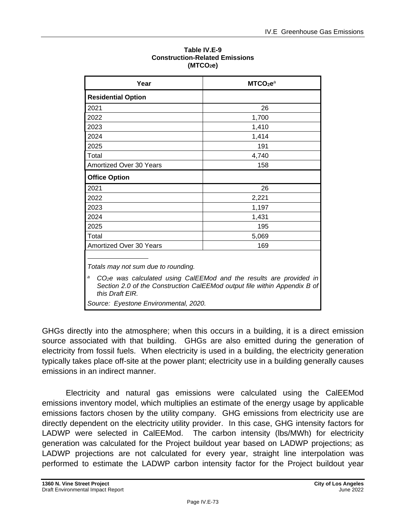| Year                                                                                                                                                                            | MTCO <sub>2</sub> e <sup>a</sup> |  |
|---------------------------------------------------------------------------------------------------------------------------------------------------------------------------------|----------------------------------|--|
| <b>Residential Option</b>                                                                                                                                                       |                                  |  |
| 2021                                                                                                                                                                            | 26                               |  |
| 2022                                                                                                                                                                            | 1,700                            |  |
| 2023                                                                                                                                                                            | 1,410                            |  |
| 2024                                                                                                                                                                            | 1,414                            |  |
| 2025                                                                                                                                                                            | 191                              |  |
| Total                                                                                                                                                                           | 4,740                            |  |
| Amortized Over 30 Years                                                                                                                                                         | 158                              |  |
| <b>Office Option</b>                                                                                                                                                            |                                  |  |
| 2021                                                                                                                                                                            | 26                               |  |
| 2022                                                                                                                                                                            | 2,221                            |  |
| 2023                                                                                                                                                                            | 1,197                            |  |
| 2024                                                                                                                                                                            | 1,431                            |  |
| 2025                                                                                                                                                                            | 195                              |  |
| Total                                                                                                                                                                           | 5,069                            |  |
| Amortized Over 30 Years                                                                                                                                                         | 169                              |  |
| Totals may not sum due to rounding.<br>а                                                                                                                                        |                                  |  |
| CO <sub>2</sub> e was calculated using CalEEMod and the results are provided in<br>Section 2.0 of the Construction CalEEMod output file within Appendix B of<br>this Draft EIR. |                                  |  |
| Source: Eyestone Environmental, 2020.                                                                                                                                           |                                  |  |

#### **Table IV.E-9 Construction-Related Emissions (MTCO2e)**

GHGs directly into the atmosphere; when this occurs in a building, it is a direct emission source associated with that building. GHGs are also emitted during the generation of electricity from fossil fuels. When electricity is used in a building, the electricity generation typically takes place off-site at the power plant; electricity use in a building generally causes emissions in an indirect manner.

Electricity and natural gas emissions were calculated using the CalEEMod emissions inventory model, which multiplies an estimate of the energy usage by applicable emissions factors chosen by the utility company. GHG emissions from electricity use are directly dependent on the electricity utility provider. In this case, GHG intensity factors for LADWP were selected in CalEEMod. The carbon intensity (lbs/MWh) for electricity generation was calculated for the Project buildout year based on LADWP projections; as LADWP projections are not calculated for every year, straight line interpolation was performed to estimate the LADWP carbon intensity factor for the Project buildout year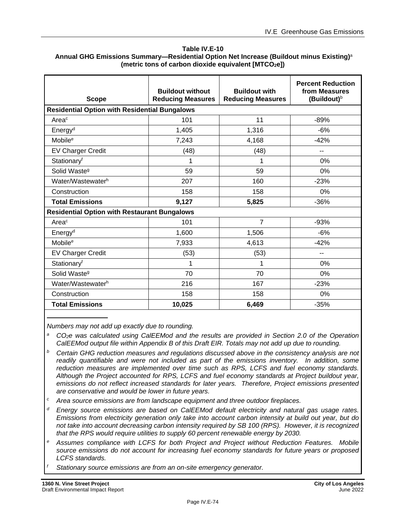#### <span id="page-73-0"></span>**Table IV.E-10 Annual GHG Emissions Summary—Residential Option Net Increase (Buildout minus Existing)** a **(metric tons of carbon dioxide equivalent [MTCO2e])**

| <b>Scope</b>                                        | <b>Buildout without</b><br><b>Reducing Measures</b>  | <b>Buildout with</b><br><b>Reducing Measures</b> | <b>Percent Reduction</b><br>from Measures<br>(Buildout) <sup>b</sup> |  |
|-----------------------------------------------------|------------------------------------------------------|--------------------------------------------------|----------------------------------------------------------------------|--|
|                                                     | <b>Residential Option with Residential Bungalows</b> |                                                  |                                                                      |  |
| Area <sup>c</sup>                                   | 101                                                  | 11                                               | $-89%$                                                               |  |
| Energy <sup>d</sup>                                 | 1,405                                                | 1,316                                            | $-6%$                                                                |  |
| Mobile <sup>e</sup>                                 | 7,243                                                | 4,168                                            | $-42%$                                                               |  |
| <b>EV Charger Credit</b>                            | (48)                                                 | (48)                                             | $-$                                                                  |  |
| Stationary <sup>f</sup>                             | 1                                                    | 1                                                | 0%                                                                   |  |
| Solid Waste <sup>g</sup>                            | 59                                                   | 59                                               | 0%                                                                   |  |
| Water/Wastewaterh                                   | 207                                                  | 160                                              | $-23%$                                                               |  |
| Construction                                        | 158                                                  | 158                                              | 0%                                                                   |  |
| <b>Total Emissions</b>                              | 9,127                                                | 5,825                                            | $-36%$                                                               |  |
| <b>Residential Option with Restaurant Bungalows</b> |                                                      |                                                  |                                                                      |  |
| Area <sup>c</sup>                                   | 101                                                  | $\overline{7}$                                   | $-93%$                                                               |  |
| Energy <sup>d</sup>                                 | 1,600                                                | 1,506                                            | $-6%$                                                                |  |
| Mobile <sup>e</sup>                                 | 7,933                                                | 4,613                                            | $-42%$                                                               |  |
| <b>EV Charger Credit</b>                            | (53)                                                 | (53)                                             |                                                                      |  |
| Stationaryf                                         | 1                                                    | 1                                                | 0%                                                                   |  |
| Solid Waste <sup>g</sup>                            | 70                                                   | 70                                               | 0%                                                                   |  |
| Water/Wastewaterh                                   | 216                                                  | 167                                              | $-23%$                                                               |  |
| Construction                                        | 158                                                  | 158                                              | 0%                                                                   |  |
| <b>Total Emissions</b>                              | 10,025                                               | 6,469                                            | $-35%$                                                               |  |

*Numbers may not add up exactly due to rounding.*

*<sup>a</sup>CO2e was calculated using CalEEMod and the results are provided in Section 2.0 of the Operation CalEEMod output file within Appendix B of this Draft EIR. Totals may not add up due to rounding.*

- *<sup>b</sup> Certain GHG reduction measures and regulations discussed above in the consistency analysis are not readily quantifiable and were not included as part of the emissions inventory. In addition, some reduction measures are implemented over time such as RPS, LCFS and fuel economy standards. Although the Project accounted for RPS, LCFS and fuel economy standards at Project buildout year, emissions do not reflect increased standards for later years. Therefore, Project emissions presented are conservative and would be lower in future years.*
- *<sup>c</sup> Area source emissions are from landscape equipment and three outdoor fireplaces.*
- *<sup>d</sup> Energy source emissions are based on CalEEMod default electricity and natural gas usage rates. Emissions from electricity generation only take into account carbon intensity at build out year, but do not take into account decreasing carbon intensity required by SB 100 (RPS). However, it is recognized that the RPS would require utilities to supply 60 percent renewable energy by 2030.*
- *<sup>e</sup> Assumes compliance with LCFS for both Project and Project without Reduction Features. Mobile source emissions do not account for increasing fuel economy standards for future years or proposed LCFS standards.*

*<sup>f</sup> Stationary source emissions are from an on-site emergency generator.*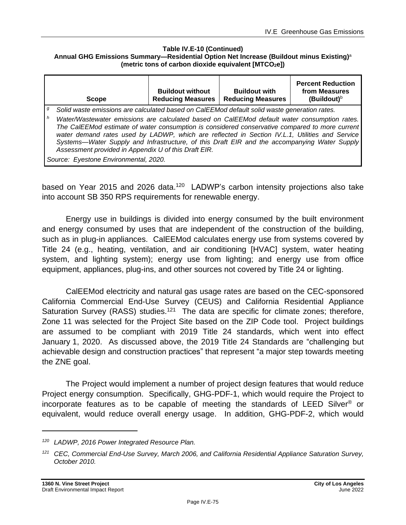#### **Table IV.E-10 (Continued) Annual GHG Emissions Summary—Residential Option Net Increase (Buildout minus Existing)** a **(metric tons of carbon dioxide equivalent [MTCO2e])**

|   | <b>Scope</b>                                                                                                                                                                                                                                                                                                                                                                                                                                                                                                                                             | <b>Buildout without</b><br><b>Reducing Measures</b> | <b>Buildout with</b><br><b>Reducing Measures</b> | <b>Percent Reduction</b><br>from Measures<br>(Buildout) $b$ |
|---|----------------------------------------------------------------------------------------------------------------------------------------------------------------------------------------------------------------------------------------------------------------------------------------------------------------------------------------------------------------------------------------------------------------------------------------------------------------------------------------------------------------------------------------------------------|-----------------------------------------------------|--------------------------------------------------|-------------------------------------------------------------|
| g |                                                                                                                                                                                                                                                                                                                                                                                                                                                                                                                                                          |                                                     |                                                  |                                                             |
| h | Solid waste emissions are calculated based on CalEEMod default solid waste generation rates.<br>Water/Wastewater emissions are calculated based on CalEEMod default water consumption rates.<br>The CalEEMod estimate of water consumption is considered conservative compared to more current<br>water demand rates used by LADWP, which are reflected in Section IV.L.1, Utilities and Service<br>Systems—Water Supply and Infrastructure, of this Draft EIR and the accompanying Water Supply<br>Assessment provided in Appendix U of this Draft EIR. |                                                     |                                                  |                                                             |
|   | Source: Eyestone Environmental, 2020.                                                                                                                                                                                                                                                                                                                                                                                                                                                                                                                    |                                                     |                                                  |                                                             |

based on Year 2015 and 2026 data.<sup>120</sup> LADWP's carbon intensity projections also take into account SB 350 RPS requirements for renewable energy.

Energy use in buildings is divided into energy consumed by the built environment and energy consumed by uses that are independent of the construction of the building, such as in plug-in appliances. CalEEMod calculates energy use from systems covered by Title 24 (e.g., heating, ventilation, and air conditioning [HVAC] system, water heating system, and lighting system); energy use from lighting; and energy use from office equipment, appliances, plug-ins, and other sources not covered by Title 24 or lighting.

CalEEMod electricity and natural gas usage rates are based on the CEC-sponsored California Commercial End-Use Survey (CEUS) and California Residential Appliance Saturation Survey (RASS) studies.<sup>121</sup> The data are specific for climate zones; therefore, Zone 11 was selected for the Project Site based on the ZIP Code tool. Project buildings are assumed to be compliant with 2019 Title 24 standards, which went into effect January 1, 2020. As discussed above, the 2019 Title 24 Standards are "challenging but achievable design and construction practices" that represent "a major step towards meeting the ZNE goal.

The Project would implement a number of project design features that would reduce Project energy consumption. Specifically, GHG-PDF-1, which would require the Project to incorporate features as to be capable of meeting the standards of LEED Silver ® or equivalent, would reduce overall energy usage. In addition, GHG-PDF-2, which would

*<sup>120</sup> LADWP, 2016 Power Integrated Resource Plan.*

*<sup>121</sup> CEC, Commercial End-Use Survey, March 2006, and California Residential Appliance Saturation Survey, October 2010.*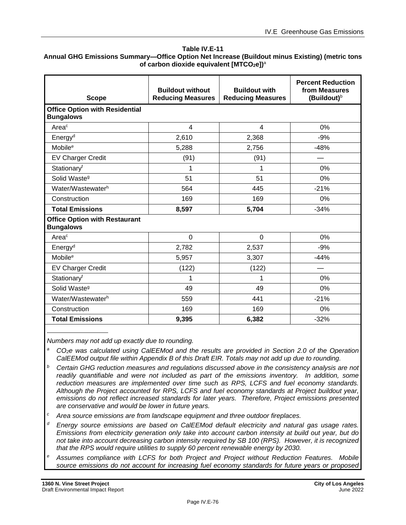#### **Table IV.E-11**

### **Annual GHG Emissions Summary—Office Option Net Increase (Buildout minus Existing) (metric tons of carbon dioxide equivalent [MTCO2e])**<sup>a</sup>

| <b>Scope</b>                                              | <b>Buildout without</b><br><b>Reducing Measures</b> | <b>Buildout with</b><br><b>Reducing Measures</b> | <b>Percent Reduction</b><br>from Measures<br>(Buildout) <sup>b</sup> |
|-----------------------------------------------------------|-----------------------------------------------------|--------------------------------------------------|----------------------------------------------------------------------|
| <b>Office Option with Residential</b><br><b>Bungalows</b> |                                                     |                                                  |                                                                      |
| Area <sup>c</sup>                                         | 4                                                   | 4                                                | 0%                                                                   |
| Energy <sup>d</sup>                                       | 2,610                                               | 2,368                                            | $-9%$                                                                |
| Mobile <sup>e</sup>                                       | 5,288                                               | 2,756                                            | $-48%$                                                               |
| <b>EV Charger Credit</b>                                  | (91)                                                | (91)                                             |                                                                      |
| Stationaryf                                               | 1                                                   | 1                                                | 0%                                                                   |
| Solid Waste <sup>9</sup>                                  | 51                                                  | 51                                               | 0%                                                                   |
| Water/Wastewaterh                                         | 564                                                 | 445                                              | $-21%$                                                               |
| Construction                                              | 169                                                 | 169                                              | 0%                                                                   |
| <b>Total Emissions</b>                                    | 8,597                                               | 5,704                                            | $-34%$                                                               |
| <b>Office Option with Restaurant</b><br><b>Bungalows</b>  |                                                     |                                                  |                                                                      |
| Area <sup>c</sup>                                         | $\overline{0}$                                      | $\overline{0}$                                   | 0%                                                                   |
| Energy <sup>d</sup>                                       | 2,782                                               | 2,537                                            | $-9%$                                                                |
| Mobile <sup>e</sup>                                       | 5,957                                               | 3,307                                            | $-44%$                                                               |
| <b>EV Charger Credit</b>                                  | (122)                                               | (122)                                            |                                                                      |
| Stationaryf                                               | 1                                                   | 1                                                | 0%                                                                   |
| Solid Waste <sup>g</sup>                                  | 49                                                  | 49                                               | 0%                                                                   |
| Water/Wastewaterh                                         | 559                                                 | 441                                              | $-21%$                                                               |
| Construction                                              | 169                                                 | 169                                              | 0%                                                                   |
| <b>Total Emissions</b>                                    | 9,395                                               | 6,382                                            | $-32%$                                                               |

*Numbers may not add up exactly due to rounding.*

- *<sup>a</sup>CO2e was calculated using CalEEMod and the results are provided in Section 2.0 of the Operation CalEEMod output file within Appendix B of this Draft EIR. Totals may not add up due to rounding.*
- *<sup>b</sup> Certain GHG reduction measures and regulations discussed above in the consistency analysis are not readily quantifiable and were not included as part of the emissions inventory. In addition, some reduction measures are implemented over time such as RPS, LCFS and fuel economy standards. Although the Project accounted for RPS, LCFS and fuel economy standards at Project buildout year, emissions do not reflect increased standards for later years. Therefore, Project emissions presented are conservative and would be lower in future years.*
- *<sup>c</sup> Area source emissions are from landscape equipment and three outdoor fireplaces.*
- *<sup>d</sup> Energy source emissions are based on CalEEMod default electricity and natural gas usage rates. Emissions from electricity generation only take into account carbon intensity at build out year, but do not take into account decreasing carbon intensity required by SB 100 (RPS). However, it is recognized that the RPS would require utilities to supply 60 percent renewable energy by 2030.*
- *<sup>e</sup> Assumes compliance with LCFS for both Project and Project without Reduction Features. Mobile source emissions do not account for increasing fuel economy standards for future years or proposed*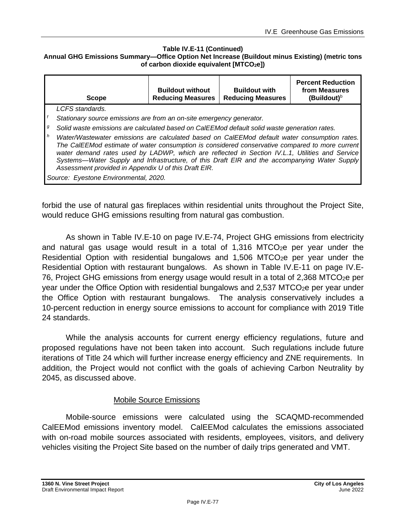### **Table IV.E-11 (Continued)**

#### **Annual GHG Emissions Summary—Office Option Net Increase (Buildout minus Existing) (metric tons of carbon dioxide equivalent [MTCO2e])**

| LCFS standards.<br>Stationary source emissions are from an on-site emergency generator.                                                                                                                                                                                                                                                                                                                                                                                                                           | <b>Scope</b> | <b>Buildout without</b><br><b>Reducing Measures</b> | <b>Buildout with</b><br><b>Reducing Measures</b> | <b>Percent Reduction</b><br>from Measures<br>(Buildout) <sup>b</sup> |
|-------------------------------------------------------------------------------------------------------------------------------------------------------------------------------------------------------------------------------------------------------------------------------------------------------------------------------------------------------------------------------------------------------------------------------------------------------------------------------------------------------------------|--------------|-----------------------------------------------------|--------------------------------------------------|----------------------------------------------------------------------|
|                                                                                                                                                                                                                                                                                                                                                                                                                                                                                                                   |              |                                                     |                                                  |                                                                      |
|                                                                                                                                                                                                                                                                                                                                                                                                                                                                                                                   |              |                                                     |                                                  |                                                                      |
| $\boldsymbol{g}$<br>Solid waste emissions are calculated based on CalEEMod default solid waste generation rates.                                                                                                                                                                                                                                                                                                                                                                                                  |              |                                                     |                                                  |                                                                      |
| $\mathsf{h}$<br>Water/Wastewater emissions are calculated based on CalEEMod default water consumption rates.<br>The CalEEMod estimate of water consumption is considered conservative compared to more current<br>water demand rates used by LADWP, which are reflected in Section IV.L.1, Utilities and Service<br>Systems—Water Supply and Infrastructure, of this Draft EIR and the accompanying Water Supply<br>Assessment provided in Appendix U of this Draft EIR.<br>Source: Eyestone Environmental, 2020. |              |                                                     |                                                  |                                                                      |

forbid the use of natural gas fireplaces within residential units throughout the Project Site, would reduce GHG emissions resulting from natural gas combustion.

As shown in Table IV.E-10 on page [IV.E-74,](#page-73-0) Project GHG emissions from electricity and natural gas usage would result in a total of  $1,316$  MTCO<sub>2</sub>e per year under the Residential Option with residential bungalows and  $1,506$  MTCO<sub>2</sub>e per year under the Residential Option with restaurant bungalows. As shown in Table IV.E-11 on page IV.E-76, Project GHG emissions from energy usage would result in a total of 2,368 MTCO<sub>2</sub>e per year under the Office Option with residential bungalows and 2,537 MTCO<sub>2</sub>e per year under the Office Option with restaurant bungalows. The analysis conservatively includes a 10-percent reduction in energy source emissions to account for compliance with 2019 Title 24 standards.

While the analysis accounts for current energy efficiency regulations, future and proposed regulations have not been taken into account. Such regulations include future iterations of Title 24 which will further increase energy efficiency and ZNE requirements. In addition, the Project would not conflict with the goals of achieving Carbon Neutrality by 2045, as discussed above.

### Mobile Source Emissions

Mobile-source emissions were calculated using the SCAQMD-recommended CalEEMod emissions inventory model. CalEEMod calculates the emissions associated with on-road mobile sources associated with residents, employees, visitors, and delivery vehicles visiting the Project Site based on the number of daily trips generated and VMT.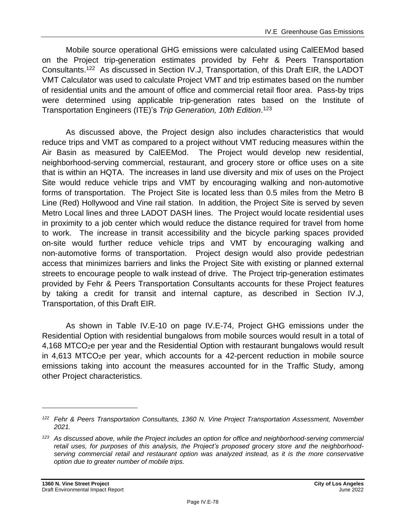Mobile source operational GHG emissions were calculated using CalEEMod based on the Project trip-generation estimates provided by Fehr & Peers Transportation Consultants.<sup>122</sup> As discussed in Section IV.J, Transportation, of this Draft EIR, the LADOT VMT Calculator was used to calculate Project VMT and trip estimates based on the number of residential units and the amount of office and commercial retail floor area. Pass-by trips were determined using applicable trip-generation rates based on the Institute of Transportation Engineers (ITE)'s *Trip Generation, 10th Edition*. 123

As discussed above, the Project design also includes characteristics that would reduce trips and VMT as compared to a project without VMT reducing measures within the Air Basin as measured by CalEEMod. The Project would develop new residential, neighborhood-serving commercial, restaurant, and grocery store or office uses on a site that is within an HQTA. The increases in land use diversity and mix of uses on the Project Site would reduce vehicle trips and VMT by encouraging walking and non-automotive forms of transportation. The Project Site is located less than 0.5 miles from the Metro B Line (Red) Hollywood and Vine rail station. In addition, the Project Site is served by seven Metro Local lines and three LADOT DASH lines. The Project would locate residential uses in proximity to a job center which would reduce the distance required for travel from home to work. The increase in transit accessibility and the bicycle parking spaces provided on-site would further reduce vehicle trips and VMT by encouraging walking and non‐automotive forms of transportation. Project design would also provide pedestrian access that minimizes barriers and links the Project Site with existing or planned external streets to encourage people to walk instead of drive. The Project trip-generation estimates provided by Fehr & Peers Transportation Consultants accounts for these Project features by taking a credit for transit and internal capture, as described in Section IV.J, Transportation, of this Draft EIR.

As shown in Table IV.E-10 on page [IV.E-74,](#page-73-0) Project GHG emissions under the Residential Option with residential bungalows from mobile sources would result in a total of 4,168 MTCO<sub>2</sub>e per year and the Residential Option with restaurant bungalows would result in 4,613 MTCO2e per year, which accounts for a 42-percent reduction in mobile source emissions taking into account the measures accounted for in the Traffic Study, among other Project characteristics.

*<sup>122</sup> Fehr & Peers Transportation Consultants, 1360 N. Vine Project Transportation Assessment, November 2021.*

*<sup>123</sup> As discussed above, while the Project includes an option for office and neighborhood-serving commercial retail uses, for purposes of this analysis, the Project's proposed grocery store and the neighborhoodserving commercial retail and restaurant option was analyzed instead, as it is the more conservative option due to greater number of mobile trips.*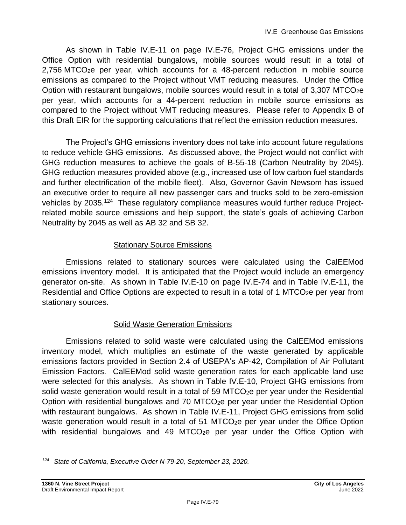As shown in Table IV.E-11 on page IV.E-76, Project GHG emissions under the Office Option with residential bungalows, mobile sources would result in a total of 2,756 MTCO2e per year, which accounts for a 48-percent reduction in mobile source emissions as compared to the Project without VMT reducing measures. Under the Office Option with restaurant bungalows, mobile sources would result in a total of 3,307 MTCO2e per year, which accounts for a 44-percent reduction in mobile source emissions as compared to the Project without VMT reducing measures. Please refer to Appendix B of this Draft EIR for the supporting calculations that reflect the emission reduction measures.

The Project's GHG emissions inventory does not take into account future regulations to reduce vehicle GHG emissions. As discussed above, the Project would not conflict with GHG reduction measures to achieve the goals of B-55-18 (Carbon Neutrality by 2045). GHG reduction measures provided above (e.g., increased use of low carbon fuel standards and further electrification of the mobile fleet). Also, Governor Gavin Newsom has issued an executive order to require all new passenger cars and trucks sold to be zero-emission vehicles by 2035.<sup>124</sup> These regulatory compliance measures would further reduce Projectrelated mobile source emissions and help support, the state's goals of achieving Carbon Neutrality by 2045 as well as AB 32 and SB 32.

### Stationary Source Emissions

Emissions related to stationary sources were calculated using the CalEEMod emissions inventory model. It is anticipated that the Project would include an emergency generator on-site. As shown in Table IV.E-10 on page [IV.E-74](#page-73-0) and in Table IV.E-11, the Residential and Office Options are expected to result in a total of 1 MTCO<sub>2</sub>e per year from stationary sources.

## Solid Waste Generation Emissions

Emissions related to solid waste were calculated using the CalEEMod emissions inventory model, which multiplies an estimate of the waste generated by applicable emissions factors provided in Section 2.4 of USEPA's AP-42, Compilation of Air Pollutant Emission Factors. CalEEMod solid waste generation rates for each applicable land use were selected for this analysis. As shown in Table IV.E-10, Project GHG emissions from solid waste generation would result in a total of 59 MTCO $_{2}e$  per year under the Residential Option with residential bungalows and 70 MTCO2e per year under the Residential Option with restaurant bungalows. As shown in Table IV.E-11, Project GHG emissions from solid waste generation would result in a total of 51 MTCO<sub>2</sub>e per year under the Office Option with residential bungalows and 49 MTCO $<sub>2</sub>e$  per year under the Office Option with</sub>

*<sup>124</sup> State of California, Executive Order N-79-20, September 23, 2020.*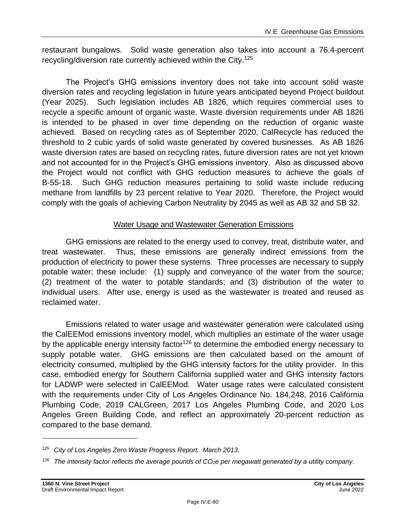restaurant bungalows. Solid waste generation also takes into account a 76.4-percent recycling/diversion rate currently achieved within the City. 125

The Project's GHG emissions inventory does not take into account solid waste diversion rates and recycling legislation in future years anticipated beyond Project buildout (Year 2025). Such legislation includes AB 1826, which requires commercial uses to recycle a specific amount of organic waste. Waste diversion requirements under AB 1826 is intended to be phased in over time depending on the reduction of organic waste achieved. Based on recycling rates as of September 2020, CalRecycle has reduced the threshold to 2 cubic yards of solid waste generated by covered businesses. As AB 1826 waste diversion rates are based on recycling rates, future diversion rates are not yet known and not accounted for in the Project's GHG emissions inventory. Also as discussed above the Project would not conflict with GHG reduction measures to achieve the goals of B-55-18. Such GHG reduction measures pertaining to solid waste include reducing methane from landfills by 23 percent relative to Year 2020. Therefore, the Project would comply with the goals of achieving Carbon Neutrality by 2045 as well as AB 32 and SB 32.

## Water Usage and Wastewater Generation Emissions

GHG emissions are related to the energy used to convey, treat, distribute water, and treat wastewater. Thus, these emissions are generally indirect emissions from the production of electricity to power these systems. Three processes are necessary to supply potable water; these include: (1) supply and conveyance of the water from the source; (2) treatment of the water to potable standards; and (3) distribution of the water to individual users. After use, energy is used as the wastewater is treated and reused as reclaimed water.

Emissions related to water usage and wastewater generation were calculated using the CalEEMod emissions inventory model, which multiplies an estimate of the water usage by the applicable energy intensity factor<sup>126</sup> to determine the embodied energy necessary to supply potable water. GHG emissions are then calculated based on the amount of electricity consumed, multiplied by the GHG intensity factors for the utility provider. In this case, embodied energy for Southern California supplied water and GHG intensity factors for LADWP were selected in CalEEMod. Water usage rates were calculated consistent with the requirements under City of Los Angeles Ordinance No. 184,248, 2016 California Plumbing Code, 2019 CALGreen, 2017 Los Angeles Plumbing Code, and 2020 Los Angeles Green Building Code, and reflect an approximately 20-percent reduction as compared to the base demand.

*<sup>125</sup> City of Los Angeles Zero Waste Progress Report. March 2013.*

*<sup>126</sup> The intensity factor reflects the average pounds of CO2e per megawatt generated by a utility company.*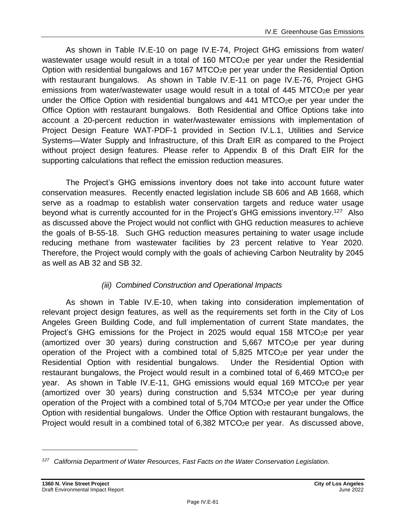As shown in Table IV.E-10 on page IV.E-74, Project GHG emissions from water/ wastewater usage would result in a total of 160 MTCO<sub>2</sub>e per year under the Residential Option with residential bungalows and 167 MTCO<sub>2</sub>e per year under the Residential Option with restaurant bungalows. As shown in Table IV.E-11 on page IV.E-76, Project GHG emissions from water/wastewater usage would result in a total of  $445$  MTCO<sub>2</sub>e per year under the Office Option with residential bungalows and  $441$  MTCO<sub>2</sub>e per year under the Office Option with restaurant bungalows. Both Residential and Office Options take into account a 20-percent reduction in water/wastewater emissions with implementation of Project Design Feature WAT-PDF-1 provided in Section IV.L.1, Utilities and Service Systems—Water Supply and Infrastructure, of this Draft EIR as compared to the Project without project design features. Please refer to Appendix B of this Draft EIR for the supporting calculations that reflect the emission reduction measures.

The Project's GHG emissions inventory does not take into account future water conservation measures. Recently enacted legislation include SB 606 and AB 1668, which serve as a roadmap to establish water conservation targets and reduce water usage beyond what is currently accounted for in the Project's GHG emissions inventory.<sup>127</sup> Also as discussed above the Project would not conflict with GHG reduction measures to achieve the goals of B-55-18. Such GHG reduction measures pertaining to water usage include reducing methane from wastewater facilities by 23 percent relative to Year 2020. Therefore, the Project would comply with the goals of achieving Carbon Neutrality by 2045 as well as AB 32 and SB 32.

## *(iii) Combined Construction and Operational Impacts*

As shown in Table IV.E-10, when taking into consideration implementation of relevant project design features, as well as the requirements set forth in the City of Los Angeles Green Building Code, and full implementation of current State mandates, the Project's GHG emissions for the Project in 2025 would equal 158 MTCO<sub>2</sub>e per year (amortized over 30 years) during construction and  $5,667$  MTCO<sub>2</sub>e per year during operation of the Project with a combined total of  $5,825$  MTCO<sub>2</sub>e per year under the Residential Option with residential bungalows. Under the Residential Option with restaurant bungalows, the Project would result in a combined total of 6,469 MTCO<sub>2</sub>e per year. As shown in Table IV.E-11, GHG emissions would equal 169 MTCO<sub>2</sub>e per year (amortized over 30 years) during construction and  $5,534$  MTCO<sub>2</sub>e per year during operation of the Project with a combined total of  $5,704$  MTCO<sub>2</sub>e per year under the Office Option with residential bungalows. Under the Office Option with restaurant bungalows, the Project would result in a combined total of  $6,382$  MTCO<sub>2</sub>e per year. As discussed above,

*<sup>127</sup> California Department of Water Resources, Fast Facts on the Water Conservation Legislation.*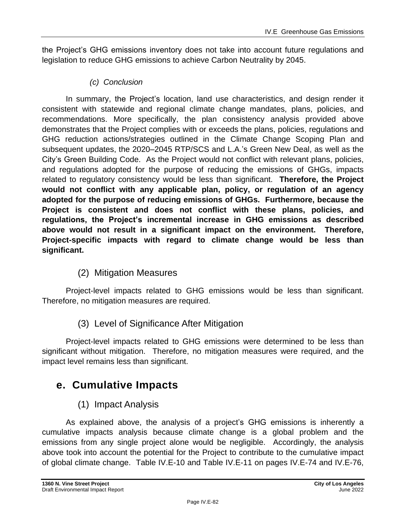the Project's GHG emissions inventory does not take into account future regulations and legislation to reduce GHG emissions to achieve Carbon Neutrality by 2045.

## *(c) Conclusion*

In summary, the Project's location, land use characteristics, and design render it consistent with statewide and regional climate change mandates, plans, policies, and recommendations. More specifically, the plan consistency analysis provided above demonstrates that the Project complies with or exceeds the plans, policies, regulations and GHG reduction actions/strategies outlined in the Climate Change Scoping Plan and subsequent updates, the 2020–2045 RTP/SCS and L.A.'s Green New Deal, as well as the City's Green Building Code. As the Project would not conflict with relevant plans, policies, and regulations adopted for the purpose of reducing the emissions of GHGs, impacts related to regulatory consistency would be less than significant. **Therefore, the Project would not conflict with any applicable plan, policy, or regulation of an agency adopted for the purpose of reducing emissions of GHGs. Furthermore, because the Project is consistent and does not conflict with these plans, policies, and regulations, the Project's incremental increase in GHG emissions as described above would not result in a significant impact on the environment. Therefore, Project-specific impacts with regard to climate change would be less than significant.**

## (2) Mitigation Measures

Project-level impacts related to GHG emissions would be less than significant. Therefore, no mitigation measures are required.

## (3) Level of Significance After Mitigation

Project-level impacts related to GHG emissions were determined to be less than significant without mitigation. Therefore, no mitigation measures were required, and the impact level remains less than significant.

# **e. Cumulative Impacts**

## (1) Impact Analysis

As explained above, the analysis of a project's GHG emissions is inherently a cumulative impacts analysis because climate change is a global problem and the emissions from any single project alone would be negligible. Accordingly, the analysis above took into account the potential for the Project to contribute to the cumulative impact of global climate change. Table IV.E-10 and Table IV.E-11 on pages IV.E-74 and IV.E-76,